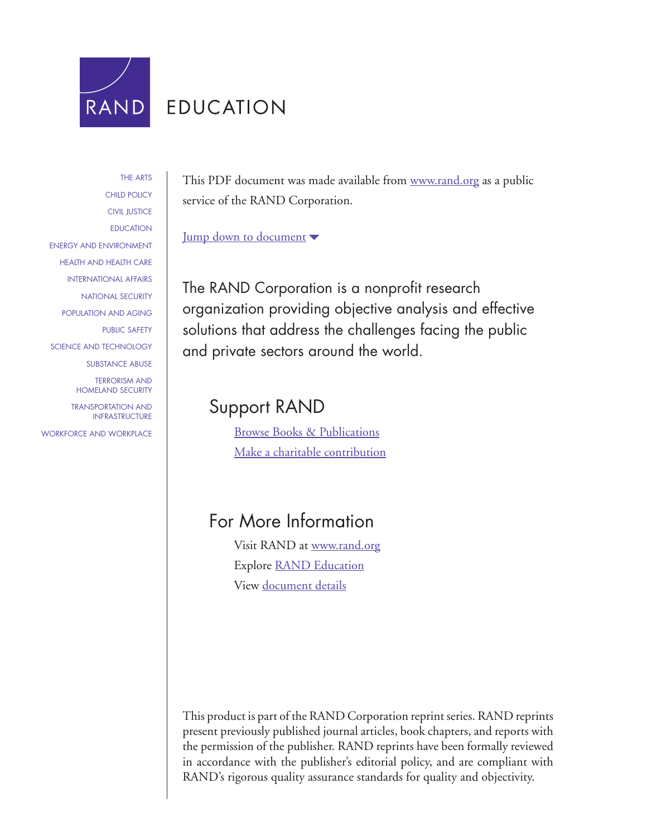

# **EDUCATION**

[THE ARTS](http://www.rand.org/pdfrd/research_areas/arts/) [CHILD POLICY](http://www.rand.org/pdfrd/research_areas/children/) [CIVIL JUSTICE](http://www.rand.org/pdfrd/research_areas/civil_justice/) [EDUCATION](http://www.rand.org/pdfrd/research_areas/education/) [ENERGY AND ENVIRONMENT](http://www.rand.org/pdfrd/research_areas/energy_environment/) [HEALTH AND HEALTH CARE](http://www.rand.org/pdfrd/research_areas/health/) [INTERNATIONAL AFFAIRS](http://www.rand.org/pdfrd/research_areas/international_affairs/) [NATIONAL SECURITY](http://www.rand.org/pdfrd/research_areas/national_security/) [POPULATION AND AGING](http://www.rand.org/pdfrd/research_areas/population/) [PUBLIC SAFETY](http://www.rand.org/pdfrd/research_areas/public_safety/) [SCIENCE AND TECHNOLOGY](http://www.rand.org/pdfrd/research_areas/science_technology/) [SUBSTANCE ABUSE](http://www.rand.org/pdfrd/research_areas/substance_abuse/) [TERRORISM AND](http://www.rand.org/pdfrd/research_areas/terrorism/)  [HOMELAND SECURITY](http://www.rand.org/pdfrd/research_areas/terrorism/) [TRANSPORTATION AND](http://www.rand.org/pdfrd/research_areas/infrastructure/) [INFRASTRUCTURE](http://www.rand.org/pdfrd/research_areas/infrastructure/) [WORKFORCE AND WORKPLACE](http://www.rand.org/pdfrd/research_areas/workforce/)

This PDF document was made available from [www.rand.org](http://www.rand.org/pdfrd/) as a public service of the RAND Corporation.

[Jump down to document](#page-2-0)  $\blacktriangledown$ 

The RAND Corporation is a nonprofit research organization providing objective analysis and effective solutions that address the challenges facing the public and private sectors around the world.

# Support RAND

[Browse Books & Publications](http://www.rand.org/pdfrd/pubs/online/) [Make a charitable contribution](http://www.rand.org/pdfrd/giving/contribute.html)

# For More Information

Visit RAND at [www.rand.org](http://www.rand.org/pdfrd/) Explore RAND [Education](http://www.rand.org/pdfrd/education/) View [document details](http://www.rand.org/pdfrd/pubs/reprints/RP1384/)

This product is part of the RAND Corporation reprint series. RAND reprints present previously published journal articles, book chapters, and reports with the permission of the publisher. RAND reprints have been formally reviewed in accordance with the publisher's editorial policy, and are compliant with RAND's rigorous quality assurance standards for quality and objectivity.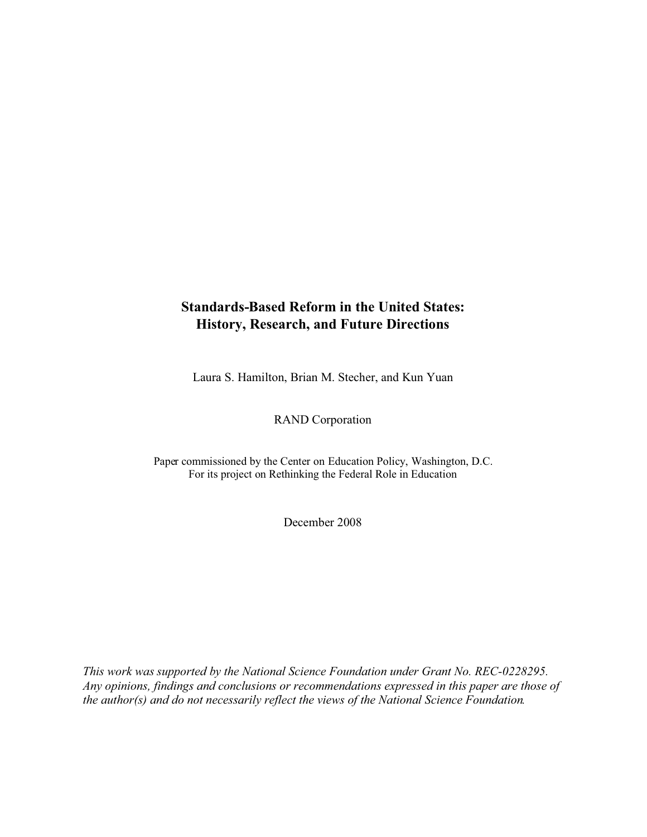# **Standards-Based Reform in the United States: History, Research, and Future Directions**

Laura S. Hamilton, Brian M. Stecher, and Kun Yuan

RAND Corporation

Paper commissioned by the Center on Education Policy, Washington, D.C. For its project on Rethinking the Federal Role in Education

December 2008

*This work was supported by the National Science Foundation under Grant No. REC-0228295. Any opinions, findings and conclusions or recommendations expressed in this paper are those of the author(s) and do not necessarily reflect the views of the National Science Foundation.*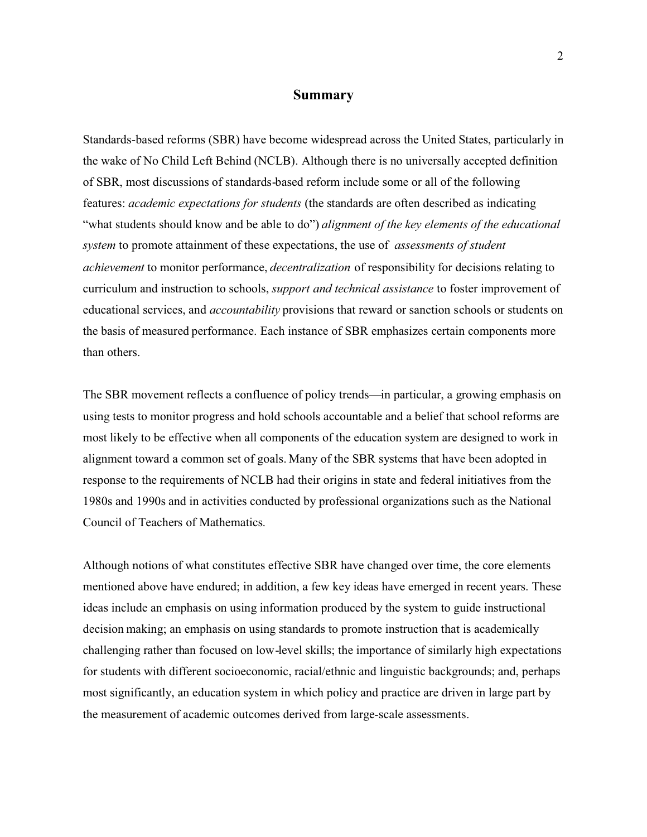#### **Summary**

<span id="page-2-0"></span>Standards-based reforms (SBR) have become widespread across the United States, particularly in the wake of No Child Left Behind (NCLB). Although there is no universally accepted definition of SBR, most discussions of standards-based reform include some or all of the following features: *academic expectations for students* (the standards are often described as indicating "what students should know and be able to do") *alignment of the key elements of the educational system* to promote attainment of these expectations, the use of *assessments of student achievement* to monitor performance, *decentralization* of responsibility for decisions relating to curriculum and instruction to schools, *support and technical assistance* to foster improvement of educational services, and *accountability* provisions that reward or sanction schools or students on the basis of measured performance. Each instance of SBR emphasizes certain components more than others.

The SBR movement reflects a confluence of policy trends—in particular, a growing emphasis on using tests to monitor progress and hold schools accountable and a belief that school reforms are most likely to be effective when all components of the education system are designed to work in alignment toward a common set of goals. Many of the SBR systems that have been adopted in response to the requirements of NCLB had their origins in state and federal initiatives from the 1980s and 1990s and in activities conducted by professional organizations such as the National Council of Teachers of Mathematics.

Although notions of what constitutes effective SBR have changed over time, the core elements mentioned above have endured; in addition, a few key ideas have emerged in recent years. These ideas include an emphasis on using information produced by the system to guide instructional decision making; an emphasis on using standards to promote instruction that is academically challenging rather than focused on low-level skills; the importance of similarly high expectations for students with different socioeconomic, racial/ethnic and linguistic backgrounds; and, perhaps most significantly, an education system in which policy and practice are driven in large part by the measurement of academic outcomes derived from large-scale assessments.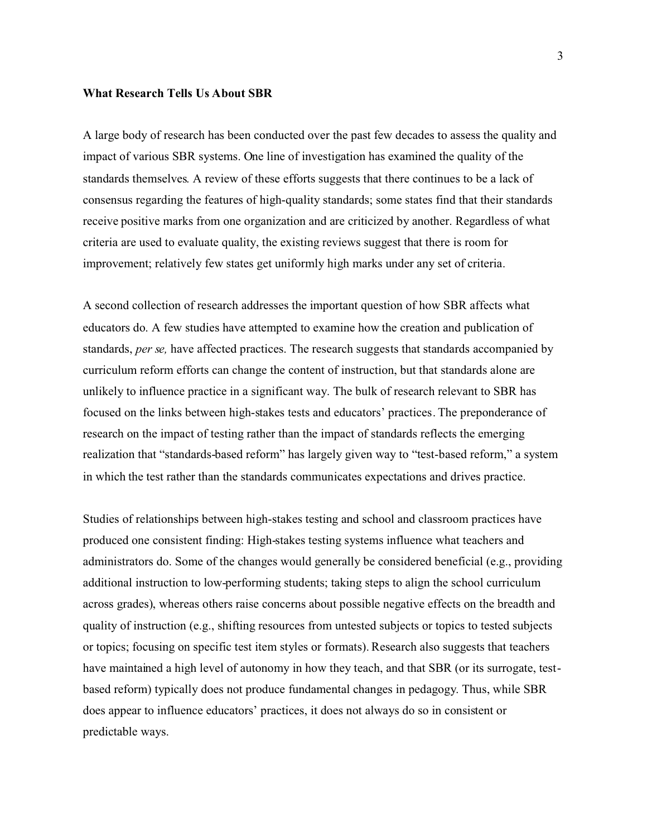#### **What Research Tells Us About SBR**

A large body of research has been conducted over the past few decades to assess the quality and impact of various SBR systems. One line of investigation has examined the quality of the standards themselves. A review of these efforts suggests that there continues to be a lack of consensus regarding the features of high-quality standards; some states find that their standards receive positive marks from one organization and are criticized by another. Regardless of what criteria are used to evaluate quality, the existing reviews suggest that there is room for improvement; relatively few states get uniformly high marks under any set of criteria.

A second collection of research addresses the important question of how SBR affects what educators do. A few studies have attempted to examine how the creation and publication of standards, *per se,* have affected practices. The research suggests that standards accompanied by curriculum reform efforts can change the content of instruction, but that standards alone are unlikely to influence practice in a significant way. The bulk of research relevant to SBR has focused on the links between high-stakes tests and educators' practices. The preponderance of research on the impact of testing rather than the impact of standards reflects the emerging realization that "standards-based reform" has largely given way to "test-based reform," a system in which the test rather than the standards communicates expectations and drives practice.

Studies of relationships between high-stakes testing and school and classroom practices have produced one consistent finding: High-stakes testing systems influence what teachers and administrators do. Some of the changes would generally be considered beneficial (e.g., providing additional instruction to low-performing students; taking steps to align the school curriculum across grades), whereas others raise concerns about possible negative effects on the breadth and quality of instruction (e.g., shifting resources from untested subjects or topics to tested subjects or topics; focusing on specific test item styles or formats). Research also suggests that teachers have maintained a high level of autonomy in how they teach, and that SBR (or its surrogate, testbased reform) typically does not produce fundamental changes in pedagogy. Thus, while SBR does appear to influence educators' practices, it does not always do so in consistent or predictable ways.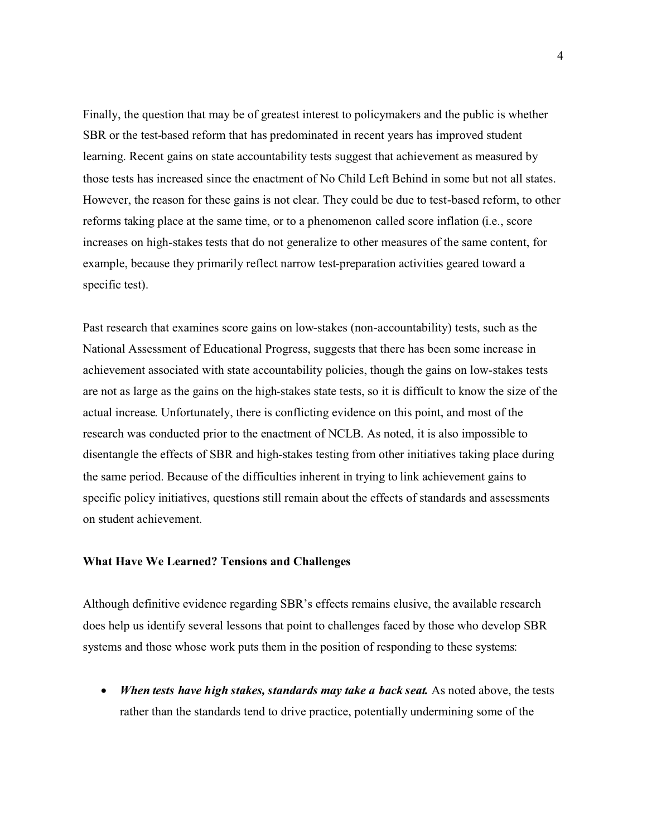Finally, the question that may be of greatest interest to policymakers and the public is whether SBR or the test-based reform that has predominated in recent years has improved student learning. Recent gains on state accountability tests suggest that achievement as measured by those tests has increased since the enactment of No Child Left Behind in some but not all states. However, the reason for these gains is not clear. They could be due to test-based reform, to other reforms taking place at the same time, or to a phenomenon called score inflation (i.e., score increases on high-stakes tests that do not generalize to other measures of the same content, for example, because they primarily reflect narrow test-preparation activities geared toward a specific test).

Past research that examines score gains on low-stakes (non-accountability) tests, such as the National Assessment of Educational Progress, suggests that there has been some increase in achievement associated with state accountability policies, though the gains on low-stakes tests are not as large as the gains on the high-stakes state tests, so it is difficult to know the size of the actual increase. Unfortunately, there is conflicting evidence on this point, and most of the research was conducted prior to the enactment of NCLB. As noted, it is also impossible to disentangle the effects of SBR and high-stakes testing from other initiatives taking place during the same period. Because of the difficulties inherent in trying to link achievement gains to specific policy initiatives, questions still remain about the effects of standards and assessments on student achievement.

#### **What Have We Learned? Tensions and Challenges**

Although definitive evidence regarding SBR's effects remains elusive, the available research does help us identify several lessons that point to challenges faced by those who develop SBR systems and those whose work puts them in the position of responding to these systems:

• When tests have high stakes, standards may take a back seat. As noted above, the tests rather than the standards tend to drive practice, potentially undermining some of the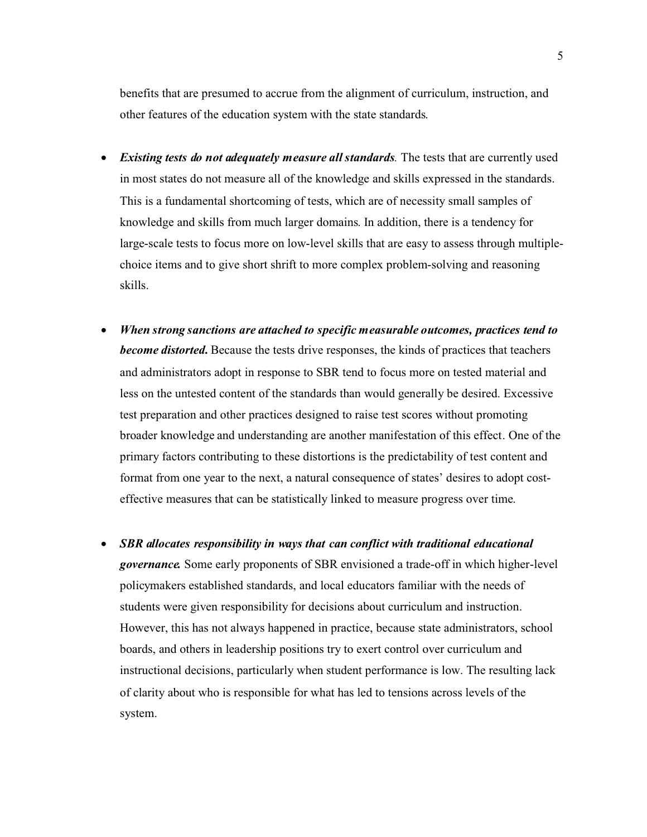benefits that are presumed to accrue from the alignment of curriculum, instruction, and other features of the education system with the state standards.

- $\bullet$  *Existing tests do not adequately measure all standards.* The tests that are currently used in most states do not measure all of the knowledge and skills expressed in the standards. This is a fundamental shortcoming of tests, which are of necessity small samples of knowledge and skills from much larger domains. In addition, there is a tendency for large-scale tests to focus more on low-level skills that are easy to assess through multiplechoice items and to give short shrift to more complex problem-solving and reasoning skills.
- $\bullet$  *When strong sanctions are attached to specific measurable outcomes, practices tend to become distorted.* Because the tests drive responses, the kinds of practices that teachers and administrators adopt in response to SBR tend to focus more on tested material and less on the untested content of the standards than would generally be desired. Excessive test preparation and other practices designed to raise test scores without promoting broader knowledge and understanding are another manifestation of this effect. One of the primary factors contributing to these distortions is the predictability of test content and format from one year to the next, a natural consequence of states' desires to adopt costeffective measures that can be statistically linked to measure progress over time.
- $\bullet$  *SBR allocates responsibility in ways that can conflict with traditional educational governance.* Some early proponents of SBR envisioned a trade-off in which higher-level policymakers established standards, and local educators familiar with the needs of students were given responsibility for decisions about curriculum and instruction. However, this has not always happened in practice, because state administrators, school boards, and others in leadership positions try to exert control over curriculum and instructional decisions, particularly when student performance is low. The resulting lack of clarity about who is responsible for what has led to tensions across levels of the system.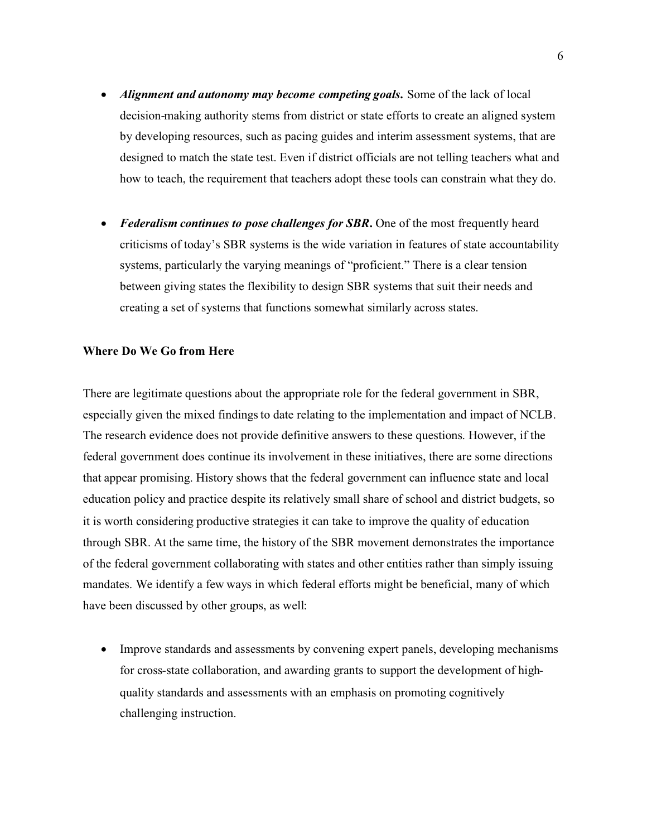- $\bullet$  *Alignment and autonomy may become competing goals.* Some of the lack of local decision-making authority stems from district or state efforts to create an aligned system by developing resources, such as pacing guides and interim assessment systems, that are designed to match the state test. Even if district officials are not telling teachers what and how to teach, the requirement that teachers adopt these tools can constrain what they do.
- $\bullet$  *Federalism continues to pose challenges for SBR.* One of the most frequently heard criticisms of today's SBR systems is the wide variation in features of state accountability systems, particularly the varying meanings of "proficient." There is a clear tension between giving states the flexibility to design SBR systems that suit their needs and creating a set of systems that functions somewhat similarly across states.

### **Where Do We Go from Here**

There are legitimate questions about the appropriate role for the federal government in SBR, especially given the mixed findings to date relating to the implementation and impact of NCLB. The research evidence does not provide definitive answers to these questions. However, if the federal government does continue its involvement in these initiatives, there are some directions that appear promising. History shows that the federal government can influence state and local education policy and practice despite its relatively small share of school and district budgets, so it is worth considering productive strategies it can take to improve the quality of education through SBR. At the same time, the history of the SBR movement demonstrates the importance of the federal government collaborating with states and other entities rather than simply issuing mandates. We identify a few ways in which federal efforts might be beneficial, many of which have been discussed by other groups, as well:

- Improve standards and assessments by convening expert panels, developing mechanisms for cross-state collaboration, and awarding grants to support the development of highquality standards and assessments with an emphasis on promoting cognitively challenging instruction.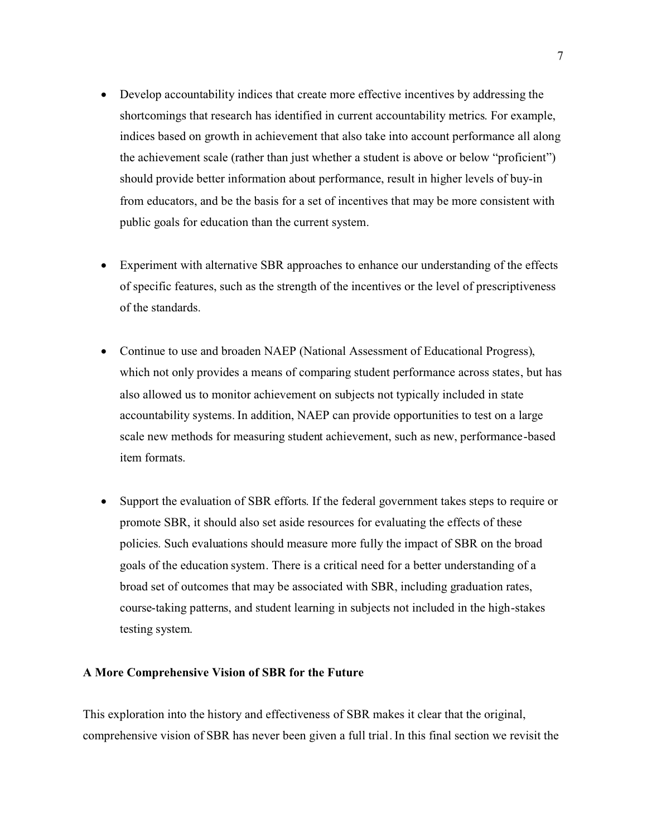- $\bullet$  Develop accountability indices that create more effective incentives by addressing the shortcomings that research has identified in current accountability metrics. For example, indices based on growth in achievement that also take into account performance all along the achievement scale (rather than just whether a student is above or below "proficient") should provide better information about performance, result in higher levels of buy-in from educators, and be the basis for a set of incentives that may be more consistent with public goals for education than the current system.
- - Experiment with alternative SBR approaches to enhance our understanding of the effects of specific features, such as the strength of the incentives or the level of prescriptiveness of the standards.
- $\bullet$  Continue to use and broaden NAEP (National Assessment of Educational Progress), which not only provides a means of comparing student performance across states, but has also allowed us to monitor achievement on subjects not typically included in state accountability systems. In addition, NAEP can provide opportunities to test on a large scale new methods for measuring student achievement, such as new, performance-based item formats.
- $\bullet$  Support the evaluation of SBR efforts. If the federal government takes steps to require or promote SBR, it should also set aside resources for evaluating the effects of these policies. Such evaluations should measure more fully the impact of SBR on the broad goals of the education system. There is a critical need for a better understanding of a broad set of outcomes that may be associated with SBR, including graduation rates, course-taking patterns, and student learning in subjects not included in the high-stakes testing system.

#### **A More Comprehensive Vision of SBR for the Future**

This exploration into the history and effectiveness of SBR makes it clear that the original, comprehensive vision of SBR has never been given a full trial. In this final section we revisit the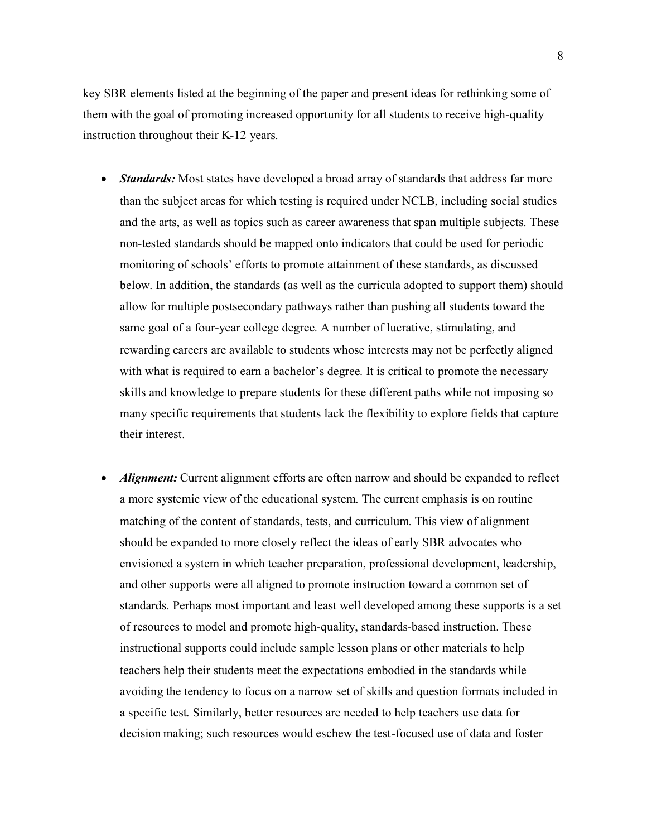key SBR elements listed at the beginning of the paper and present ideas for rethinking some of them with the goal of promoting increased opportunity for all students to receive high-quality instruction throughout their K-12 years.

- $\bullet$  *Standards:* Most states have developed a broad array of standards that address far more than the subject areas for which testing is required under NCLB, including social studies and the arts, as well as topics such as career awareness that span multiple subjects. These non-tested standards should be mapped onto indicators that could be used for periodic monitoring of schools' efforts to promote attainment of these standards, as discussed below. In addition, the standards (as well as the curricula adopted to support them) should allow for multiple postsecondary pathways rather than pushing all students toward the same goal of a four-year college degree. A number of lucrative, stimulating, and rewarding careers are available to students whose interests may not be perfectly aligned with what is required to earn a bachelor's degree. It is critical to promote the necessary skills and knowledge to prepare students for these different paths while not imposing so many specific requirements that students lack the flexibility to explore fields that capture their interest.
- - *Alignment:* Current alignment efforts are often narrow and should be expanded to reflect a more systemic view of the educational system. The current emphasis is on routine matching of the content of standards, tests, and curriculum. This view of alignment should be expanded to more closely reflect the ideas of early SBR advocates who envisioned a system in which teacher preparation, professional development, leadership, and other supports were all aligned to promote instruction toward a common set of standards. Perhaps most important and least well developed among these supports is a set of resources to model and promote high-quality, standards-based instruction. These instructional supports could include sample lesson plans or other materials to help teachers help their students meet the expectations embodied in the standards while avoiding the tendency to focus on a narrow set of skills and question formats included in a specific test. Similarly, better resources are needed to help teachers use data for decision making; such resources would eschew the test-focused use of data and foster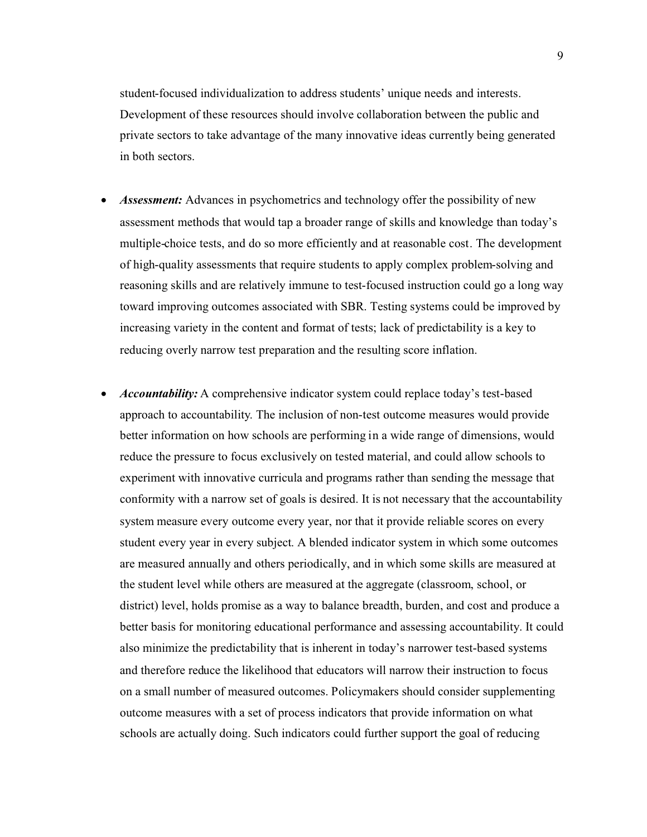student-focused individualization to address students' unique needs and interests. Development of these resources should involve collaboration between the public and private sectors to take advantage of the many innovative ideas currently being generated in both sectors.

- $\bullet$  *Assessment:* Advances in psychometrics and technology offer the possibility of new assessment methods that would tap a broader range of skills and knowledge than today's multiple-choice tests, and do so more efficiently and at reasonable cost. The development of high-quality assessments that require students to apply complex problem-solving and reasoning skills and are relatively immune to test-focused instruction could go a long way toward improving outcomes associated with SBR. Testing systems could be improved by increasing variety in the content and format of tests; lack of predictability is a key to reducing overly narrow test preparation and the resulting score inflation.
- *Accountability:* A comprehensive indicator system could replace today's test-based approach to accountability. The inclusion of non-test outcome measures would provide better information on how schools are performing in a wide range of dimensions, would reduce the pressure to focus exclusively on tested material, and could allow schools to experiment with innovative curricula and programs rather than sending the message that conformity with a narrow set of goals is desired. It is not necessary that the accountability system measure every outcome every year, nor that it provide reliable scores on every student every year in every subject. A blended indicator system in which some outcomes are measured annually and others periodically, and in which some skills are measured at the student level while others are measured at the aggregate (classroom, school, or district) level, holds promise as a way to balance breadth, burden, and cost and produce a better basis for monitoring educational performance and assessing accountability. It could also minimize the predictability that is inherent in today's narrower test-based systems and therefore reduce the likelihood that educators will narrow their instruction to focus on a small number of measured outcomes. Policymakers should consider supplementing outcome measures with a set of process indicators that provide information on what schools are actually doing. Such indicators could further support the goal of reducing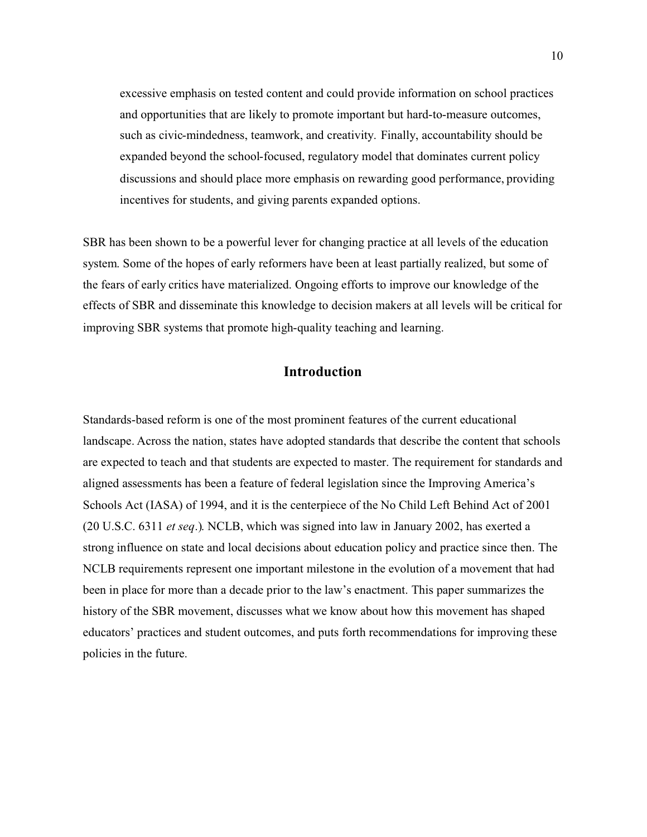excessive emphasis on tested content and could provide information on school practices and opportunities that are likely to promote important but hard-to-measure outcomes, such as civic-mindedness, teamwork, and creativity. Finally, accountability should be expanded beyond the school-focused, regulatory model that dominates current policy discussions and should place more emphasis on rewarding good performance, providing incentives for students, and giving parents expanded options.

SBR has been shown to be a powerful lever for changing practice at all levels of the education system. Some of the hopes of early reformers have been at least partially realized, but some of the fears of early critics have materialized. Ongoing efforts to improve our knowledge of the effects of SBR and disseminate this knowledge to decision makers at all levels will be critical for improving SBR systems that promote high-quality teaching and learning.

## **Introduction**

Standards-based reform is one of the most prominent features of the current educational landscape. Across the nation, states have adopted standards that describe the content that schools are expected to teach and that students are expected to master. The requirement for standards and aligned assessments has been a feature of federal legislation since the Improving America's Schools Act (IASA) of 1994, and it is the centerpiece of the No Child Left Behind Act of 2001 (20 U.S.C. 6311 *et seq*.). NCLB, which was signed into law in January 2002, has exerted a strong influence on state and local decisions about education policy and practice since then. The NCLB requirements represent one important milestone in the evolution of a movement that had been in place for more than a decade prior to the law's enactment. This paper summarizes the history of the SBR movement, discusses what we know about how this movement has shaped educators' practices and student outcomes, and puts forth recommendations for improving these policies in the future.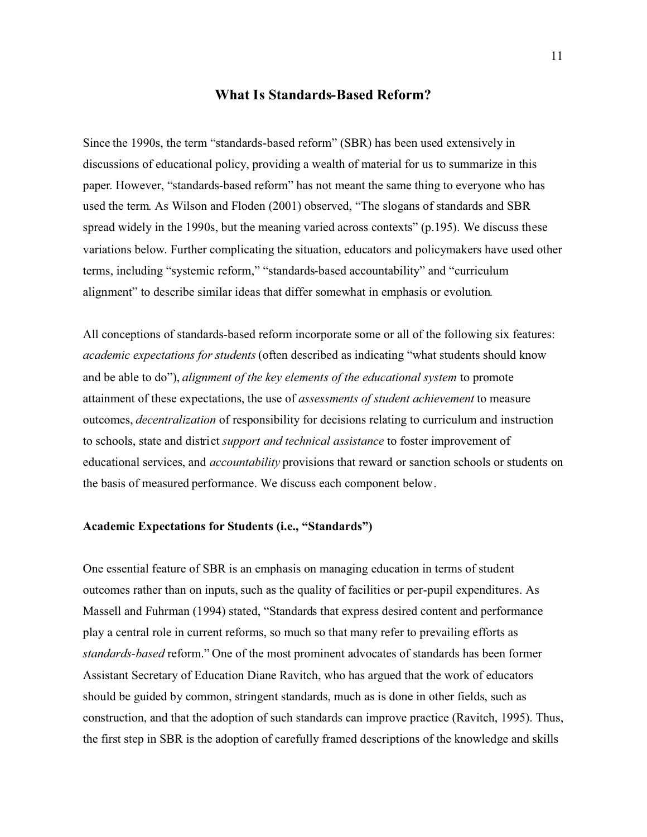# **What Is Standards-Based Reform?**

Since the 1990s, the term "standards-based reform" (SBR) has been used extensively in discussions of educational policy, providing a wealth of material for us to summarize in this paper. However, "standards-based reform" has not meant the same thing to everyone who has used the term. As Wilson and Floden (2001) observed, "The slogans of standards and SBR spread widely in the 1990s, but the meaning varied across contexts" (p.195). We discuss these variations below. Further complicating the situation, educators and policymakers have used other terms, including "systemic reform," "standards-based accountability" and "curriculum alignment" to describe similar ideas that differ somewhat in emphasis or evolution.

All conceptions of standards-based reform incorporate some or all of the following six features: *academic expectations for students*(often described as indicating "what students should know and be able to do"), *alignment of the key elements of the educational system* to promote attainment of these expectations, the use of *assessments of student achievement* to measure outcomes, *decentralization* of responsibility for decisions relating to curriculum and instruction to schools, state and district *support and technical assistance* to foster improvement of educational services, and *accountability* provisions that reward or sanction schools or students on the basis of measured performance. We discuss each component below.

## **Academic Expectations for Students (i.e., "Standards")**

One essential feature of SBR is an emphasis on managing education in terms of student outcomes rather than on inputs, such as the quality of facilities or per-pupil expenditures. As Massell and Fuhrman (1994) stated, "Standards that express desired content and performance play a central role in current reforms, so much so that many refer to prevailing efforts as *standards-based* reform." One of the most prominent advocates of standards has been former Assistant Secretary of Education Diane Ravitch, who has argued that the work of educators should be guided by common, stringent standards, much as is done in other fields, such as construction, and that the adoption of such standards can improve practice (Ravitch, 1995). Thus, the first step in SBR is the adoption of carefully framed descriptions of the knowledge and skills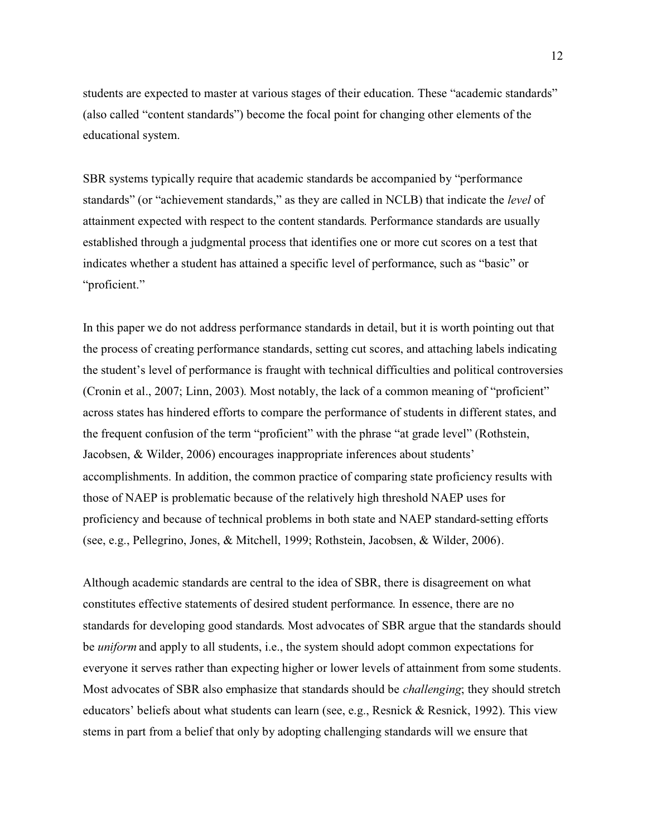students are expected to master at various stages of their education. These "academic standards" (also called "content standards") become the focal point for changing other elements of the educational system.

SBR systems typically require that academic standards be accompanied by "performance standards" (or "achievement standards," as they are called in NCLB) that indicate the *level* of attainment expected with respect to the content standards. Performance standards are usually established through a judgmental process that identifies one or more cut scores on a test that indicates whether a student has attained a specific level of performance, such as "basic" or "proficient."

In this paper we do not address performance standards in detail, but it is worth pointing out that the process of creating performance standards, setting cut scores, and attaching labels indicating the student's level of performance is fraught with technical difficulties and political controversies (Cronin et al., 2007; Linn, 2003). Most notably, the lack of a common meaning of "proficient" across states has hindered efforts to compare the performance of students in different states, and the frequent confusion of the term "proficient" with the phrase "at grade level" (Rothstein, Jacobsen, & Wilder, 2006) encourages inappropriate inferences about students' accomplishments. In addition, the common practice of comparing state proficiency results with those of NAEP is problematic because of the relatively high threshold NAEP uses for proficiency and because of technical problems in both state and NAEP standard-setting efforts (see, e.g., Pellegrino, Jones, & Mitchell, 1999; Rothstein, Jacobsen, & Wilder, 2006).

Although academic standards are central to the idea of SBR, there is disagreement on what constitutes effective statements of desired student performance. In essence, there are no standards for developing good standards. Most advocates of SBR argue that the standards should be *uniform* and apply to all students, i.e., the system should adopt common expectations for everyone it serves rather than expecting higher or lower levels of attainment from some students. Most advocates of SBR also emphasize that standards should be *challenging*; they should stretch educators' beliefs about what students can learn (see, e.g., Resnick & Resnick, 1992). This view stems in part from a belief that only by adopting challenging standards will we ensure that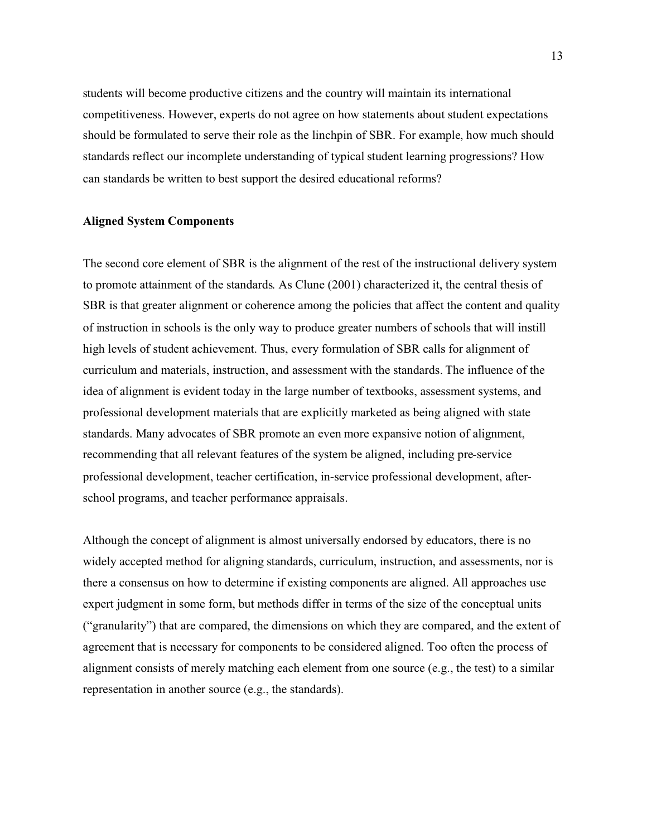students will become productive citizens and the country will maintain its international competitiveness. However, experts do not agree on how statements about student expectations should be formulated to serve their role as the linchpin of SBR. For example, how much should standards reflect our incomplete understanding of typical student learning progressions? How can standards be written to best support the desired educational reforms?

### **Aligned System Components**

The second core element of SBR is the alignment of the rest of the instructional delivery system to promote attainment of the standards. As Clune (2001) characterized it, the central thesis of SBR is that greater alignment or coherence among the policies that affect the content and quality of instruction in schools is the only way to produce greater numbers of schools that will instill high levels of student achievement. Thus, every formulation of SBR calls for alignment of curriculum and materials, instruction, and assessment with the standards. The influence of the idea of alignment is evident today in the large number of textbooks, assessment systems, and professional development materials that are explicitly marketed as being aligned with state standards. Many advocates of SBR promote an even more expansive notion of alignment, recommending that all relevant features of the system be aligned, including pre-service professional development, teacher certification, in-service professional development, afterschool programs, and teacher performance appraisals.

Although the concept of alignment is almost universally endorsed by educators, there is no widely accepted method for aligning standards, curriculum, instruction, and assessments, nor is there a consensus on how to determine if existing components are aligned. All approaches use expert judgment in some form, but methods differ in terms of the size of the conceptual units ("granularity") that are compared, the dimensions on which they are compared, and the extent of agreement that is necessary for components to be considered aligned. Too often the process of alignment consists of merely matching each element from one source (e.g., the test) to a similar representation in another source (e.g., the standards).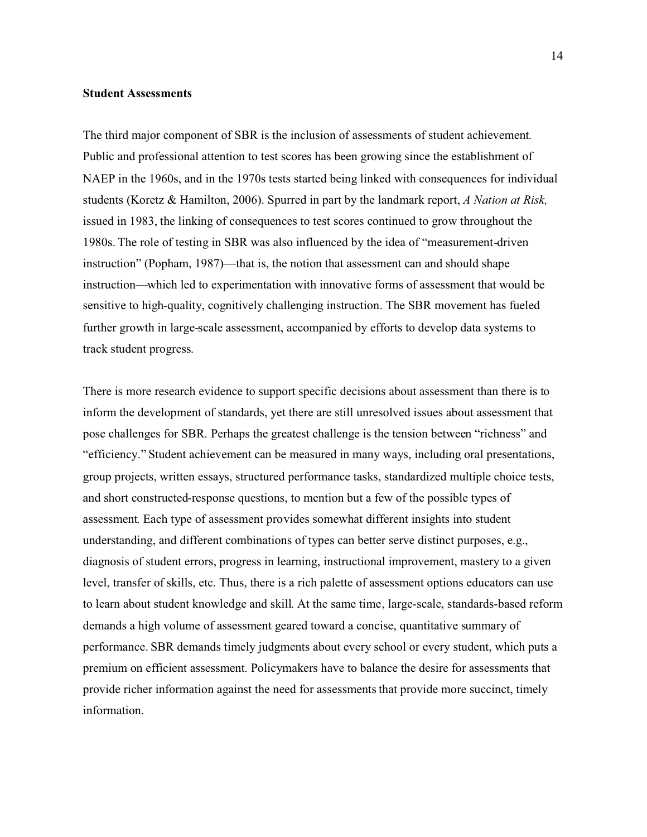#### **Student Assessments**

The third major component of SBR is the inclusion of assessments of student achievement. Public and professional attention to test scores has been growing since the establishment of NAEP in the 1960s, and in the 1970s tests started being linked with consequences for individual students (Koretz & Hamilton, 2006). Spurred in part by the landmark report, *A Nation at Risk,* issued in 1983, the linking of consequences to test scores continued to grow throughout the 1980s. The role of testing in SBR was also influenced by the idea of "measurement-driven instruction" (Popham, 1987)—that is, the notion that assessment can and should shape instruction—which led to experimentation with innovative forms of assessment that would be sensitive to high-quality, cognitively challenging instruction. The SBR movement has fueled further growth in large-scale assessment, accompanied by efforts to develop data systems to track student progress.

There is more research evidence to support specific decisions about assessment than there is to inform the development of standards, yet there are still unresolved issues about assessment that pose challenges for SBR. Perhaps the greatest challenge is the tension between "richness" and "efficiency." Student achievement can be measured in many ways, including oral presentations, group projects, written essays, structured performance tasks, standardized multiple choice tests, and short constructed-response questions, to mention but a few of the possible types of assessment. Each type of assessment provides somewhat different insights into student understanding, and different combinations of types can better serve distinct purposes, e.g., diagnosis of student errors, progress in learning, instructional improvement, mastery to a given level, transfer of skills, etc. Thus, there is a rich palette of assessment options educators can use to learn about student knowledge and skill. At the same time, large-scale, standards-based reform demands a high volume of assessment geared toward a concise, quantitative summary of performance. SBR demands timely judgments about every school or every student, which puts a premium on efficient assessment. Policymakers have to balance the desire for assessments that provide richer information against the need for assessments that provide more succinct, timely information.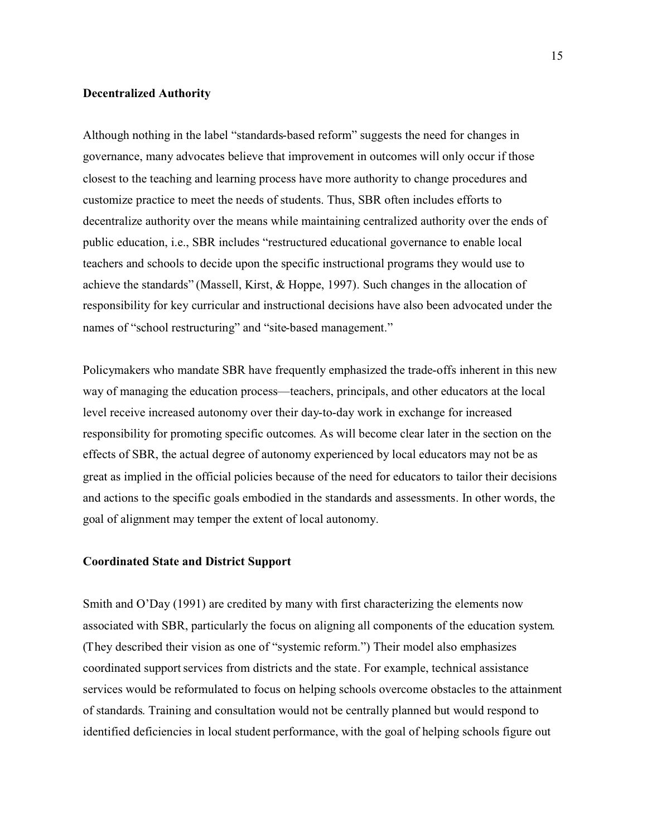#### **Decentralized Authority**

Although nothing in the label "standards-based reform" suggests the need for changes in governance, many advocates believe that improvement in outcomes will only occur if those closest to the teaching and learning process have more authority to change procedures and customize practice to meet the needs of students. Thus, SBR often includes efforts to decentralize authority over the means while maintaining centralized authority over the ends of public education, i.e., SBR includes "restructured educational governance to enable local teachers and schools to decide upon the specific instructional programs they would use to achieve the standards" (Massell, Kirst, & Hoppe, 1997). Such changes in the allocation of responsibility for key curricular and instructional decisions have also been advocated under the names of "school restructuring" and "site-based management."

Policymakers who mandate SBR have frequently emphasized the trade-offs inherent in this new way of managing the education process—teachers, principals, and other educators at the local level receive increased autonomy over their day-to-day work in exchange for increased responsibility for promoting specific outcomes. As will become clear later in the section on the effects of SBR, the actual degree of autonomy experienced by local educators may not be as great as implied in the official policies because of the need for educators to tailor their decisions and actions to the specific goals embodied in the standards and assessments. In other words, the goal of alignment may temper the extent of local autonomy.

#### **Coordinated State and District Support**

Smith and O'Day (1991) are credited by many with first characterizing the elements now associated with SBR, particularly the focus on aligning all components of the education system. (They described their vision as one of "systemic reform.") Their model also emphasizes coordinated support services from districts and the state. For example, technical assistance services would be reformulated to focus on helping schools overcome obstacles to the attainment of standards. Training and consultation would not be centrally planned but would respond to identified deficiencies in local student performance, with the goal of helping schools figure out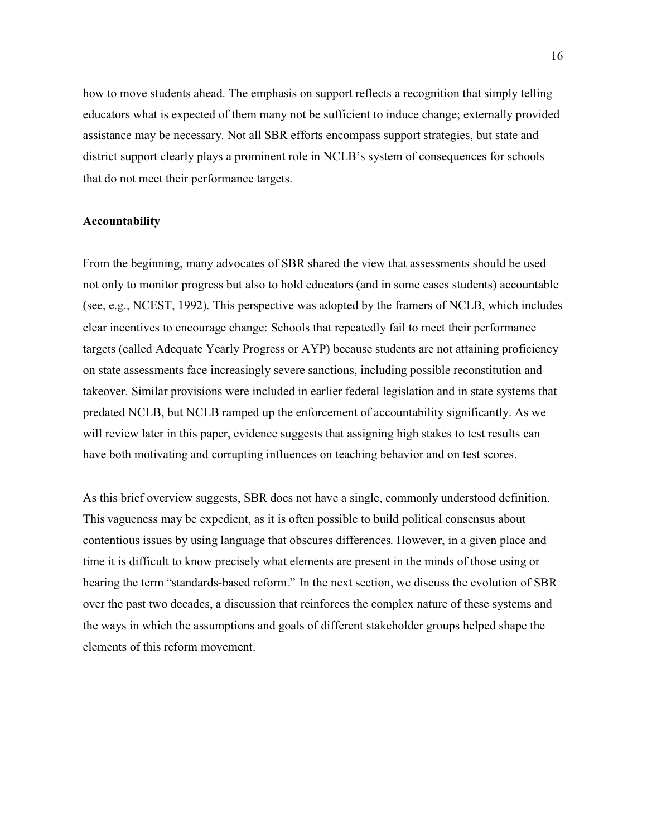how to move students ahead. The emphasis on support reflects a recognition that simply telling educators what is expected of them many not be sufficient to induce change; externally provided assistance may be necessary. Not all SBR efforts encompass support strategies, but state and district support clearly plays a prominent role in NCLB's system of consequences for schools that do not meet their performance targets.

#### **Accountability**

From the beginning, many advocates of SBR shared the view that assessments should be used not only to monitor progress but also to hold educators (and in some cases students) accountable (see, e.g., NCEST, 1992). This perspective was adopted by the framers of NCLB, which includes clear incentives to encourage change: Schools that repeatedly fail to meet their performance targets (called Adequate Yearly Progress or AYP) because students are not attaining proficiency on state assessments face increasingly severe sanctions, including possible reconstitution and takeover. Similar provisions were included in earlier federal legislation and in state systems that predated NCLB, but NCLB ramped up the enforcement of accountability significantly. As we will review later in this paper, evidence suggests that assigning high stakes to test results can have both motivating and corrupting influences on teaching behavior and on test scores.

As this brief overview suggests, SBR does not have a single, commonly understood definition. This vagueness may be expedient, as it is often possible to build political consensus about contentious issues by using language that obscures differences. However, in a given place and time it is difficult to know precisely what elements are present in the minds of those using or hearing the term "standards-based reform." In the next section, we discuss the evolution of SBR over the past two decades, a discussion that reinforces the complex nature of these systems and the ways in which the assumptions and goals of different stakeholder groups helped shape the elements of this reform movement.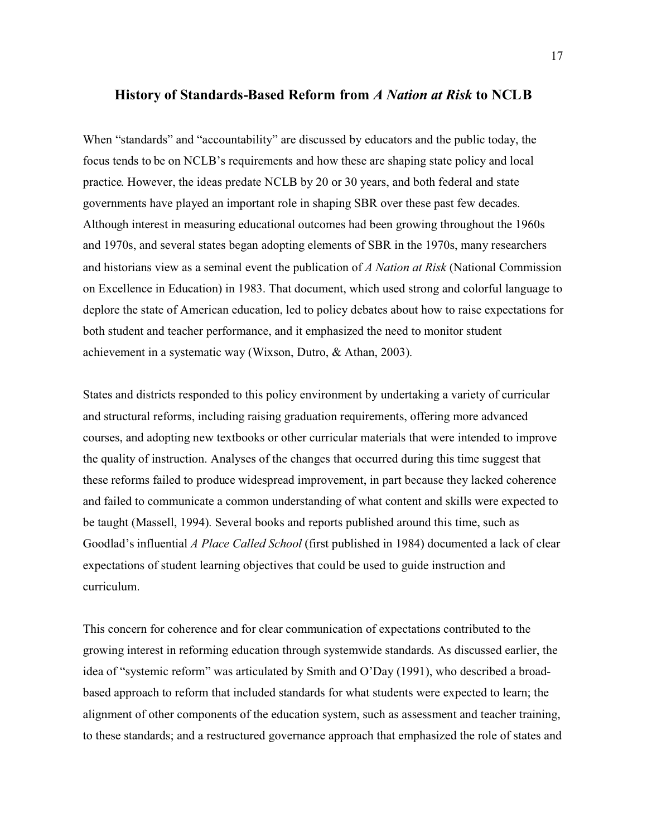#### **History of Standards-Based Reform from** *A Nation at Risk* **to NCLB**

When "standards" and "accountability" are discussed by educators and the public today, the focus tends to be on NCLB's requirements and how these are shaping state policy and local practice. However, the ideas predate NCLB by 20 or 30 years, and both federal and state governments have played an important role in shaping SBR over these past few decades. Although interest in measuring educational outcomes had been growing throughout the 1960s and 1970s, and several states began adopting elements of SBR in the 1970s, many researchers and historians view as a seminal event the publication of *A Nation at Risk* (National Commission on Excellence in Education) in 1983. That document, which used strong and colorful language to deplore the state of American education, led to policy debates about how to raise expectations for both student and teacher performance, and it emphasized the need to monitor student achievement in a systematic way (Wixson, Dutro, & Athan, 2003).

States and districts responded to this policy environment by undertaking a variety of curricular and structural reforms, including raising graduation requirements, offering more advanced courses, and adopting new textbooks or other curricular materials that were intended to improve the quality of instruction. Analyses of the changes that occurred during this time suggest that these reforms failed to produce widespread improvement, in part because they lacked coherence and failed to communicate a common understanding of what content and skills were expected to be taught (Massell, 1994). Several books and reports published around this time, such as Goodlad's influential *A Place Called School* (first published in 1984) documented a lack of clear expectations of student learning objectives that could be used to guide instruction and curriculum.

This concern for coherence and for clear communication of expectations contributed to the growing interest in reforming education through systemwide standards. As discussed earlier, the idea of "systemic reform" was articulated by Smith and O'Day (1991), who described a broadbased approach to reform that included standards for what students were expected to learn; the alignment of other components of the education system, such as assessment and teacher training, to these standards; and a restructured governance approach that emphasized the role of states and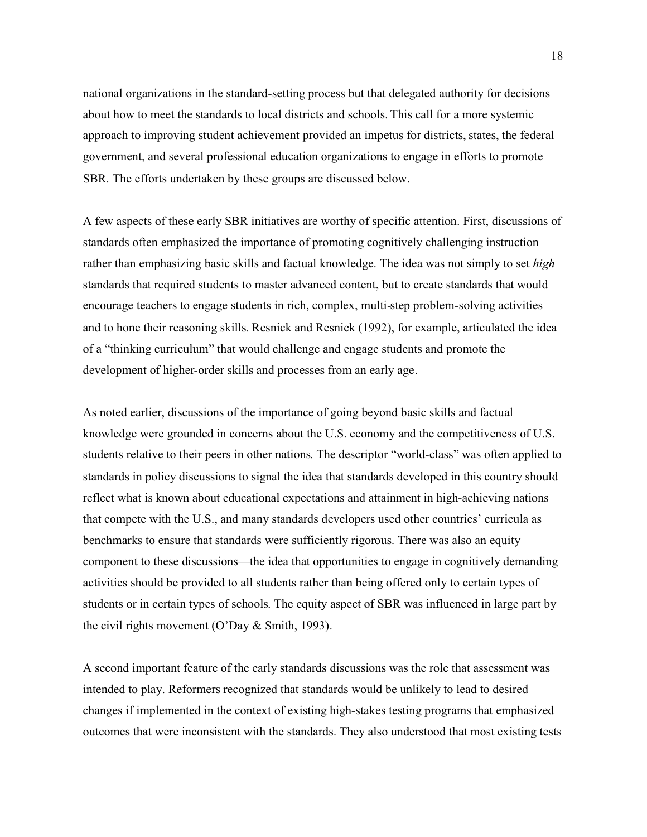national organizations in the standard-setting process but that delegated authority for decisions about how to meet the standards to local districts and schools. This call for a more systemic approach to improving student achievement provided an impetus for districts, states, the federal government, and several professional education organizations to engage in efforts to promote SBR. The efforts undertaken by these groups are discussed below.

A few aspects of these early SBR initiatives are worthy of specific attention. First, discussions of standards often emphasized the importance of promoting cognitively challenging instruction rather than emphasizing basic skills and factual knowledge. The idea was not simply to set *high* standards that required students to master advanced content, but to create standards that would encourage teachers to engage students in rich, complex, multi-step problem-solving activities and to hone their reasoning skills. Resnick and Resnick (1992), for example, articulated the idea of a "thinking curriculum" that would challenge and engage students and promote the development of higher-order skills and processes from an early age.

As noted earlier, discussions of the importance of going beyond basic skills and factual knowledge were grounded in concerns about the U.S. economy and the competitiveness of U.S. students relative to their peers in other nations. The descriptor "world-class" was often applied to standards in policy discussions to signal the idea that standards developed in this country should reflect what is known about educational expectations and attainment in high-achieving nations that compete with the U.S., and many standards developers used other countries' curricula as benchmarks to ensure that standards were sufficiently rigorous. There was also an equity component to these discussions—the idea that opportunities to engage in cognitively demanding activities should be provided to all students rather than being offered only to certain types of students or in certain types of schools. The equity aspect of SBR was influenced in large part by the civil rights movement (O'Day & Smith, 1993).

A second important feature of the early standards discussions was the role that assessment was intended to play. Reformers recognized that standards would be unlikely to lead to desired changes if implemented in the context of existing high-stakes testing programs that emphasized outcomes that were inconsistent with the standards. They also understood that most existing tests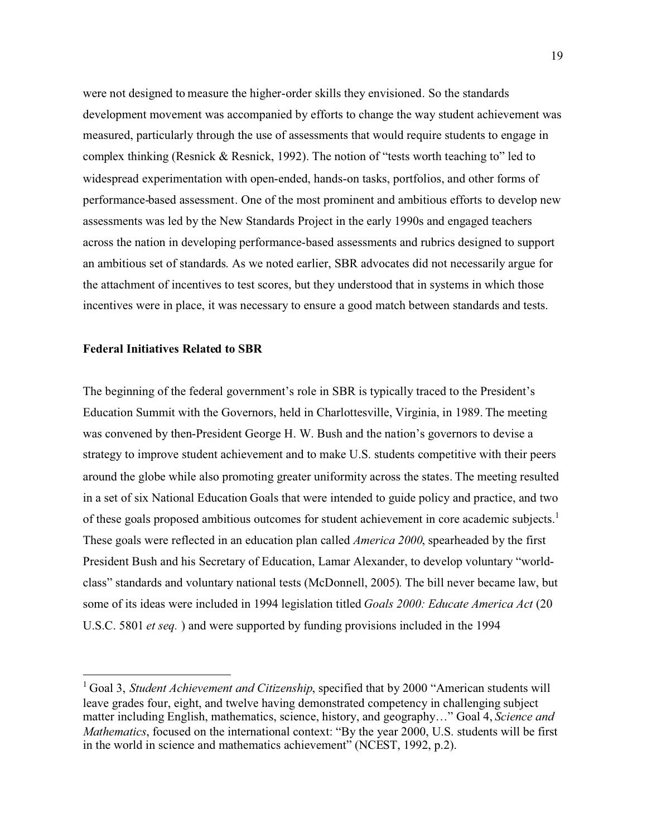were not designed to measure the higher-order skills they envisioned. So the standards development movement was accompanied by efforts to change the way student achievement was measured, particularly through the use of assessments that would require students to engage in complex thinking (Resnick & Resnick, 1992). The notion of "tests worth teaching to" led to widespread experimentation with open-ended, hands-on tasks, portfolios, and other forms of performance-based assessment. One of the most prominent and ambitious efforts to develop new assessments was led by the New Standards Project in the early 1990s and engaged teachers across the nation in developing performance-based assessments and rubrics designed to support an ambitious set of standards. As we noted earlier, SBR advocates did not necessarily argue for the attachment of incentives to test scores, but they understood that in systems in which those incentives were in place, it was necessary to ensure a good match between standards and tests.

# **Federal Initiatives Related to SBR**

The beginning of the federal government's role in SBR is typically traced to the President's Education Summit with the Governors, held in Charlottesville, Virginia, in 1989. The meeting was convened by then-President George H. W. Bush and the nation's governors to devise a strategy to improve student achievement and to make U.S. students competitive with their peers around the globe while also promoting greater uniformity across the states. The meeting resulted in a set of six National Education Goals that were intended to guide policy and practice, and two of these goals proposed ambitious outcomes for student achievement in core academic subjects.<sup>1</sup> These goals were reflected in an education plan called *America 2000*, spearheaded by the first President Bush and his Secretary of Education, Lamar Alexander, to develop voluntary "worldclass" standards and voluntary national tests (McDonnell, 2005). The bill never became law, but some of its ideas were included in 1994 legislation titled *Goals 2000: Educate America Act* (20 U.S.C. 5801 *et seq.* ) and were supported by funding provisions included in the 1994

<sup>&</sup>lt;sup>1</sup> Goal 3, *Student Achievement and Citizenship*, specified that by 2000 "American students will leave grades four, eight, and twelve having demonstrated competency in challenging subject matter including English, mathematics, science, history, and geography…" Goal 4, *Science and Mathematics*, focused on the international context: "By the year 2000, U.S. students will be first in the world in science and mathematics achievement" (NCEST, 1992, p.2).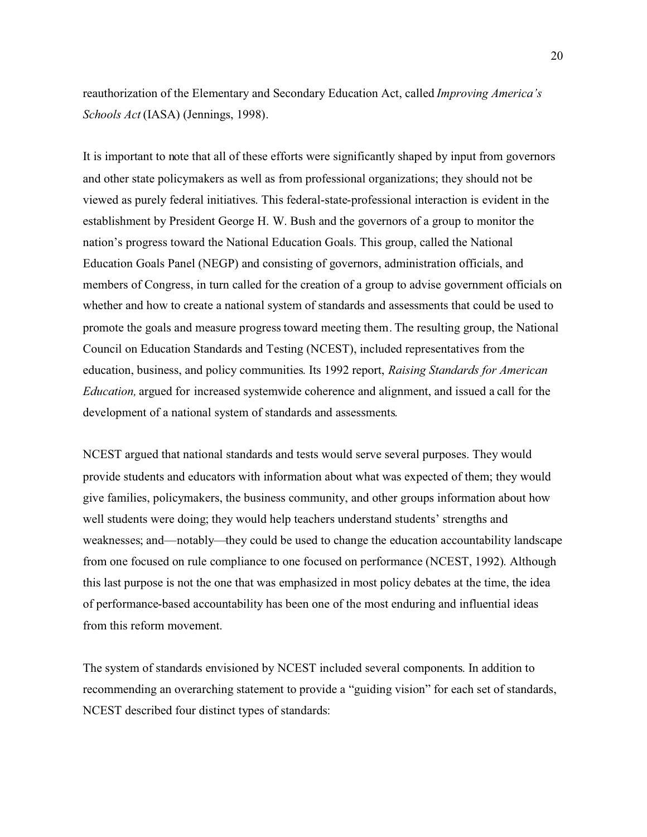reauthorization of the Elementary and Secondary Education Act, called *Improving America's Schools Act* (IASA) (Jennings, 1998).

It is important to note that all of these efforts were significantly shaped by input from governors and other state policymakers as well as from professional organizations; they should not be viewed as purely federal initiatives. This federal-state-professional interaction is evident in the establishment by President George H. W. Bush and the governors of a group to monitor the nation's progress toward the National Education Goals. This group, called the National Education Goals Panel (NEGP) and consisting of governors, administration officials, and members of Congress, in turn called for the creation of a group to advise government officials on whether and how to create a national system of standards and assessments that could be used to promote the goals and measure progress toward meeting them. The resulting group, the National Council on Education Standards and Testing (NCEST), included representatives from the education, business, and policy communities. Its 1992 report, *Raising Standards for American Education,* argued for increased systemwide coherence and alignment, and issued a call for the development of a national system of standards and assessments.

NCEST argued that national standards and tests would serve several purposes. They would provide students and educators with information about what was expected of them; they would give families, policymakers, the business community, and other groups information about how well students were doing; they would help teachers understand students' strengths and weaknesses; and—notably—they could be used to change the education accountability landscape from one focused on rule compliance to one focused on performance (NCEST, 1992). Although this last purpose is not the one that was emphasized in most policy debates at the time, the idea of performance-based accountability has been one of the most enduring and influential ideas from this reform movement.

The system of standards envisioned by NCEST included several components. In addition to recommending an overarching statement to provide a "guiding vision" for each set of standards, NCEST described four distinct types of standards: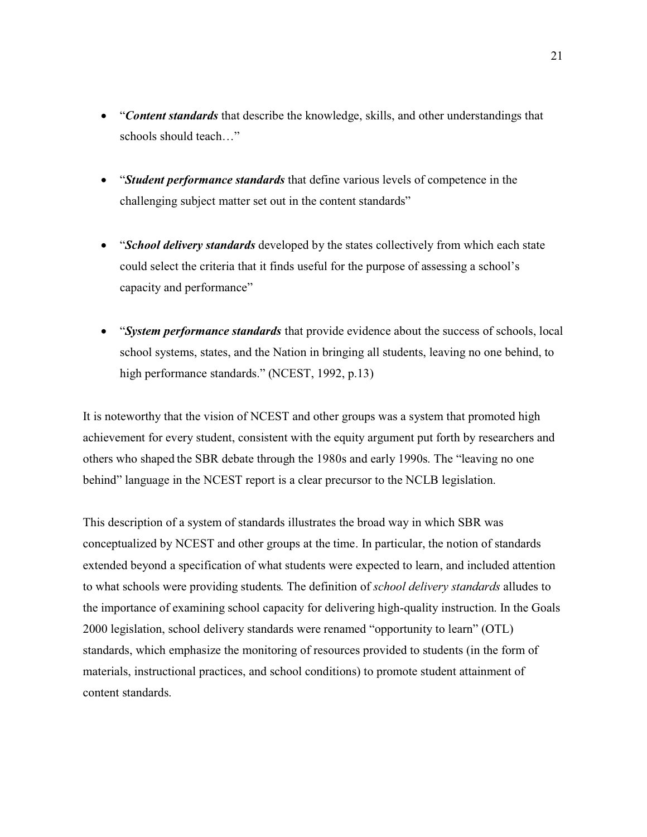- $\bullet$  "*Content standards* that describe the knowledge, skills, and other understandings that schools should teach…"
- "*Student performance standards* that define various levels of competence in the challenging subject matter set out in the content standards"
- "*School delivery standards* developed by the states collectively from which each state could select the criteria that it finds useful for the purpose of assessing a school's capacity and performance"
- $\bullet$  "*System performance standards* that provide evidence about the success of schools, local school systems, states, and the Nation in bringing all students, leaving no one behind, to high performance standards." (NCEST, 1992, p.13)

It is noteworthy that the vision of NCEST and other groups was a system that promoted high achievement for every student, consistent with the equity argument put forth by researchers and others who shaped the SBR debate through the 1980s and early 1990s. The "leaving no one behind" language in the NCEST report is a clear precursor to the NCLB legislation.

This description of a system of standards illustrates the broad way in which SBR was conceptualized by NCEST and other groups at the time. In particular, the notion of standards extended beyond a specification of what students were expected to learn, and included attention to what schools were providing students. The definition of *school delivery standards* alludes to the importance of examining school capacity for delivering high-quality instruction. In the Goals 2000 legislation, school delivery standards were renamed "opportunity to learn" (OTL) standards, which emphasize the monitoring of resources provided to students (in the form of materials, instructional practices, and school conditions) to promote student attainment of content standards.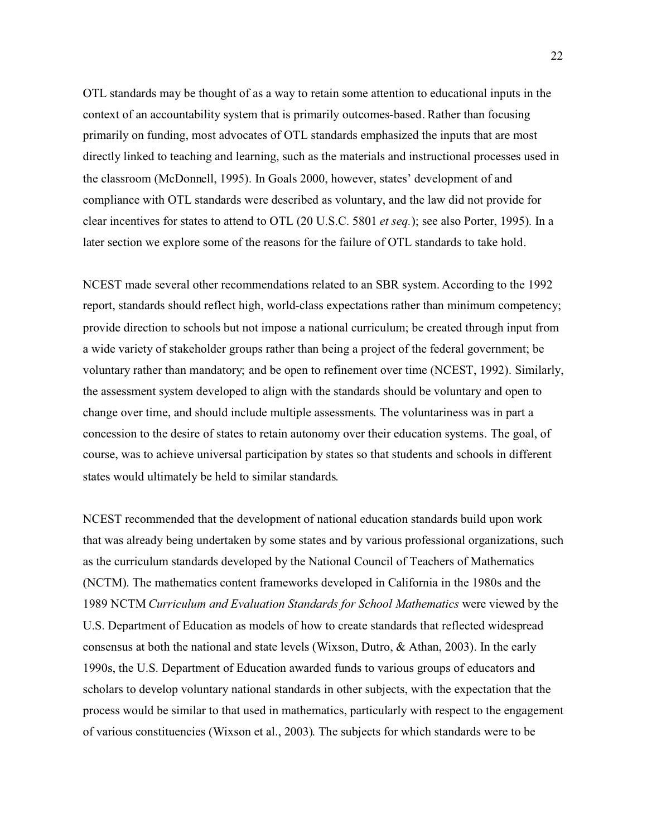OTL standards may be thought of as a way to retain some attention to educational inputs in the context of an accountability system that is primarily outcomes-based. Rather than focusing primarily on funding, most advocates of OTL standards emphasized the inputs that are most directly linked to teaching and learning, such as the materials and instructional processes used in the classroom (McDonnell, 1995). In Goals 2000, however, states' development of and compliance with OTL standards were described as voluntary, and the law did not provide for clear incentives for states to attend to OTL (20 U.S.C. 5801 *et seq.*); see also Porter, 1995). In a later section we explore some of the reasons for the failure of OTL standards to take hold.

NCEST made several other recommendations related to an SBR system. According to the 1992 report, standards should reflect high, world-class expectations rather than minimum competency; provide direction to schools but not impose a national curriculum; be created through input from a wide variety of stakeholder groups rather than being a project of the federal government; be voluntary rather than mandatory; and be open to refinement over time (NCEST, 1992). Similarly, the assessment system developed to align with the standards should be voluntary and open to change over time, and should include multiple assessments. The voluntariness was in part a concession to the desire of states to retain autonomy over their education systems. The goal, of course, was to achieve universal participation by states so that students and schools in different states would ultimately be held to similar standards.

NCEST recommended that the development of national education standards build upon work that was already being undertaken by some states and by various professional organizations, such as the curriculum standards developed by the National Council of Teachers of Mathematics (NCTM). The mathematics content frameworks developed in California in the 1980s and the 1989 NCTM *Curriculum and Evaluation Standards for School Mathematics* were viewed by the U.S. Department of Education as models of how to create standards that reflected widespread consensus at both the national and state levels (Wixson, Dutro, & Athan, 2003). In the early 1990s, the U.S. Department of Education awarded funds to various groups of educators and scholars to develop voluntary national standards in other subjects, with the expectation that the process would be similar to that used in mathematics, particularly with respect to the engagement of various constituencies (Wixson et al., 2003). The subjects for which standards were to be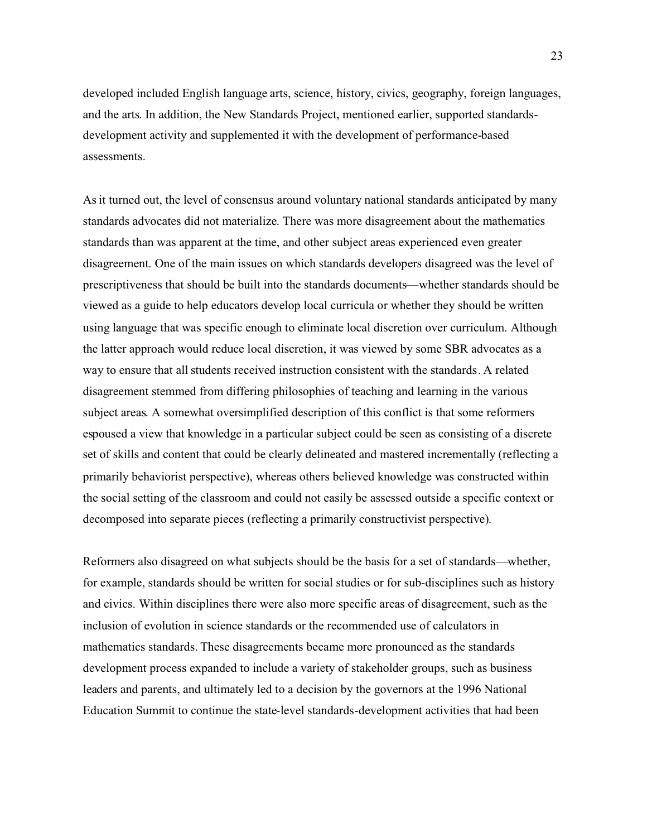developed included English language arts, science, history, civics, geography, foreign languages, and the arts. In addition, the New Standards Project, mentioned earlier, supported standardsdevelopment activity and supplemented it with the development of performance-based assessments.

As it turned out, the level of consensus around voluntary national standards anticipated by many standards advocates did not materialize. There was more disagreement about the mathematics standards than was apparent at the time, and other subject areas experienced even greater disagreement. One of the main issues on which standards developers disagreed was the level of prescriptiveness that should be built into the standards documents—whether standards should be viewed as a guide to help educators develop local curricula or whether they should be written using language that was specific enough to eliminate local discretion over curriculum. Although the latter approach would reduce local discretion, it was viewed by some SBR advocates as a way to ensure that all students received instruction consistent with the standards. A related disagreement stemmed from differing philosophies of teaching and learning in the various subject areas. A somewhat oversimplified description of this conflict is that some reformers espoused a view that knowledge in a particular subject could be seen as consisting of a discrete set of skills and content that could be clearly delineated and mastered incrementally (reflecting a primarily behaviorist perspective), whereas others believed knowledge was constructed within the social setting of the classroom and could not easily be assessed outside a specific context or decomposed into separate pieces (reflecting a primarily constructivist perspective).

Reformers also disagreed on what subjects should be the basis for a set of standards—whether, for example, standards should be written for social studies or for sub-disciplines such as history and civics. Within disciplines there were also more specific areas of disagreement, such as the inclusion of evolution in science standards or the recommended use of calculators in mathematics standards. These disagreements became more pronounced as the standards development process expanded to include a variety of stakeholder groups, such as business leaders and parents, and ultimately led to a decision by the governors at the 1996 National Education Summit to continue the state-level standards-development activities that had been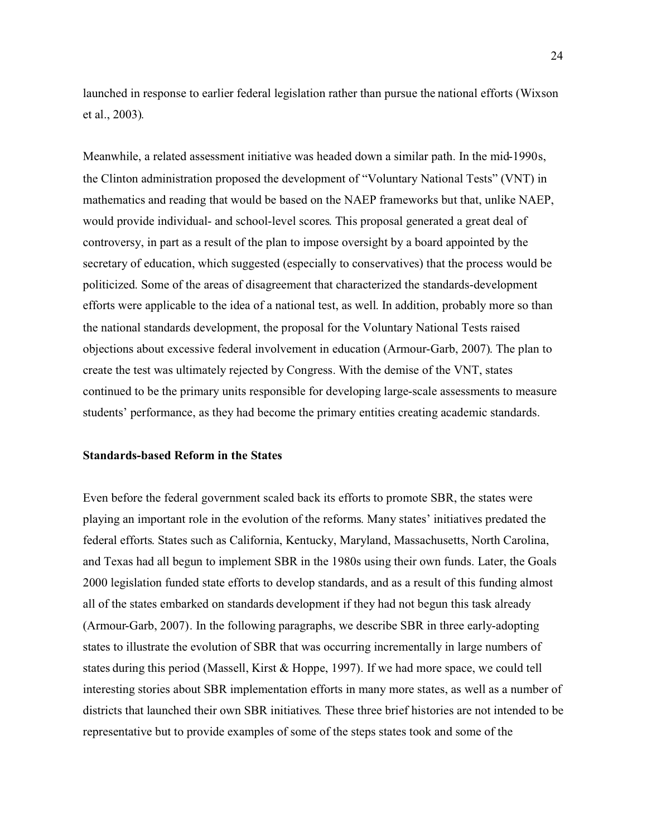launched in response to earlier federal legislation rather than pursue the national efforts (Wixson et al., 2003).

Meanwhile, a related assessment initiative was headed down a similar path. In the mid-1990s, the Clinton administration proposed the development of "Voluntary National Tests" (VNT) in mathematics and reading that would be based on the NAEP frameworks but that, unlike NAEP, would provide individual- and school-level scores. This proposal generated a great deal of controversy, in part as a result of the plan to impose oversight by a board appointed by the secretary of education, which suggested (especially to conservatives) that the process would be politicized. Some of the areas of disagreement that characterized the standards-development efforts were applicable to the idea of a national test, as well. In addition, probably more so than the national standards development, the proposal for the Voluntary National Tests raised objections about excessive federal involvement in education (Armour-Garb, 2007). The plan to create the test was ultimately rejected by Congress. With the demise of the VNT, states continued to be the primary units responsible for developing large-scale assessments to measure students' performance, as they had become the primary entities creating academic standards.

## **Standards-based Reform in the States**

Even before the federal government scaled back its efforts to promote SBR, the states were playing an important role in the evolution of the reforms. Many states' initiatives predated the federal efforts. States such as California, Kentucky, Maryland, Massachusetts, North Carolina, and Texas had all begun to implement SBR in the 1980s using their own funds. Later, the Goals 2000 legislation funded state efforts to develop standards, and as a result of this funding almost all of the states embarked on standards development if they had not begun this task already (Armour-Garb, 2007). In the following paragraphs, we describe SBR in three early-adopting states to illustrate the evolution of SBR that was occurring incrementally in large numbers of states during this period (Massell, Kirst & Hoppe, 1997). If we had more space, we could tell interesting stories about SBR implementation efforts in many more states, as well as a number of districts that launched their own SBR initiatives. These three brief histories are not intended to be representative but to provide examples of some of the steps states took and some of the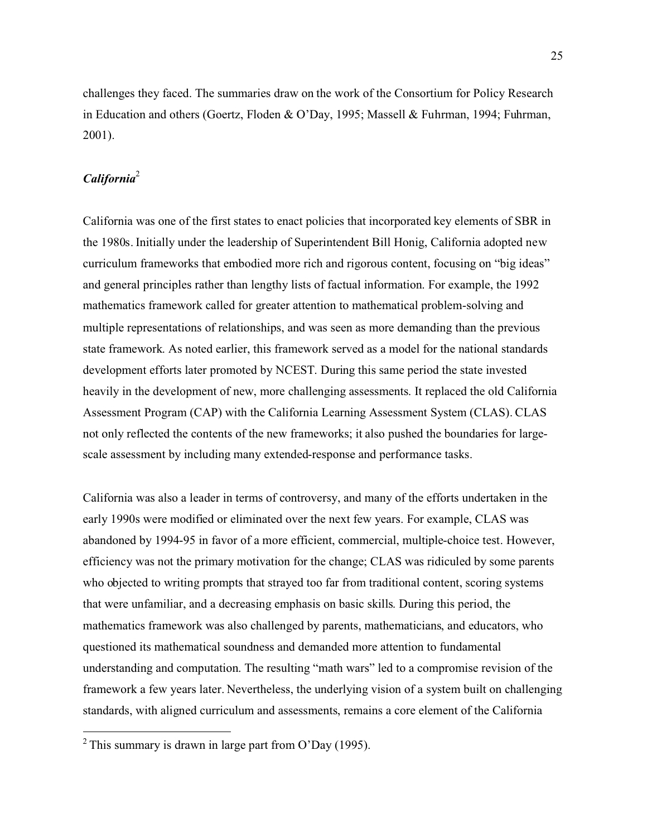challenges they faced. The summaries draw on the work of the Consortium for Policy Research in Education and others (Goertz, Floden & O'Day, 1995; Massell & Fuhrman, 1994; Fuhrman, 2001).

# *California*<sup>2</sup>

California was one of the first states to enact policies that incorporated key elements of SBR in the 1980s. Initially under the leadership of Superintendent Bill Honig, California adopted new curriculum frameworks that embodied more rich and rigorous content, focusing on "big ideas" and general principles rather than lengthy lists of factual information. For example, the 1992 mathematics framework called for greater attention to mathematical problem-solving and multiple representations of relationships, and was seen as more demanding than the previous state framework. As noted earlier, this framework served as a model for the national standards development efforts later promoted by NCEST. During this same period the state invested heavily in the development of new, more challenging assessments. It replaced the old California Assessment Program (CAP) with the California Learning Assessment System (CLAS). CLAS not only reflected the contents of the new frameworks; it also pushed the boundaries for largescale assessment by including many extended-response and performance tasks.

California was also a leader in terms of controversy, and many of the efforts undertaken in the early 1990s were modified or eliminated over the next few years. For example, CLAS was abandoned by 1994-95 in favor of a more efficient, commercial, multiple-choice test. However, efficiency was not the primary motivation for the change; CLAS was ridiculed by some parents who objected to writing prompts that strayed too far from traditional content, scoring systems that were unfamiliar, and a decreasing emphasis on basic skills. During this period, the mathematics framework was also challenged by parents, mathematicians, and educators, who questioned its mathematical soundness and demanded more attention to fundamental understanding and computation. The resulting "math wars" led to a compromise revision of the framework a few years later. Nevertheless, the underlying vision of a system built on challenging standards, with aligned curriculum and assessments, remains a core element of the California

<sup>&</sup>lt;sup>2</sup> This summary is drawn in large part from O'Day (1995).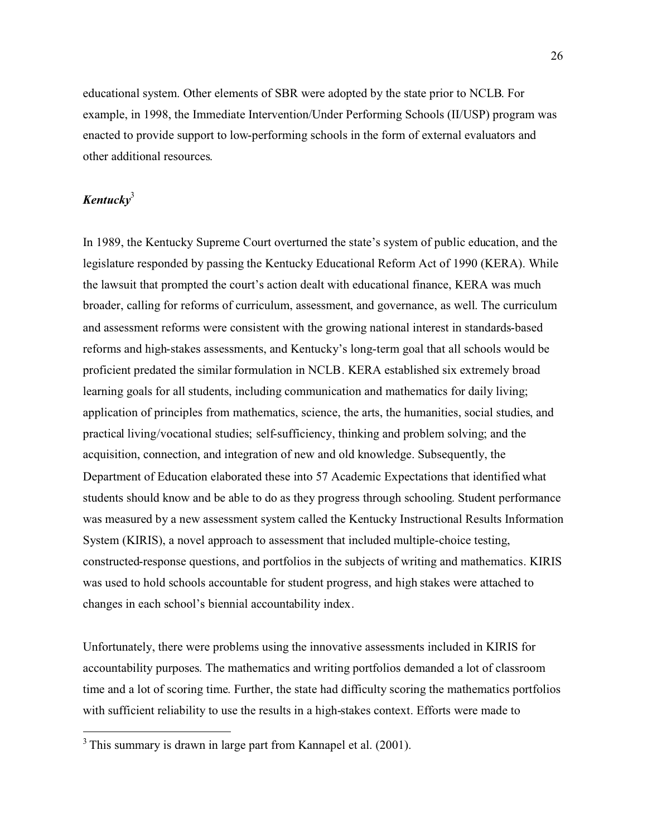educational system. Other elements of SBR were adopted by the state prior to NCLB. For example, in 1998, the Immediate Intervention/Under Performing Schools (II/USP) program was enacted to provide support to low-performing schools in the form of external evaluators and other additional resources.

# *Kentucky*<sup>3</sup>

In 1989, the Kentucky Supreme Court overturned the state's system of public education, and the legislature responded by passing the Kentucky Educational Reform Act of 1990 (KERA). While the lawsuit that prompted the court's action dealt with educational finance, KERA was much broader, calling for reforms of curriculum, assessment, and governance, as well. The curriculum and assessment reforms were consistent with the growing national interest in standards-based reforms and high-stakes assessments, and Kentucky's long-term goal that all schools would be proficient predated the similar formulation in NCLB. KERA established six extremely broad learning goals for all students, including communication and mathematics for daily living; application of principles from mathematics, science, the arts, the humanities, social studies, and practical living/vocational studies; self-sufficiency, thinking and problem solving; and the acquisition, connection, and integration of new and old knowledge. Subsequently, the Department of Education elaborated these into 57 Academic Expectations that identified what students should know and be able to do as they progress through schooling. Student performance was measured by a new assessment system called the Kentucky Instructional Results Information System (KIRIS), a novel approach to assessment that included multiple-choice testing, constructed-response questions, and portfolios in the subjects of writing and mathematics. KIRIS was used to hold schools accountable for student progress, and high stakes were attached to changes in each school's biennial accountability index.

Unfortunately, there were problems using the innovative assessments included in KIRIS for accountability purposes. The mathematics and writing portfolios demanded a lot of classroom time and a lot of scoring time. Further, the state had difficulty scoring the mathematics portfolios with sufficient reliability to use the results in a high-stakes context. Efforts were made to

 $3$  This summary is drawn in large part from Kannapel et al. (2001).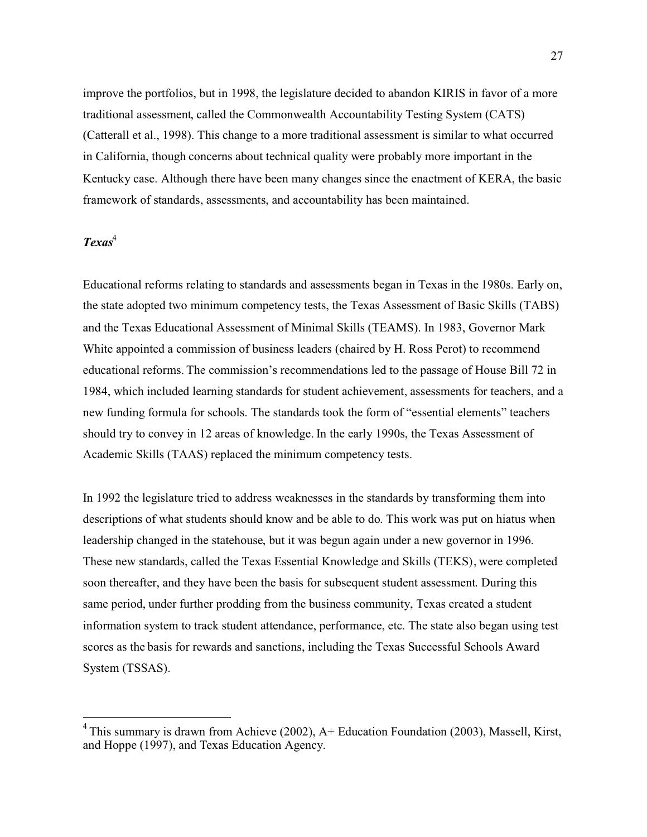improve the portfolios, but in 1998, the legislature decided to abandon KIRIS in favor of a more traditional assessment, called the Commonwealth Accountability Testing System (CATS) (Catterall et al., 1998). This change to a more traditional assessment is similar to what occurred in California, though concerns about technical quality were probably more important in the Kentucky case. Although there have been many changes since the enactment of KERA, the basic framework of standards, assessments, and accountability has been maintained.

# *Texas*<sup>4</sup>

Educational reforms relating to standards and assessments began in Texas in the 1980s. Early on, the state adopted two minimum competency tests, the Texas Assessment of Basic Skills (TABS) and the Texas Educational Assessment of Minimal Skills (TEAMS). In 1983, Governor Mark White appointed a commission of business leaders (chaired by H. Ross Perot) to recommend educational reforms. The commission's recommendations led to the passage of House Bill 72 in 1984, which included learning standards for student achievement, assessments for teachers, and a new funding formula for schools. The standards took the form of "essential elements" teachers should try to convey in 12 areas of knowledge. In the early 1990s, the Texas Assessment of Academic Skills (TAAS) replaced the minimum competency tests.

In 1992 the legislature tried to address weaknesses in the standards by transforming them into descriptions of what students should know and be able to do. This work was put on hiatus when leadership changed in the statehouse, but it was begun again under a new governor in 1996. These new standards, called the Texas Essential Knowledge and Skills (TEKS), were completed soon thereafter, and they have been the basis for subsequent student assessment. During this same period, under further prodding from the business community, Texas created a student information system to track student attendance, performance, etc. The state also began using test scores as the basis for rewards and sanctions, including the Texas Successful Schools Award System (TSSAS).

<sup>&</sup>lt;sup>4</sup> This summary is drawn from Achieve (2002),  $A+$  Education Foundation (2003), Massell, Kirst, and Hoppe (1997), and Texas Education Agency.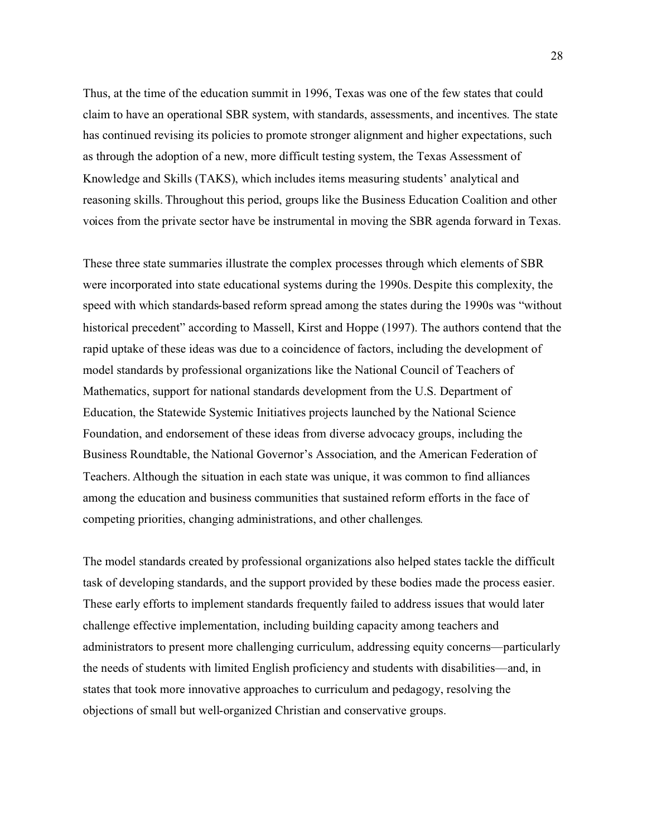Thus, at the time of the education summit in 1996, Texas was one of the few states that could claim to have an operational SBR system, with standards, assessments, and incentives. The state has continued revising its policies to promote stronger alignment and higher expectations, such as through the adoption of a new, more difficult testing system, the Texas Assessment of Knowledge and Skills (TAKS), which includes items measuring students' analytical and reasoning skills. Throughout this period, groups like the Business Education Coalition and other voices from the private sector have be instrumental in moving the SBR agenda forward in Texas.

These three state summaries illustrate the complex processes through which elements of SBR were incorporated into state educational systems during the 1990s. Despite this complexity, the speed with which standards-based reform spread among the states during the 1990s was "without historical precedent" according to Massell, Kirst and Hoppe (1997). The authors contend that the rapid uptake of these ideas was due to a coincidence of factors, including the development of model standards by professional organizations like the National Council of Teachers of Mathematics, support for national standards development from the U.S. Department of Education, the Statewide Systemic Initiatives projects launched by the National Science Foundation, and endorsement of these ideas from diverse advocacy groups, including the Business Roundtable, the National Governor's Association, and the American Federation of Teachers. Although the situation in each state was unique, it was common to find alliances among the education and business communities that sustained reform efforts in the face of competing priorities, changing administrations, and other challenges.

The model standards created by professional organizations also helped states tackle the difficult task of developing standards, and the support provided by these bodies made the process easier. These early efforts to implement standards frequently failed to address issues that would later challenge effective implementation, including building capacity among teachers and administrators to present more challenging curriculum, addressing equity concerns—particularly the needs of students with limited English proficiency and students with disabilities—and, in states that took more innovative approaches to curriculum and pedagogy, resolving the objections of small but well-organized Christian and conservative groups.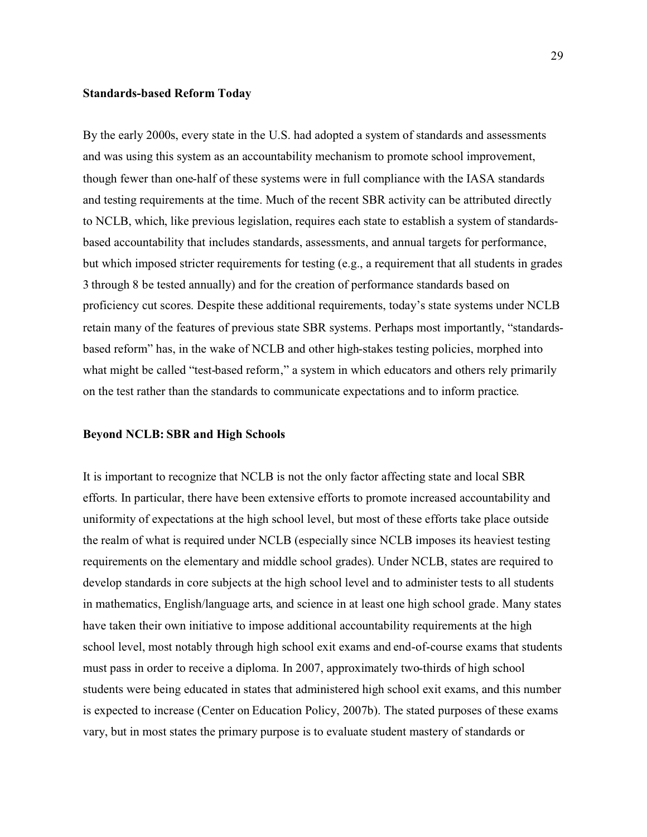#### **Standards-based Reform Today**

By the early 2000s, every state in the U.S. had adopted a system of standards and assessments and was using this system as an accountability mechanism to promote school improvement, though fewer than one-half of these systems were in full compliance with the IASA standards and testing requirements at the time. Much of the recent SBR activity can be attributed directly to NCLB, which, like previous legislation, requires each state to establish a system of standardsbased accountability that includes standards, assessments, and annual targets for performance, but which imposed stricter requirements for testing (e.g., a requirement that all students in grades 3 through 8 be tested annually) and for the creation of performance standards based on proficiency cut scores. Despite these additional requirements, today's state systems under NCLB retain many of the features of previous state SBR systems. Perhaps most importantly, "standardsbased reform" has, in the wake of NCLB and other high-stakes testing policies, morphed into what might be called "test-based reform," a system in which educators and others rely primarily on the test rather than the standards to communicate expectations and to inform practice.

#### **Beyond NCLB: SBR and High Schools**

It is important to recognize that NCLB is not the only factor affecting state and local SBR efforts. In particular, there have been extensive efforts to promote increased accountability and uniformity of expectations at the high school level, but most of these efforts take place outside the realm of what is required under NCLB (especially since NCLB imposes its heaviest testing requirements on the elementary and middle school grades). Under NCLB, states are required to develop standards in core subjects at the high school level and to administer tests to all students in mathematics, English/language arts, and science in at least one high school grade. Many states have taken their own initiative to impose additional accountability requirements at the high school level, most notably through high school exit exams and end-of-course exams that students must pass in order to receive a diploma. In 2007, approximately two-thirds of high school students were being educated in states that administered high school exit exams, and this number is expected to increase (Center on Education Policy, 2007b). The stated purposes of these exams vary, but in most states the primary purpose is to evaluate student mastery of standards or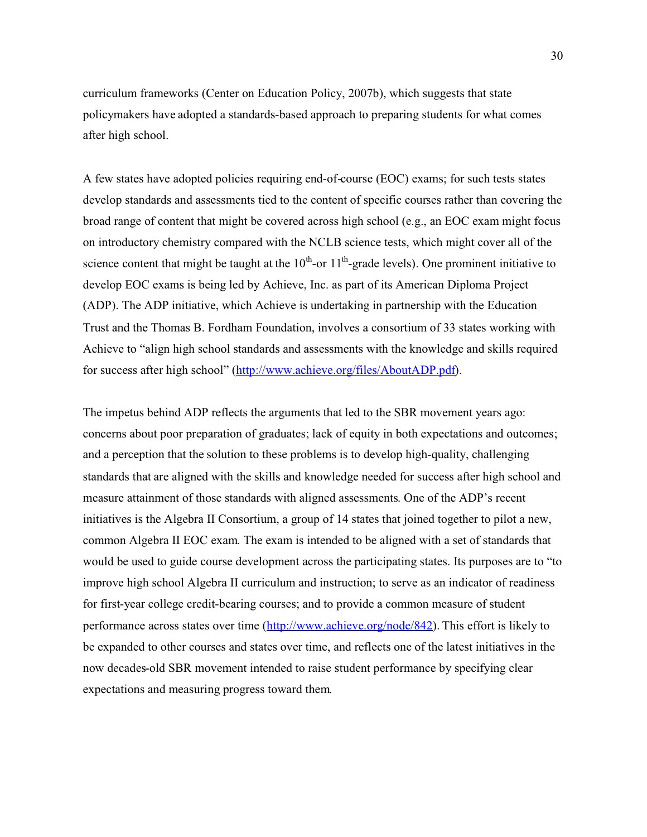curriculum frameworks (Center on Education Policy, 2007b), which suggests that state policymakers have adopted a standards-based approach to preparing students for what comes after high school.

A few states have adopted policies requiring end-of-course (EOC) exams; for such tests states develop standards and assessments tied to the content of specific courses rather than covering the broad range of content that might be covered across high school (e.g., an EOC exam might focus on introductory chemistry compared with the NCLB science tests, which might cover all of the science content that might be taught at the  $10^{th}$ -or  $11^{th}$ -grade levels). One prominent initiative to develop EOC exams is being led by Achieve, Inc. as part of its American Diploma Project (ADP). The ADP initiative, which Achieve is undertaking in partnership with the Education Trust and the Thomas B. Fordham Foundation, involves a consortium of 33 states working with Achieve to "align high school standards and assessments with the knowledge and skills required for success after high school" ([http://www.achieve.org/files/AboutADP.pdf\).](http://www.achieve.org/files/AboutADP.pdf)

The impetus behind ADP reflects the arguments that led to the SBR movement years ago: concerns about poor preparation of graduates; lack of equity in both expectations and outcomes; and a perception that the solution to these problems is to develop high-quality, challenging standards that are aligned with the skills and knowledge needed for success after high school and measure attainment of those standards with aligned assessments. One of the ADP's recent initiatives is the Algebra II Consortium, a group of 14 states that joined together to pilot a new, common Algebra II EOC exam. The exam is intended to be aligned with a set of standards that would be used to guide course development across the participating states. Its purposes are to "to improve high school Algebra II curriculum and instruction; to serve as an indicator of readiness for first-year college credit-bearing courses; and to provide a common measure of student performance across states over time [\(http://www.achieve.org/node/842\).](http://www.achieve.org/node/842) This effort is likely to be expanded to other courses and states over time, and reflects one of the latest initiatives in the now decades-old SBR movement intended to raise student performance by specifying clear expectations and measuring progress toward them.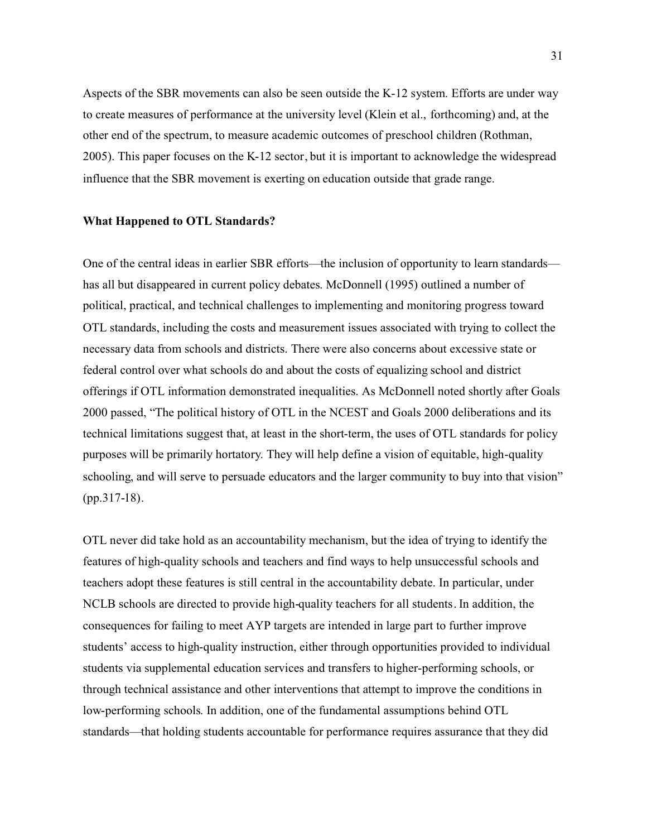Aspects of the SBR movements can also be seen outside the K-12 system. Efforts are under way to create measures of performance at the university level (Klein et al., forthcoming) and, at the other end of the spectrum, to measure academic outcomes of preschool children (Rothman, 2005). This paper focuses on the K-12 sector, but it is important to acknowledge the widespread influence that the SBR movement is exerting on education outside that grade range.

#### **What Happened to OTL Standards?**

One of the central ideas in earlier SBR efforts—the inclusion of opportunity to learn standards has all but disappeared in current policy debates. McDonnell (1995) outlined a number of political, practical, and technical challenges to implementing and monitoring progress toward OTL standards, including the costs and measurement issues associated with trying to collect the necessary data from schools and districts. There were also concerns about excessive state or federal control over what schools do and about the costs of equalizing school and district offerings if OTL information demonstrated inequalities. As McDonnell noted shortly after Goals 2000 passed, "The political history of OTL in the NCEST and Goals 2000 deliberations and its technical limitations suggest that, at least in the short-term, the uses of OTL standards for policy purposes will be primarily hortatory. They will help define a vision of equitable, high-quality schooling, and will serve to persuade educators and the larger community to buy into that vision" (pp.317-18).

OTL never did take hold as an accountability mechanism, but the idea of trying to identify the features of high-quality schools and teachers and find ways to help unsuccessful schools and teachers adopt these features is still central in the accountability debate. In particular, under NCLB schools are directed to provide high-quality teachers for all students. In addition, the consequences for failing to meet AYP targets are intended in large part to further improve students' access to high-quality instruction, either through opportunities provided to individual students via supplemental education services and transfers to higher-performing schools, or through technical assistance and other interventions that attempt to improve the conditions in low-performing schools. In addition, one of the fundamental assumptions behind OTL standards—that holding students accountable for performance requires assurance that they did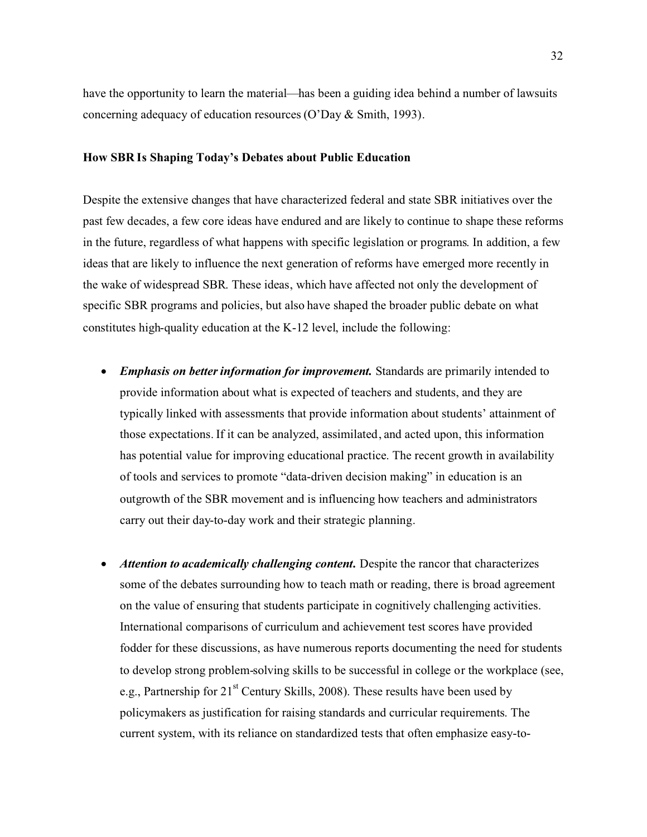have the opportunity to learn the material—has been a guiding idea behind a number of lawsuits concerning adequacy of education resources (O'Day & Smith, 1993).

#### **How SBR Is Shaping Today's Debates about Public Education**

Despite the extensive changes that have characterized federal and state SBR initiatives over the past few decades, a few core ideas have endured and are likely to continue to shape these reforms in the future, regardless of what happens with specific legislation or programs. In addition, a few ideas that are likely to influence the next generation of reforms have emerged more recently in the wake of widespread SBR. These ideas, which have affected not only the development of specific SBR programs and policies, but also have shaped the broader public debate on what constitutes high-quality education at the K-12 level, include the following:

- $\bullet$  *Emphasis on better information for improvement.* Standards are primarily intended to provide information about what is expected of teachers and students, and they are typically linked with assessments that provide information about students' attainment of those expectations. If it can be analyzed, assimilated, and acted upon, this information has potential value for improving educational practice. The recent growth in availability of tools and services to promote "data-driven decision making" in education is an outgrowth of the SBR movement and is influencing how teachers and administrators carry out their day-to-day work and their strategic planning.
- - *Attention to academically challenging content.* Despite the rancor that characterizes some of the debates surrounding how to teach math or reading, there is broad agreement on the value of ensuring that students participate in cognitively challenging activities. International comparisons of curriculum and achievement test scores have provided fodder for these discussions, as have numerous reports documenting the need for students to develop strong problem-solving skills to be successful in college or the workplace (see, e.g., Partnership for  $21<sup>st</sup>$  Century Skills, 2008). These results have been used by policymakers as justification for raising standards and curricular requirements. The current system, with its reliance on standardized tests that often emphasize easy-to-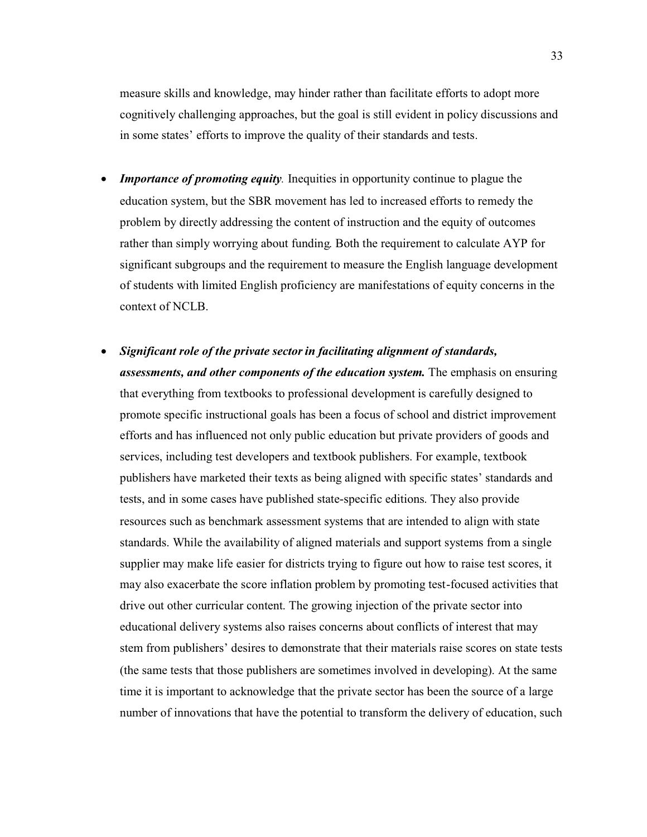measure skills and knowledge, may hinder rather than facilitate efforts to adopt more cognitively challenging approaches, but the goal is still evident in policy discussions and in some states' efforts to improve the quality of their standards and tests.

- $\bullet$ *Importance of promoting equity*. Inequities in opportunity continue to plague the education system, but the SBR movement has led to increased efforts to remedy the problem by directly addressing the content of instruction and the equity of outcomes rather than simply worrying about funding. Both the requirement to calculate AYP for significant subgroups and the requirement to measure the English language development of students with limited English proficiency are manifestations of equity concerns in the context of NCLB.
- - *Significant role of the private sector in facilitating alignment of standards, assessments, and other components of the education system.* The emphasis on ensuring that everything from textbooks to professional development is carefully designed to promote specific instructional goals has been a focus of school and district improvement efforts and has influenced not only public education but private providers of goods and services, including test developers and textbook publishers. For example, textbook publishers have marketed their texts as being aligned with specific states' standards and tests, and in some cases have published state-specific editions. They also provide resources such as benchmark assessment systems that are intended to align with state standards. While the availability of aligned materials and support systems from a single supplier may make life easier for districts trying to figure out how to raise test scores, it may also exacerbate the score inflation problem by promoting test-focused activities that drive out other curricular content. The growing injection of the private sector into educational delivery systems also raises concerns about conflicts of interest that may stem from publishers' desires to demonstrate that their materials raise scores on state tests (the same tests that those publishers are sometimes involved in developing). At the same time it is important to acknowledge that the private sector has been the source of a large number of innovations that have the potential to transform the delivery of education, such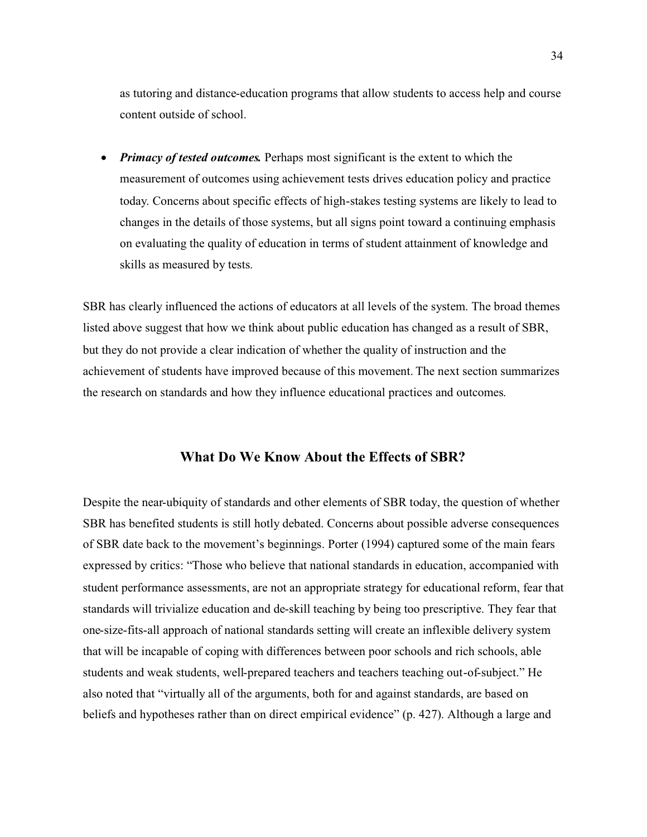as tutoring and distance-education programs that allow students to access help and course content outside of school.

 $\bullet$ *Primacy of tested outcomes.* Perhaps most significant is the extent to which the measurement of outcomes using achievement tests drives education policy and practice today. Concerns about specific effects of high-stakes testing systems are likely to lead to changes in the details of those systems, but all signs point toward a continuing emphasis on evaluating the quality of education in terms of student attainment of knowledge and skills as measured by tests.

SBR has clearly influenced the actions of educators at all levels of the system. The broad themes listed above suggest that how we think about public education has changed as a result of SBR, but they do not provide a clear indication of whether the quality of instruction and the achievement of students have improved because of this movement. The next section summarizes the research on standards and how they influence educational practices and outcomes.

# **What Do We Know About the Effects of SBR?**

Despite the near-ubiquity of standards and other elements of SBR today, the question of whether SBR has benefited students is still hotly debated. Concerns about possible adverse consequences of SBR date back to the movement's beginnings. Porter (1994) captured some of the main fears expressed by critics: "Those who believe that national standards in education, accompanied with student performance assessments, are not an appropriate strategy for educational reform, fear that standards will trivialize education and de-skill teaching by being too prescriptive. They fear that one-size-fits-all approach of national standards setting will create an inflexible delivery system that will be incapable of coping with differences between poor schools and rich schools, able students and weak students, well-prepared teachers and teachers teaching out-of-subject." He also noted that "virtually all of the arguments, both for and against standards, are based on beliefs and hypotheses rather than on direct empirical evidence" (p. 427). Although a large and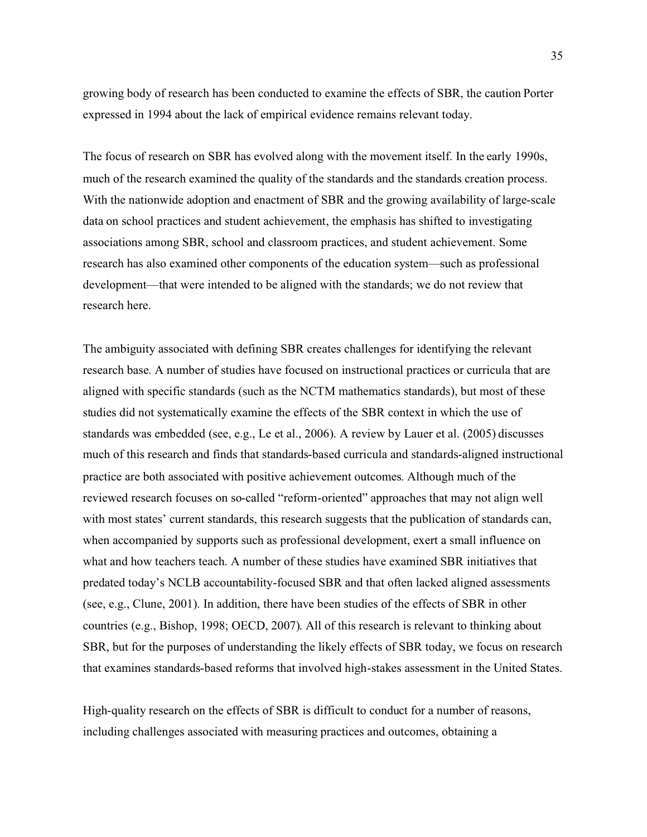growing body of research has been conducted to examine the effects of SBR, the caution Porter expressed in 1994 about the lack of empirical evidence remains relevant today.

The focus of research on SBR has evolved along with the movement itself. In the early 1990s, much of the research examined the quality of the standards and the standards creation process. With the nationwide adoption and enactment of SBR and the growing availability of large-scale data on school practices and student achievement, the emphasis has shifted to investigating associations among SBR, school and classroom practices, and student achievement. Some research has also examined other components of the education system—such as professional development—that were intended to be aligned with the standards; we do not review that research here.

The ambiguity associated with defining SBR creates challenges for identifying the relevant research base. A number of studies have focused on instructional practices or curricula that are aligned with specific standards (such as the NCTM mathematics standards), but most of these studies did not systematically examine the effects of the SBR context in which the use of standards was embedded (see, e.g., Le et al., 2006). A review by Lauer et al. (2005) discusses much of this research and finds that standards-based curricula and standards-aligned instructional practice are both associated with positive achievement outcomes. Although much of the reviewed research focuses on so-called "reform-oriented" approaches that may not align well with most states' current standards, this research suggests that the publication of standards can, when accompanied by supports such as professional development, exert a small influence on what and how teachers teach. A number of these studies have examined SBR initiatives that predated today's NCLB accountability-focused SBR and that often lacked aligned assessments (see, e.g., Clune, 2001). In addition, there have been studies of the effects of SBR in other countries (e.g., Bishop, 1998; OECD, 2007). All of this research is relevant to thinking about SBR, but for the purposes of understanding the likely effects of SBR today, we focus on research that examines standards-based reforms that involved high-stakes assessment in the United States.

High-quality research on the effects of SBR is difficult to conduct for a number of reasons, including challenges associated with measuring practices and outcomes, obtaining a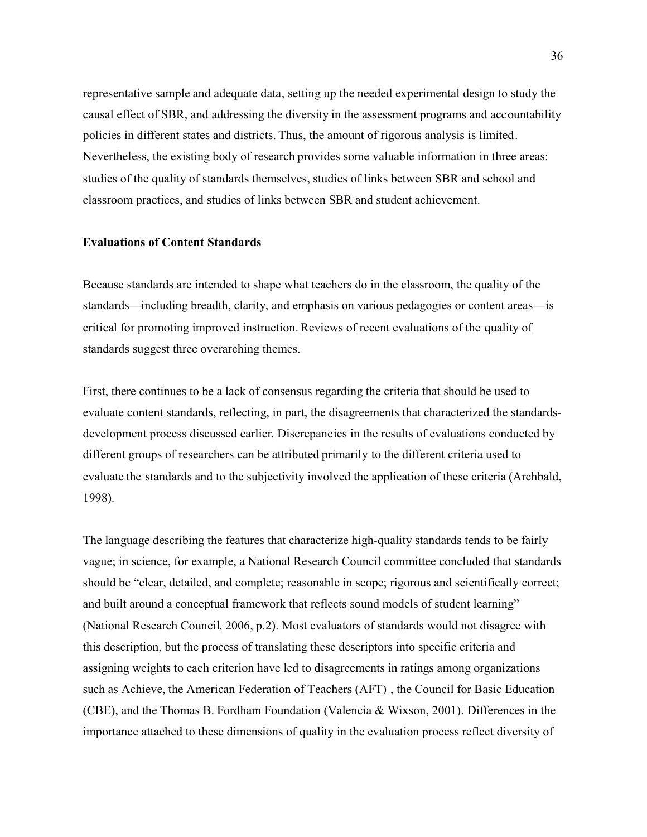representative sample and adequate data, setting up the needed experimental design to study the causal effect of SBR, and addressing the diversity in the assessment programs and accountability policies in different states and districts. Thus, the amount of rigorous analysis is limited. Nevertheless, the existing body of research provides some valuable information in three areas: studies of the quality of standards themselves, studies of links between SBR and school and classroom practices, and studies of links between SBR and student achievement.

#### **Evaluations of Content Standards**

Because standards are intended to shape what teachers do in the classroom, the quality of the standards—including breadth, clarity, and emphasis on various pedagogies or content areas—is critical for promoting improved instruction. Reviews of recent evaluations of the quality of standards suggest three overarching themes.

First, there continues to be a lack of consensus regarding the criteria that should be used to evaluate content standards, reflecting, in part, the disagreements that characterized the standardsdevelopment process discussed earlier. Discrepancies in the results of evaluations conducted by different groups of researchers can be attributed primarily to the different criteria used to evaluate the standards and to the subjectivity involved the application of these criteria (Archbald, 1998).

The language describing the features that characterize high-quality standards tends to be fairly vague; in science, for example, a National Research Council committee concluded that standards should be "clear, detailed, and complete; reasonable in scope; rigorous and scientifically correct; and built around a conceptual framework that reflects sound models of student learning" (National Research Council, 2006, p.2). Most evaluators of standards would not disagree with this description, but the process of translating these descriptors into specific criteria and assigning weights to each criterion have led to disagreements in ratings among organizations such as Achieve, the American Federation of Teachers (AFT) , the Council for Basic Education (CBE), and the Thomas B. Fordham Foundation (Valencia & Wixson, 2001). Differences in the importance attached to these dimensions of quality in the evaluation process reflect diversity of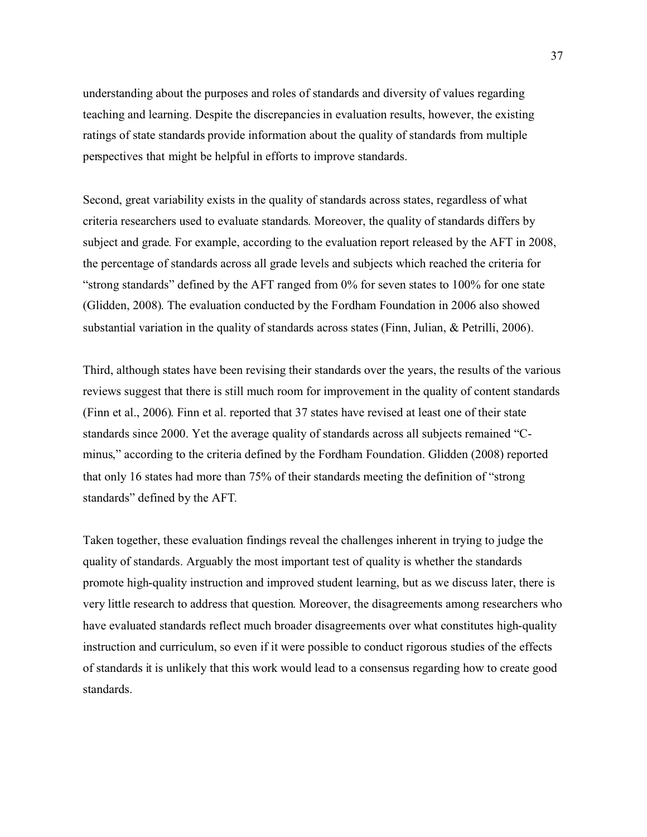understanding about the purposes and roles of standards and diversity of values regarding teaching and learning. Despite the discrepanciesin evaluation results, however, the existing ratings of state standards provide information about the quality of standards from multiple perspectives that might be helpful in efforts to improve standards.

Second, great variability exists in the quality of standards across states, regardless of what criteria researchers used to evaluate standards. Moreover, the quality of standards differs by subject and grade. For example, according to the evaluation report released by the AFT in 2008, the percentage of standards across all grade levels and subjects which reached the criteria for "strong standards" defined by the AFT ranged from 0% for seven states to 100% for one state (Glidden, 2008). The evaluation conducted by the Fordham Foundation in 2006 also showed substantial variation in the quality of standards across states (Finn, Julian, & Petrilli, 2006).

Third, although states have been revising their standards over the years, the results of the various reviews suggest that there is still much room for improvement in the quality of content standards (Finn et al., 2006). Finn et al. reported that 37 states have revised at least one of their state standards since 2000. Yet the average quality of standards across all subjects remained "Cminus," according to the criteria defined by the Fordham Foundation. Glidden (2008) reported that only 16 states had more than 75% of their standards meeting the definition of "strong standards" defined by the AFT.

Taken together, these evaluation findings reveal the challenges inherent in trying to judge the quality of standards. Arguably the most important test of quality is whether the standards promote high-quality instruction and improved student learning, but as we discuss later, there is very little research to address that question. Moreover, the disagreements among researchers who have evaluated standards reflect much broader disagreements over what constitutes high-quality instruction and curriculum, so even if it were possible to conduct rigorous studies of the effects of standards it is unlikely that this work would lead to a consensus regarding how to create good standards.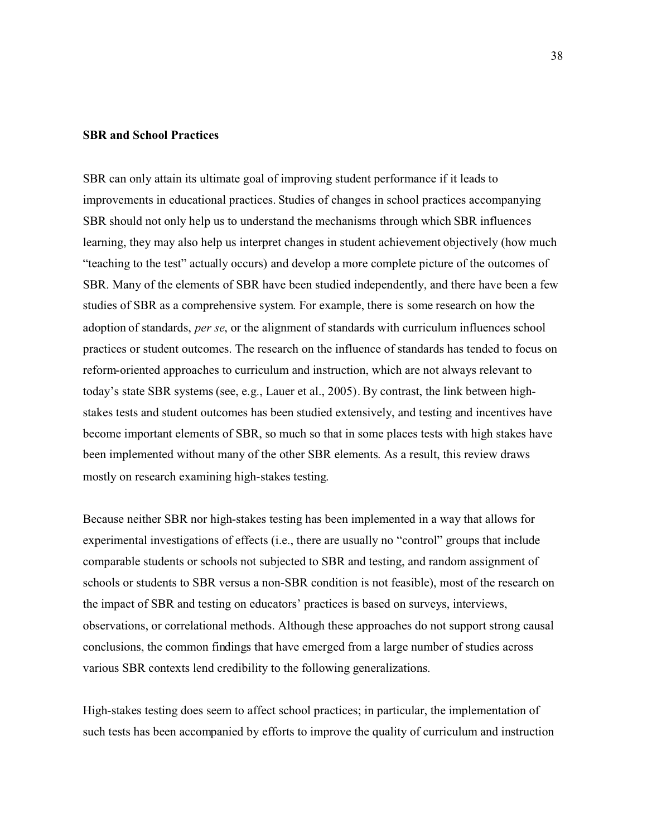### **SBR and School Practices**

SBR can only attain its ultimate goal of improving student performance if it leads to improvements in educational practices. Studies of changes in school practices accompanying SBR should not only help us to understand the mechanisms through which SBR influences learning, they may also help us interpret changes in student achievement objectively (how much "teaching to the test" actually occurs) and develop a more complete picture of the outcomes of SBR. Many of the elements of SBR have been studied independently, and there have been a few studies of SBR as a comprehensive system. For example, there is some research on how the adoption of standards, *per se*, or the alignment of standards with curriculum influences school practices or student outcomes. The research on the influence of standards has tended to focus on reform-oriented approaches to curriculum and instruction, which are not always relevant to today's state SBR systems (see, e.g., Lauer et al., 2005). By contrast, the link between highstakes tests and student outcomes has been studied extensively, and testing and incentives have become important elements of SBR, so much so that in some places tests with high stakes have been implemented without many of the other SBR elements. As a result, this review draws mostly on research examining high-stakes testing.

Because neither SBR nor high-stakes testing has been implemented in a way that allows for experimental investigations of effects (i.e., there are usually no "control" groups that include comparable students or schools not subjected to SBR and testing, and random assignment of schools or students to SBR versus a non-SBR condition is not feasible), most of the research on the impact of SBR and testing on educators' practices is based on surveys, interviews, observations, or correlational methods. Although these approaches do not support strong causal conclusions, the common findings that have emerged from a large number of studies across various SBR contexts lend credibility to the following generalizations.

High-stakes testing does seem to affect school practices; in particular, the implementation of such tests has been accompanied by efforts to improve the quality of curriculum and instruction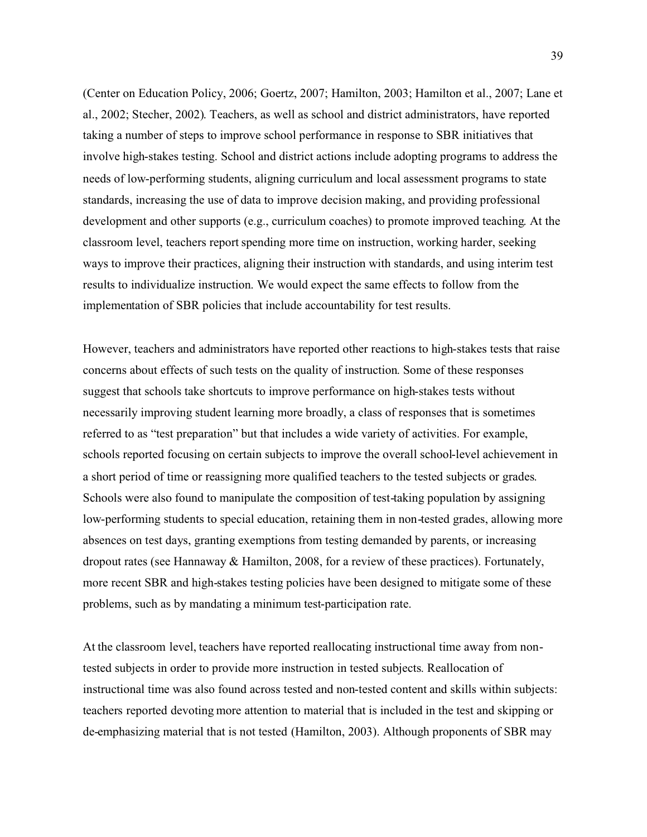(Center on Education Policy, 2006; Goertz, 2007; Hamilton, 2003; Hamilton et al., 2007; Lane et al., 2002; Stecher, 2002). Teachers, as well as school and district administrators, have reported taking a number of steps to improve school performance in response to SBR initiatives that involve high-stakes testing. School and district actions include adopting programs to address the needs of low-performing students, aligning curriculum and local assessment programs to state standards, increasing the use of data to improve decision making, and providing professional development and other supports (e.g., curriculum coaches) to promote improved teaching. At the classroom level, teachers report spending more time on instruction, working harder, seeking ways to improve their practices, aligning their instruction with standards, and using interim test results to individualize instruction. We would expect the same effects to follow from the implementation of SBR policies that include accountability for test results.

However, teachers and administrators have reported other reactions to high-stakes tests that raise concerns about effects of such tests on the quality of instruction. Some of these responses suggest that schools take shortcuts to improve performance on high-stakes tests without necessarily improving student learning more broadly, a class of responses that is sometimes referred to as "test preparation" but that includes a wide variety of activities. For example, schools reported focusing on certain subjects to improve the overall school-level achievement in a short period of time or reassigning more qualified teachers to the tested subjects or grades. Schools were also found to manipulate the composition of test-taking population by assigning low-performing students to special education, retaining them in non-tested grades, allowing more absences on test days, granting exemptions from testing demanded by parents, or increasing dropout rates (see Hannaway & Hamilton, 2008, for a review of these practices). Fortunately, more recent SBR and high-stakes testing policies have been designed to mitigate some of these problems, such as by mandating a minimum test-participation rate.

At the classroom level, teachers have reported reallocating instructional time away from nontested subjects in order to provide more instruction in tested subjects. Reallocation of instructional time was also found across tested and non-tested content and skills within subjects: teachers reported devoting more attention to material that is included in the test and skipping or de-emphasizing material that is not tested (Hamilton, 2003). Although proponents of SBR may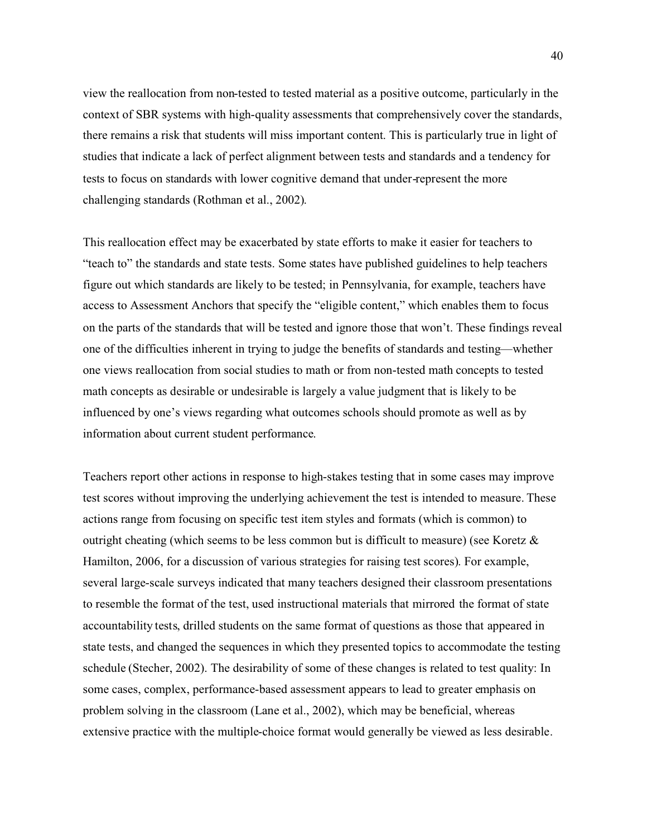view the reallocation from non-tested to tested material as a positive outcome, particularly in the context of SBR systems with high-quality assessments that comprehensively cover the standards, there remains a risk that students will miss important content. This is particularly true in light of studies that indicate a lack of perfect alignment between tests and standards and a tendency for tests to focus on standards with lower cognitive demand that under-represent the more challenging standards (Rothman et al., 2002).

This reallocation effect may be exacerbated by state efforts to make it easier for teachers to "teach to" the standards and state tests. Some states have published guidelines to help teachers figure out which standards are likely to be tested; in Pennsylvania, for example, teachers have access to Assessment Anchors that specify the "eligible content," which enables them to focus on the parts of the standards that will be tested and ignore those that won't. These findings reveal one of the difficulties inherent in trying to judge the benefits of standards and testing—whether one views reallocation from social studies to math or from non-tested math concepts to tested math concepts as desirable or undesirable is largely a value judgment that is likely to be influenced by one's views regarding what outcomes schools should promote as well as by information about current student performance.

Teachers report other actions in response to high-stakes testing that in some cases may improve test scores without improving the underlying achievement the test is intended to measure. These actions range from focusing on specific test item styles and formats (which is common) to outright cheating (which seems to be less common but is difficult to measure) (see Koretz  $\&$ Hamilton, 2006, for a discussion of various strategies for raising test scores). For example, several large-scale surveys indicated that many teachers designed their classroom presentations to resemble the format of the test, used instructional materials that mirrored the format of state accountability tests, drilled students on the same format of questions as those that appeared in state tests, and changed the sequences in which they presented topics to accommodate the testing schedule (Stecher, 2002). The desirability of some of these changes is related to test quality: In some cases, complex, performance-based assessment appears to lead to greater emphasis on problem solving in the classroom (Lane et al., 2002), which may be beneficial, whereas extensive practice with the multiple-choice format would generally be viewed as less desirable.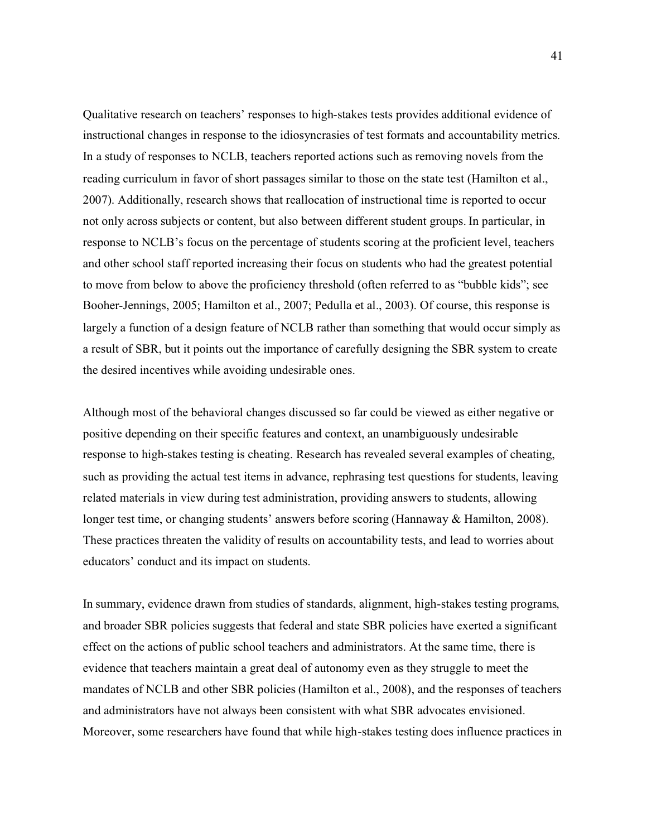Qualitative research on teachers' responses to high-stakes tests provides additional evidence of instructional changes in response to the idiosyncrasies of test formats and accountability metrics. In a study of responses to NCLB, teachers reported actions such as removing novels from the reading curriculum in favor of short passages similar to those on the state test (Hamilton et al., 2007). Additionally, research shows that reallocation of instructional time is reported to occur not only across subjects or content, but also between different student groups. In particular, in response to NCLB's focus on the percentage of students scoring at the proficient level, teachers and other school staff reported increasing their focus on students who had the greatest potential to move from below to above the proficiency threshold (often referred to as "bubble kids"; see Booher-Jennings, 2005; Hamilton et al., 2007; Pedulla et al., 2003). Of course, this response is largely a function of a design feature of NCLB rather than something that would occur simply as a result of SBR, but it points out the importance of carefully designing the SBR system to create the desired incentives while avoiding undesirable ones.

Although most of the behavioral changes discussed so far could be viewed as either negative or positive depending on their specific features and context, an unambiguously undesirable response to high-stakes testing is cheating. Research has revealed several examples of cheating, such as providing the actual test items in advance, rephrasing test questions for students, leaving related materials in view during test administration, providing answers to students, allowing longer test time, or changing students' answers before scoring (Hannaway & Hamilton, 2008). These practices threaten the validity of results on accountability tests, and lead to worries about educators' conduct and its impact on students.

In summary, evidence drawn from studies of standards, alignment, high-stakes testing programs, and broader SBR policies suggests that federal and state SBR policies have exerted a significant effect on the actions of public school teachers and administrators. At the same time, there is evidence that teachers maintain a great deal of autonomy even as they struggle to meet the mandates of NCLB and other SBR policies (Hamilton et al., 2008), and the responses of teachers and administrators have not always been consistent with what SBR advocates envisioned. Moreover, some researchers have found that while high-stakes testing does influence practices in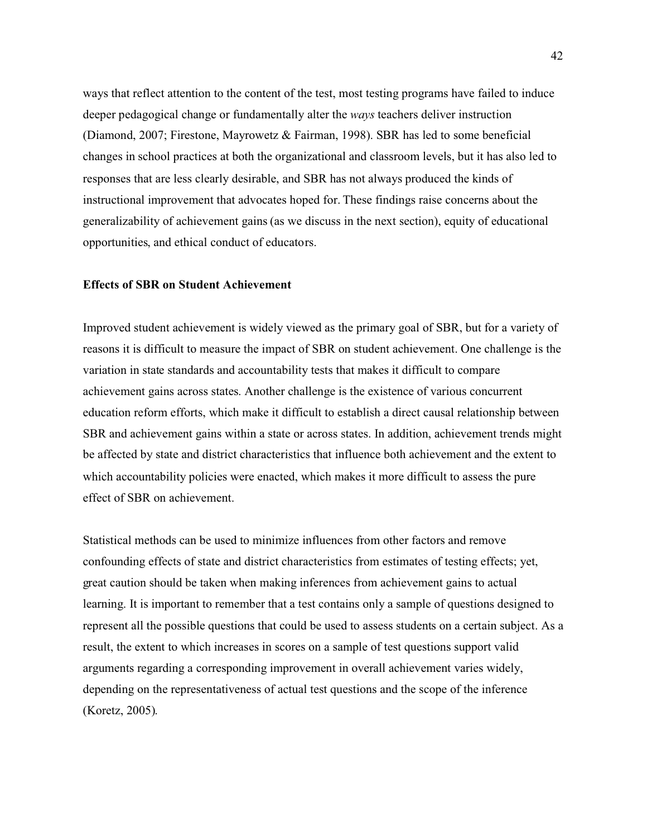ways that reflect attention to the content of the test, most testing programs have failed to induce deeper pedagogical change or fundamentally alter the *ways* teachers deliver instruction (Diamond, 2007; Firestone, Mayrowetz & Fairman, 1998). SBR has led to some beneficial changes in school practices at both the organizational and classroom levels, but it has also led to responses that are less clearly desirable, and SBR has not always produced the kinds of instructional improvement that advocates hoped for. These findings raise concerns about the generalizability of achievement gains (as we discuss in the next section), equity of educational opportunities, and ethical conduct of educators.

### **Effects of SBR on Student Achievement**

Improved student achievement is widely viewed as the primary goal of SBR, but for a variety of reasons it is difficult to measure the impact of SBR on student achievement. One challenge is the variation in state standards and accountability tests that makes it difficult to compare achievement gains across states. Another challenge is the existence of various concurrent education reform efforts, which make it difficult to establish a direct causal relationship between SBR and achievement gains within a state or across states. In addition, achievement trends might be affected by state and district characteristics that influence both achievement and the extent to which accountability policies were enacted, which makes it more difficult to assess the pure effect of SBR on achievement.

Statistical methods can be used to minimize influences from other factors and remove confounding effects of state and district characteristics from estimates of testing effects; yet, great caution should be taken when making inferences from achievement gains to actual learning. It is important to remember that a test contains only a sample of questions designed to represent all the possible questions that could be used to assess students on a certain subject. As a result, the extent to which increases in scores on a sample of test questions support valid arguments regarding a corresponding improvement in overall achievement varies widely, depending on the representativeness of actual test questions and the scope of the inference (Koretz, 2005).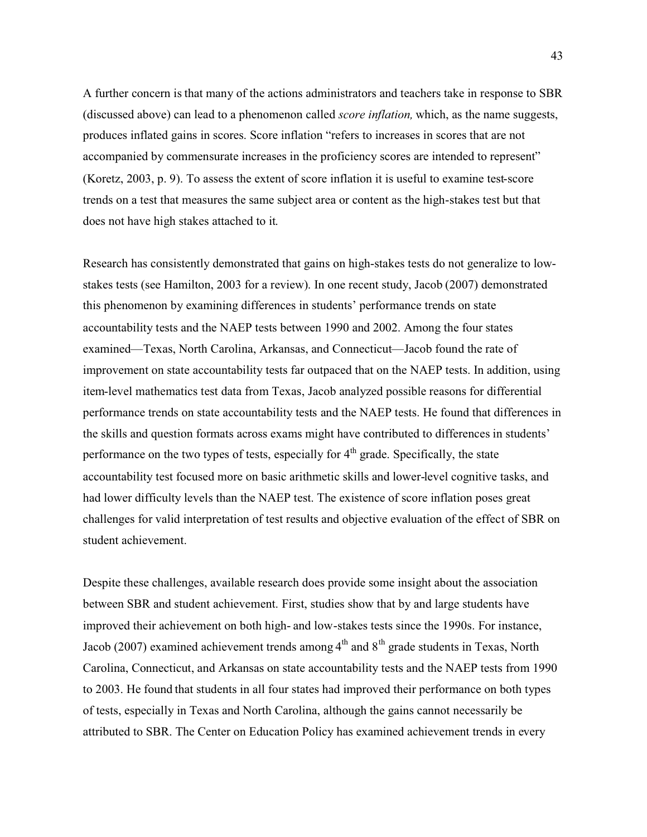A further concern is that many of the actions administrators and teachers take in response to SBR (discussed above) can lead to a phenomenon called *score inflation,* which, as the name suggests, produces inflated gains in scores. Score inflation "refers to increases in scores that are not accompanied by commensurate increases in the proficiency scores are intended to represent" (Koretz, 2003, p. 9). To assess the extent of score inflation it is useful to examine test-score trends on a test that measures the same subject area or content as the high-stakes test but that does not have high stakes attached to it.

Research has consistently demonstrated that gains on high-stakes tests do not generalize to lowstakes tests (see Hamilton, 2003 for a review). In one recent study, Jacob (2007) demonstrated this phenomenon by examining differences in students' performance trends on state accountability tests and the NAEP tests between 1990 and 2002. Among the four states examined—Texas, North Carolina, Arkansas, and Connecticut—Jacob found the rate of improvement on state accountability tests far outpaced that on the NAEP tests. In addition, using item-level mathematics test data from Texas, Jacob analyzed possible reasons for differential performance trends on state accountability tests and the NAEP tests. He found that differences in the skills and question formats across exams might have contributed to differences in students' performance on the two types of tests, especially for  $4<sup>th</sup>$  grade. Specifically, the state accountability test focused more on basic arithmetic skills and lower-level cognitive tasks, and had lower difficulty levels than the NAEP test. The existence of score inflation poses great challenges for valid interpretation of test results and objective evaluation of the effect of SBR on student achievement.

Despite these challenges, available research does provide some insight about the association between SBR and student achievement. First, studies show that by and large students have improved their achievement on both high- and low-stakes tests since the 1990s. For instance, Jacob (2007) examined achievement trends among  $4<sup>th</sup>$  and  $8<sup>th</sup>$  grade students in Texas, North Carolina, Connecticut, and Arkansas on state accountability tests and the NAEP tests from 1990 to 2003. He found that students in all four states had improved their performance on both types of tests, especially in Texas and North Carolina, although the gains cannot necessarily be attributed to SBR. The Center on Education Policy has examined achievement trends in every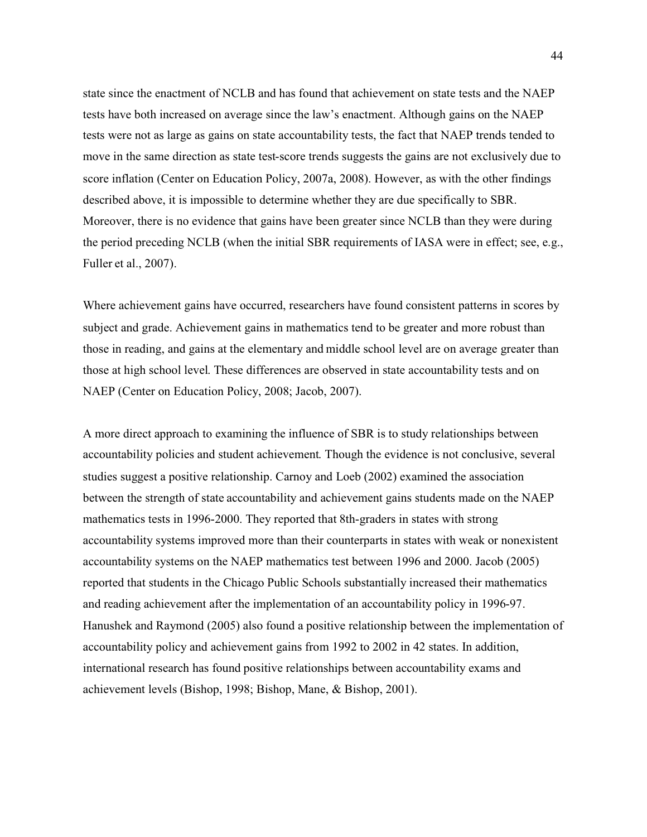state since the enactment of NCLB and has found that achievement on state tests and the NAEP tests have both increased on average since the law's enactment. Although gains on the NAEP tests were not as large as gains on state accountability tests, the fact that NAEP trends tended to move in the same direction as state test-score trends suggests the gains are not exclusively due to score inflation (Center on Education Policy, 2007a, 2008). However, as with the other findings described above, it is impossible to determine whether they are due specifically to SBR. Moreover, there is no evidence that gains have been greater since NCLB than they were during the period preceding NCLB (when the initial SBR requirements of IASA were in effect; see, e.g., Fuller et al., 2007).

Where achievement gains have occurred, researchers have found consistent patterns in scores by subject and grade. Achievement gains in mathematics tend to be greater and more robust than those in reading, and gains at the elementary and middle school level are on average greater than those at high school level. These differences are observed in state accountability tests and on NAEP (Center on Education Policy, 2008; Jacob, 2007).

A more direct approach to examining the influence of SBR is to study relationships between accountability policies and student achievement. Though the evidence is not conclusive, several studies suggest a positive relationship. Carnoy and Loeb (2002) examined the association between the strength of state accountability and achievement gains students made on the NAEP mathematics tests in 1996-2000. They reported that 8th-graders in states with strong accountability systems improved more than their counterparts in states with weak or nonexistent accountability systems on the NAEP mathematics test between 1996 and 2000. Jacob (2005) reported that students in the Chicago Public Schools substantially increased their mathematics and reading achievement after the implementation of an accountability policy in 1996-97. Hanushek and Raymond (2005) also found a positive relationship between the implementation of accountability policy and achievement gains from 1992 to 2002 in 42 states. In addition, international research has found positive relationships between accountability exams and achievement levels (Bishop, 1998; Bishop, Mane, & Bishop, 2001).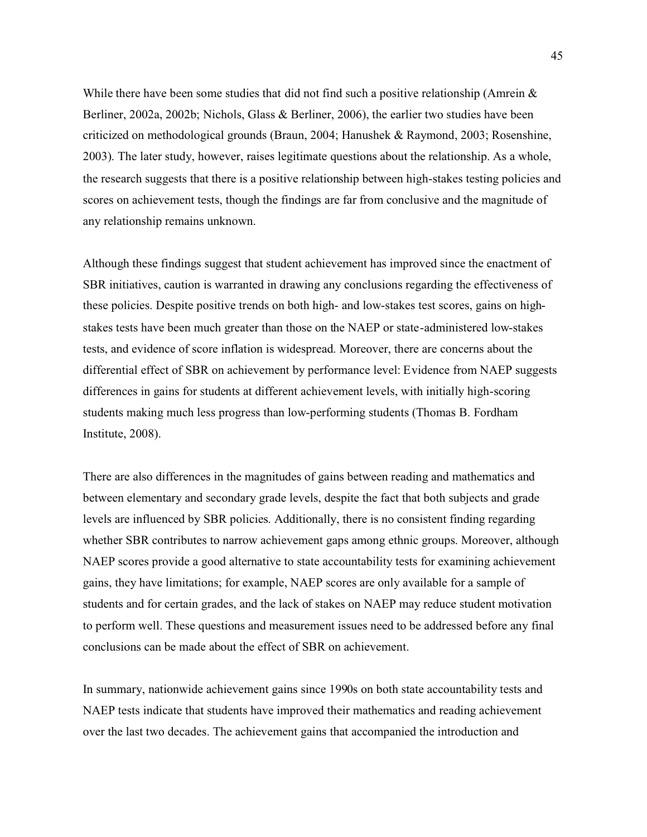While there have been some studies that did not find such a positive relationship (Amrein  $\&$ Berliner, 2002a, 2002b; Nichols, Glass & Berliner, 2006), the earlier two studies have been criticized on methodological grounds (Braun, 2004; Hanushek & Raymond, 2003; Rosenshine, 2003). The later study, however, raises legitimate questions about the relationship. As a whole, the research suggests that there is a positive relationship between high-stakes testing policies and scores on achievement tests, though the findings are far from conclusive and the magnitude of any relationship remains unknown.

Although these findings suggest that student achievement has improved since the enactment of SBR initiatives, caution is warranted in drawing any conclusions regarding the effectiveness of these policies. Despite positive trends on both high- and low-stakes test scores, gains on highstakes tests have been much greater than those on the NAEP or state-administered low-stakes tests, and evidence of score inflation is widespread. Moreover, there are concerns about the differential effect of SBR on achievement by performance level: Evidence from NAEP suggests differences in gains for students at different achievement levels, with initially high-scoring students making much less progress than low-performing students (Thomas B. Fordham Institute, 2008).

There are also differences in the magnitudes of gains between reading and mathematics and between elementary and secondary grade levels, despite the fact that both subjects and grade levels are influenced by SBR policies. Additionally, there is no consistent finding regarding whether SBR contributes to narrow achievement gaps among ethnic groups. Moreover, although NAEP scores provide a good alternative to state accountability tests for examining achievement gains, they have limitations; for example, NAEP scores are only available for a sample of students and for certain grades, and the lack of stakes on NAEP may reduce student motivation to perform well. These questions and measurement issues need to be addressed before any final conclusions can be made about the effect of SBR on achievement.

In summary, nationwide achievement gains since 1990s on both state accountability tests and NAEP tests indicate that students have improved their mathematics and reading achievement over the last two decades. The achievement gains that accompanied the introduction and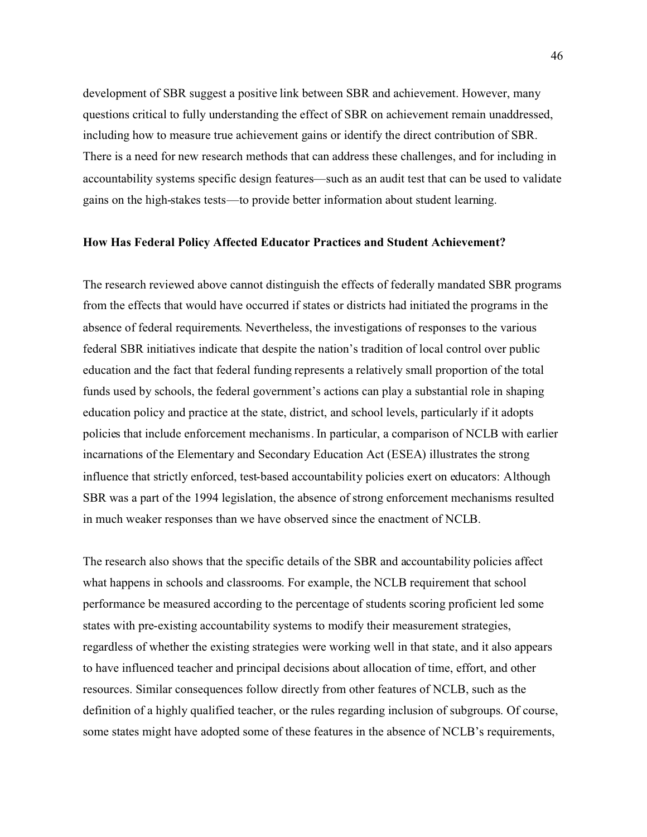development of SBR suggest a positive link between SBR and achievement. However, many questions critical to fully understanding the effect of SBR on achievement remain unaddressed, including how to measure true achievement gains or identify the direct contribution of SBR. There is a need for new research methods that can address these challenges, and for including in accountability systems specific design features—such as an audit test that can be used to validate gains on the high-stakes tests—to provide better information about student learning.

#### **How Has Federal Policy Affected Educator Practices and Student Achievement?**

The research reviewed above cannot distinguish the effects of federally mandated SBR programs from the effects that would have occurred if states or districts had initiated the programs in the absence of federal requirements. Nevertheless, the investigations of responses to the various federal SBR initiatives indicate that despite the nation's tradition of local control over public education and the fact that federal funding represents a relatively small proportion of the total funds used by schools, the federal government's actions can play a substantial role in shaping education policy and practice at the state, district, and school levels, particularly if it adopts policies that include enforcement mechanisms. In particular, a comparison of NCLB with earlier incarnations of the Elementary and Secondary Education Act (ESEA) illustrates the strong influence that strictly enforced, test-based accountability policies exert on educators: Although SBR was a part of the 1994 legislation, the absence of strong enforcement mechanisms resulted in much weaker responses than we have observed since the enactment of NCLB.

The research also shows that the specific details of the SBR and accountability policies affect what happens in schools and classrooms. For example, the NCLB requirement that school performance be measured according to the percentage of students scoring proficient led some states with pre-existing accountability systems to modify their measurement strategies, regardless of whether the existing strategies were working well in that state, and it also appears to have influenced teacher and principal decisions about allocation of time, effort, and other resources. Similar consequences follow directly from other features of NCLB, such as the definition of a highly qualified teacher, or the rules regarding inclusion of subgroups. Of course, some states might have adopted some of these features in the absence of NCLB's requirements,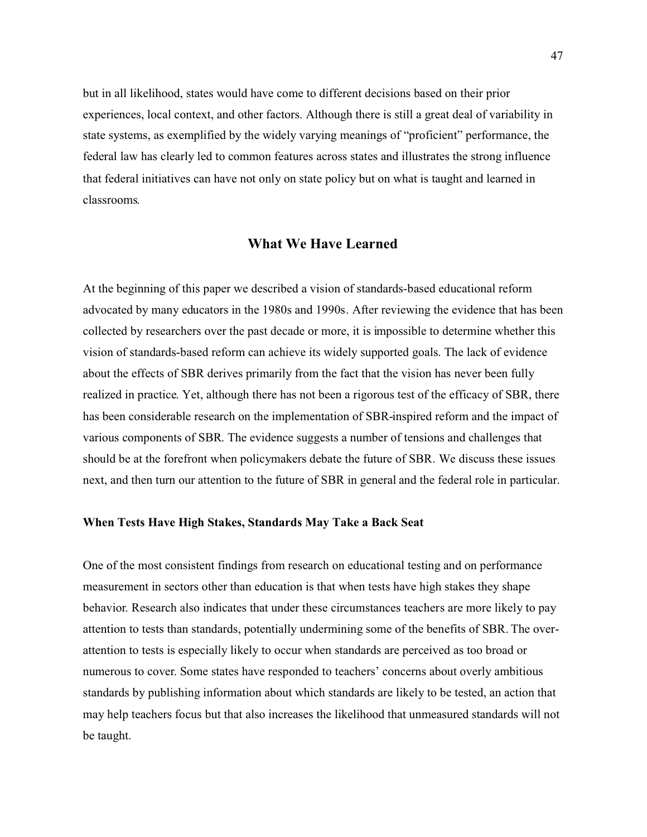but in all likelihood, states would have come to different decisions based on their prior experiences, local context, and other factors. Although there is still a great deal of variability in state systems, as exemplified by the widely varying meanings of "proficient" performance, the federal law has clearly led to common features across states and illustrates the strong influence that federal initiatives can have not only on state policy but on what is taught and learned in classrooms.

# **What We Have Learned**

At the beginning of this paper we described a vision of standards-based educational reform advocated by many educators in the 1980s and 1990s. After reviewing the evidence that has been collected by researchers over the past decade or more, it is impossible to determine whether this vision of standards-based reform can achieve its widely supported goals. The lack of evidence about the effects of SBR derives primarily from the fact that the vision has never been fully realized in practice. Yet, although there has not been a rigorous test of the efficacy of SBR, there has been considerable research on the implementation of SBR-inspired reform and the impact of various components of SBR. The evidence suggests a number of tensions and challenges that should be at the forefront when policymakers debate the future of SBR. We discuss these issues next, and then turn our attention to the future of SBR in general and the federal role in particular.

### **When Tests Have High Stakes, Standards May Take a Back Seat**

One of the most consistent findings from research on educational testing and on performance measurement in sectors other than education is that when tests have high stakes they shape behavior. Research also indicates that under these circumstances teachers are more likely to pay attention to tests than standards, potentially undermining some of the benefits of SBR. The overattention to tests is especially likely to occur when standards are perceived as too broad or numerous to cover. Some states have responded to teachers' concerns about overly ambitious standards by publishing information about which standards are likely to be tested, an action that may help teachers focus but that also increases the likelihood that unmeasured standards will not be taught.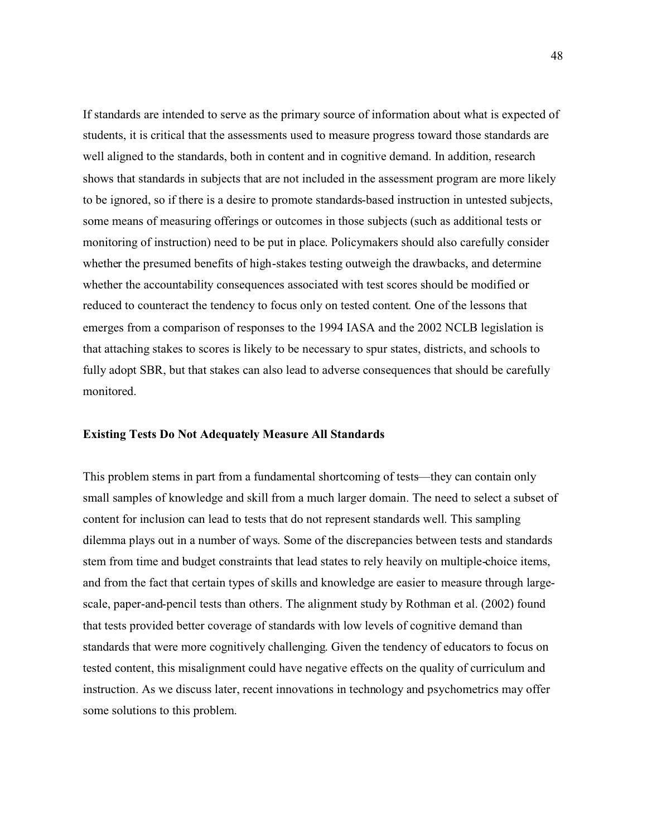If standards are intended to serve as the primary source of information about what is expected of students, it is critical that the assessments used to measure progress toward those standards are well aligned to the standards, both in content and in cognitive demand. In addition, research shows that standards in subjects that are not included in the assessment program are more likely to be ignored, so if there is a desire to promote standards-based instruction in untested subjects, some means of measuring offerings or outcomes in those subjects (such as additional tests or monitoring of instruction) need to be put in place. Policymakers should also carefully consider whether the presumed benefits of high-stakes testing outweigh the drawbacks, and determine whether the accountability consequences associated with test scores should be modified or reduced to counteract the tendency to focus only on tested content. One of the lessons that emerges from a comparison of responses to the 1994 IASA and the 2002 NCLB legislation is that attaching stakes to scores is likely to be necessary to spur states, districts, and schools to fully adopt SBR, but that stakes can also lead to adverse consequences that should be carefully monitored.

### **Existing Tests Do Not Adequately Measure All Standards**

This problem stems in part from a fundamental shortcoming of tests—they can contain only small samples of knowledge and skill from a much larger domain. The need to select a subset of content for inclusion can lead to tests that do not represent standards well. This sampling dilemma plays out in a number of ways. Some of the discrepancies between tests and standards stem from time and budget constraints that lead states to rely heavily on multiple-choice items, and from the fact that certain types of skills and knowledge are easier to measure through largescale, paper-and-pencil tests than others. The alignment study by Rothman et al. (2002) found that tests provided better coverage of standards with low levels of cognitive demand than standards that were more cognitively challenging. Given the tendency of educators to focus on tested content, this misalignment could have negative effects on the quality of curriculum and instruction. As we discuss later, recent innovations in technology and psychometrics may offer some solutions to this problem.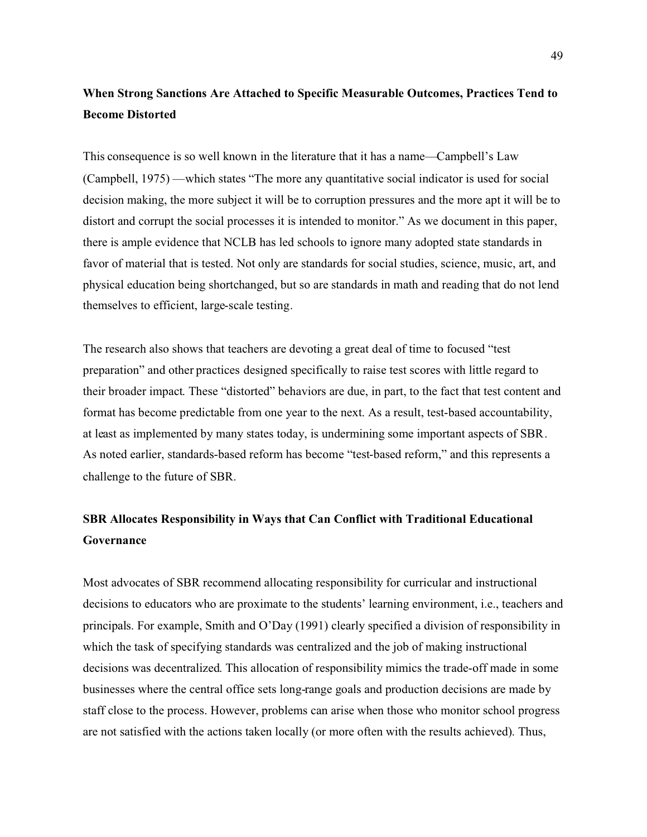# **When Strong Sanctions Are Attached to Specific Measurable Outcomes, Practices Tend to Become Distorted**

This consequence is so well known in the literature that it has a name—Campbell's Law (Campbell, 1975) —which states "The more any quantitative social indicator is used for social decision making, the more subject it will be to corruption pressures and the more apt it will be to distort and corrupt the social processes it is intended to monitor." As we document in this paper, there is ample evidence that NCLB has led schools to ignore many adopted state standards in favor of material that is tested. Not only are standards for social studies, science, music, art, and physical education being shortchanged, but so are standards in math and reading that do not lend themselves to efficient, large-scale testing.

The research also shows that teachers are devoting a great deal of time to focused "test preparation" and other practices designed specifically to raise test scores with little regard to their broader impact. These "distorted" behaviors are due, in part, to the fact that test content and format has become predictable from one year to the next. As a result, test-based accountability, at least as implemented by many states today, is undermining some important aspects of SBR. As noted earlier, standards-based reform has become "test-based reform," and this represents a challenge to the future of SBR.

# **SBR Allocates Responsibility in Ways that Can Conflict with Traditional Educational Governance**

Most advocates of SBR recommend allocating responsibility for curricular and instructional decisions to educators who are proximate to the students' learning environment, i.e., teachers and principals. For example, Smith and O'Day (1991) clearly specified a division of responsibility in which the task of specifying standards was centralized and the job of making instructional decisions was decentralized. This allocation of responsibility mimics the trade-off made in some businesses where the central office sets long-range goals and production decisions are made by staff close to the process. However, problems can arise when those who monitor school progress are not satisfied with the actions taken locally (or more often with the results achieved). Thus,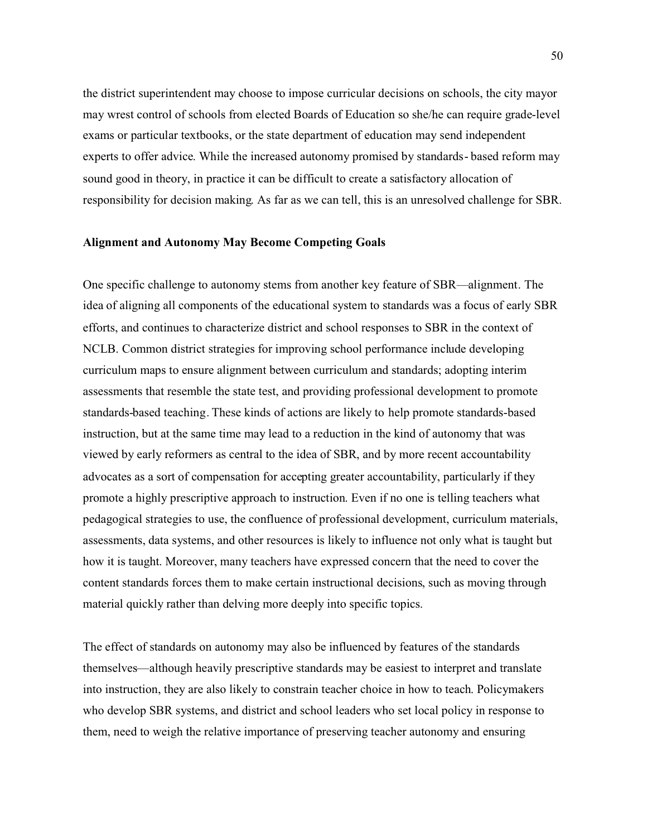the district superintendent may choose to impose curricular decisions on schools, the city mayor may wrest control of schools from elected Boards of Education so she/he can require grade-level exams or particular textbooks, or the state department of education may send independent experts to offer advice. While the increased autonomy promised by standards- based reform may sound good in theory, in practice it can be difficult to create a satisfactory allocation of responsibility for decision making. As far as we can tell, this is an unresolved challenge for SBR.

### **Alignment and Autonomy May Become Competing Goals**

One specific challenge to autonomy stems from another key feature of SBR—alignment. The idea of aligning all components of the educational system to standards was a focus of early SBR efforts, and continues to characterize district and school responses to SBR in the context of NCLB. Common district strategies for improving school performance include developing curriculum maps to ensure alignment between curriculum and standards; adopting interim assessments that resemble the state test, and providing professional development to promote standards-based teaching. These kinds of actions are likely to help promote standards-based instruction, but at the same time may lead to a reduction in the kind of autonomy that was viewed by early reformers as central to the idea of SBR, and by more recent accountability advocates as a sort of compensation for accepting greater accountability, particularly if they promote a highly prescriptive approach to instruction. Even if no one is telling teachers what pedagogical strategies to use, the confluence of professional development, curriculum materials, assessments, data systems, and other resources is likely to influence not only what is taught but how it is taught. Moreover, many teachers have expressed concern that the need to cover the content standards forces them to make certain instructional decisions, such as moving through material quickly rather than delving more deeply into specific topics.

The effect of standards on autonomy may also be influenced by features of the standards themselves—although heavily prescriptive standards may be easiest to interpret and translate into instruction, they are also likely to constrain teacher choice in how to teach. Policymakers who develop SBR systems, and district and school leaders who set local policy in response to them, need to weigh the relative importance of preserving teacher autonomy and ensuring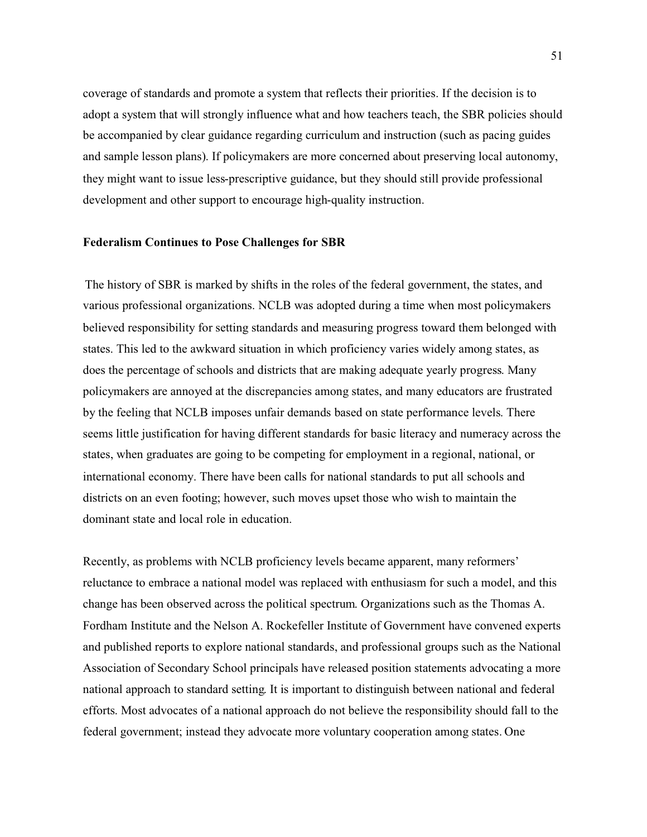coverage of standards and promote a system that reflects their priorities. If the decision is to adopt a system that will strongly influence what and how teachers teach, the SBR policies should be accompanied by clear guidance regarding curriculum and instruction (such as pacing guides and sample lesson plans). If policymakers are more concerned about preserving local autonomy, they might want to issue less-prescriptive guidance, but they should still provide professional development and other support to encourage high-quality instruction.

#### **Federalism Continues to Pose Challenges for SBR**

The history of SBR is marked by shifts in the roles of the federal government, the states, and various professional organizations. NCLB was adopted during a time when most policymakers believed responsibility for setting standards and measuring progress toward them belonged with states. This led to the awkward situation in which proficiency varies widely among states, as does the percentage of schools and districts that are making adequate yearly progress. Many policymakers are annoyed at the discrepancies among states, and many educators are frustrated by the feeling that NCLB imposes unfair demands based on state performance levels. There seems little justification for having different standards for basic literacy and numeracy across the states, when graduates are going to be competing for employment in a regional, national, or international economy. There have been calls for national standards to put all schools and districts on an even footing; however, such moves upset those who wish to maintain the dominant state and local role in education.

Recently, as problems with NCLB proficiency levels became apparent, many reformers' reluctance to embrace a national model was replaced with enthusiasm for such a model, and this change has been observed across the political spectrum. Organizations such as the Thomas A. Fordham Institute and the Nelson A. Rockefeller Institute of Government have convened experts and published reports to explore national standards, and professional groups such as the National Association of Secondary School principals have released position statements advocating a more national approach to standard setting. It is important to distinguish between national and federal efforts. Most advocates of a national approach do not believe the responsibility should fall to the federal government; instead they advocate more voluntary cooperation among states. One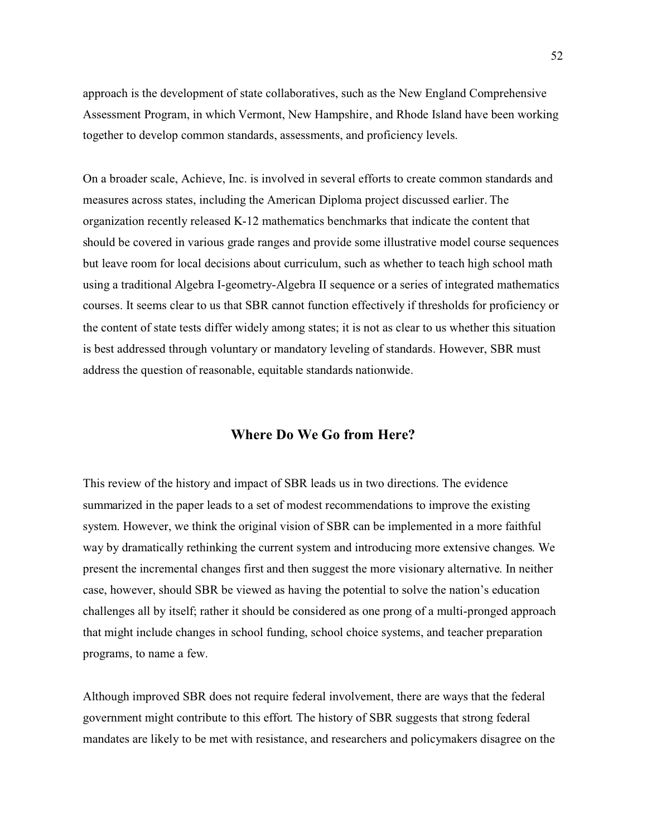approach is the development of state collaboratives, such as the New England Comprehensive Assessment Program, in which Vermont, New Hampshire, and Rhode Island have been working together to develop common standards, assessments, and proficiency levels.

On a broader scale, Achieve, Inc. is involved in several efforts to create common standards and measures across states, including the American Diploma project discussed earlier. The organization recently released K-12 mathematics benchmarks that indicate the content that should be covered in various grade ranges and provide some illustrative model course sequences but leave room for local decisions about curriculum, such as whether to teach high school math using a traditional Algebra I-geometry-Algebra II sequence or a series of integrated mathematics courses. It seems clear to us that SBR cannot function effectively if thresholds for proficiency or the content of state tests differ widely among states; it is not as clear to us whether this situation is best addressed through voluntary or mandatory leveling of standards. However, SBR must address the question of reasonable, equitable standards nationwide.

# **Where Do We Go from Here?**

This review of the history and impact of SBR leads us in two directions. The evidence summarized in the paper leads to a set of modest recommendations to improve the existing system. However, we think the original vision of SBR can be implemented in a more faithful way by dramatically rethinking the current system and introducing more extensive changes. We present the incremental changes first and then suggest the more visionary alternative. In neither case, however, should SBR be viewed as having the potential to solve the nation's education challenges all by itself; rather it should be considered as one prong of a multi-pronged approach that might include changes in school funding, school choice systems, and teacher preparation programs, to name a few.

Although improved SBR does not require federal involvement, there are ways that the federal government might contribute to this effort. The history of SBR suggests that strong federal mandates are likely to be met with resistance, and researchers and policymakers disagree on the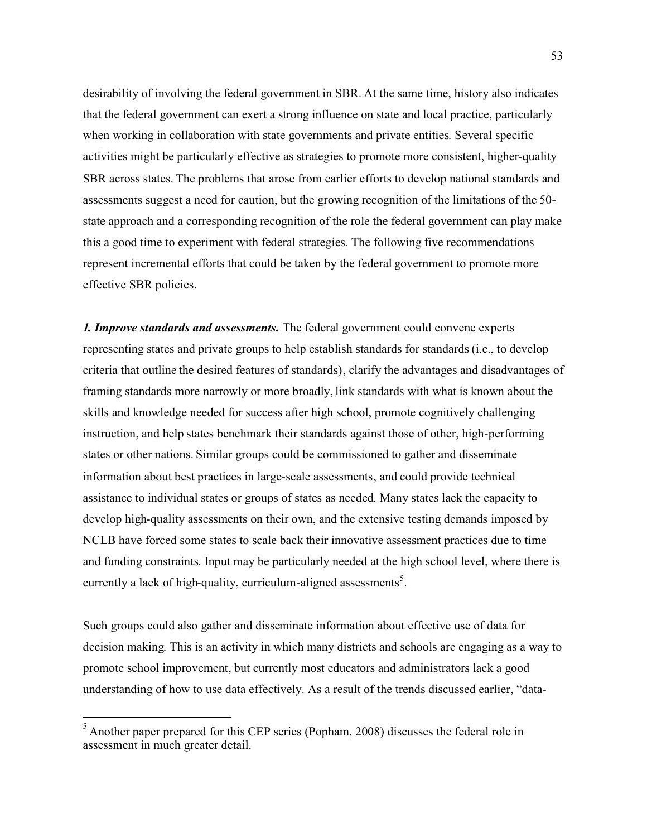desirability of involving the federal government in SBR. At the same time, history also indicates that the federal government can exert a strong influence on state and local practice, particularly when working in collaboration with state governments and private entities. Several specific activities might be particularly effective as strategies to promote more consistent, higher-quality SBR across states. The problems that arose from earlier efforts to develop national standards and assessments suggest a need for caution, but the growing recognition of the limitations of the 50 state approach and a corresponding recognition of the role the federal government can play make this a good time to experiment with federal strategies. The following five recommendations represent incremental efforts that could be taken by the federal government to promote more effective SBR policies.

*1. Improve standards and assessments.* The federal government could convene experts representing states and private groups to help establish standards for standards (i.e., to develop criteria that outline the desired features of standards), clarify the advantages and disadvantages of framing standards more narrowly or more broadly, link standards with what is known about the skills and knowledge needed for success after high school, promote cognitively challenging instruction, and help states benchmark their standards against those of other, high-performing states or other nations. Similar groups could be commissioned to gather and disseminate information about best practices in large-scale assessments, and could provide technical assistance to individual states or groups of states as needed. Many states lack the capacity to develop high-quality assessments on their own, and the extensive testing demands imposed by NCLB have forced some states to scale back their innovative assessment practices due to time and funding constraints. Input may be particularly needed at the high school level, where there is currently a lack of high-quality, curriculum-aligned assessments<sup>5</sup>.

Such groups could also gather and disseminate information about effective use of data for decision making. This is an activity in which many districts and schools are engaging as a way to promote school improvement, but currently most educators and administrators lack a good understanding of how to use data effectively. As a result of the trends discussed earlier, "data-

<sup>5</sup> Another paper prepared for this CEP series (Popham, 2008) discusses the federal role in assessment in much greater detail.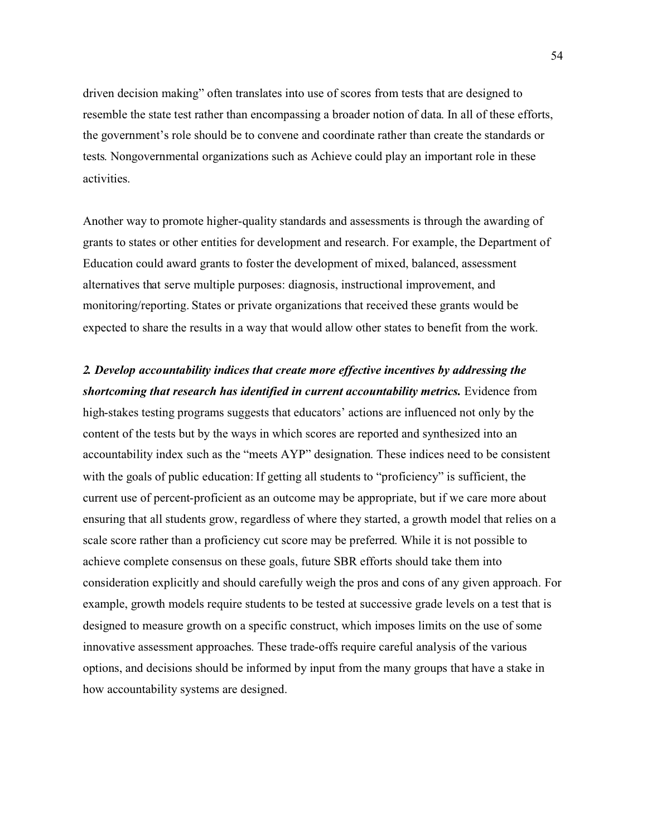driven decision making" often translates into use of scores from tests that are designed to resemble the state test rather than encompassing a broader notion of data. In all of these efforts, the government's role should be to convene and coordinate rather than create the standards or tests. Nongovernmental organizations such as Achieve could play an important role in these activities.

Another way to promote higher-quality standards and assessments is through the awarding of grants to states or other entities for development and research. For example, the Department of Education could award grants to foster the development of mixed, balanced, assessment alternatives that serve multiple purposes: diagnosis, instructional improvement, and monitoring/reporting. States or private organizations that received these grants would be expected to share the results in a way that would allow other states to benefit from the work.

*2. Develop accountability indices that create more effective incentives by addressing the shortcoming that research has identified in current accountability metrics.* Evidence from high-stakes testing programs suggests that educators' actions are influenced not only by the content of the tests but by the ways in which scores are reported and synthesized into an accountability index such as the "meets AYP" designation. These indices need to be consistent with the goals of public education: If getting all students to "proficiency" is sufficient, the current use of percent-proficient as an outcome may be appropriate, but if we care more about ensuring that all students grow, regardless of where they started, a growth model that relies on a scale score rather than a proficiency cut score may be preferred. While it is not possible to achieve complete consensus on these goals, future SBR efforts should take them into consideration explicitly and should carefully weigh the pros and cons of any given approach. For example, growth models require students to be tested at successive grade levels on a test that is designed to measure growth on a specific construct, which imposes limits on the use of some innovative assessment approaches. These trade-offs require careful analysis of the various options, and decisions should be informed by input from the many groups that have a stake in how accountability systems are designed.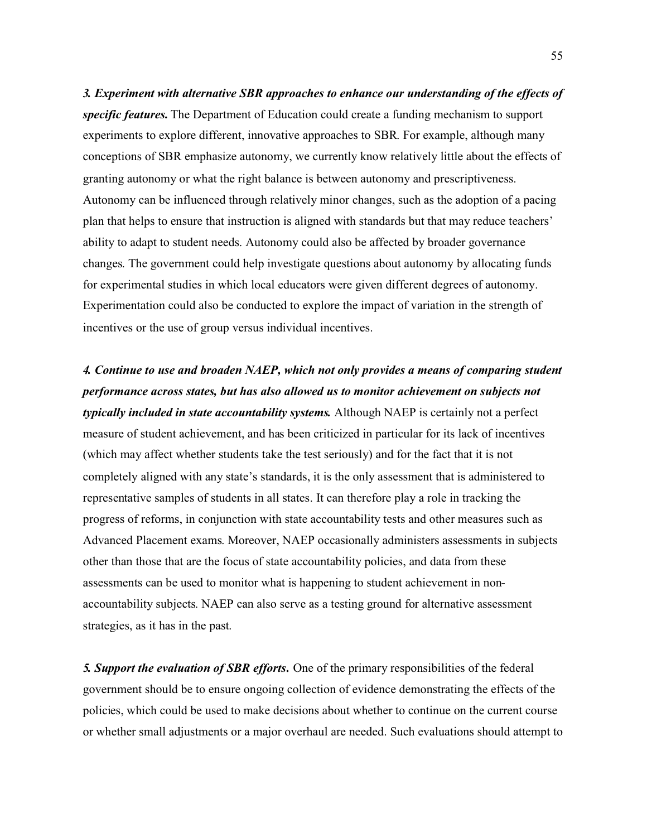*3. Experiment with alternative SBR approaches to enhance our understanding of the effects of specific features.* The Department of Education could create a funding mechanism to support experiments to explore different, innovative approaches to SBR. For example, although many conceptions of SBR emphasize autonomy, we currently know relatively little about the effects of granting autonomy or what the right balance is between autonomy and prescriptiveness. Autonomy can be influenced through relatively minor changes, such as the adoption of a pacing plan that helps to ensure that instruction is aligned with standards but that may reduce teachers' ability to adapt to student needs. Autonomy could also be affected by broader governance changes. The government could help investigate questions about autonomy by allocating funds for experimental studies in which local educators were given different degrees of autonomy. Experimentation could also be conducted to explore the impact of variation in the strength of incentives or the use of group versus individual incentives.

*4. Continue to use and broaden NAEP, which not only provides a means of comparing student performance across states, but has also allowed us to monitor achievement on subjects not typically included in state accountability systems.* Although NAEP is certainly not a perfect measure of student achievement, and has been criticized in particular for its lack of incentives (which may affect whether students take the test seriously) and for the fact that it is not completely aligned with any state's standards, it is the only assessment that is administered to representative samples of students in all states. It can therefore play a role in tracking the progress of reforms, in conjunction with state accountability tests and other measures such as Advanced Placement exams. Moreover, NAEP occasionally administers assessments in subjects other than those that are the focus of state accountability policies, and data from these assessments can be used to monitor what is happening to student achievement in nonaccountability subjects. NAEP can also serve as a testing ground for alternative assessment strategies, as it has in the past.

*5. Support the evaluation of SBR efforts.* One of the primary responsibilities of the federal government should be to ensure ongoing collection of evidence demonstrating the effects of the policies, which could be used to make decisions about whether to continue on the current course or whether small adjustments or a major overhaul are needed. Such evaluations should attempt to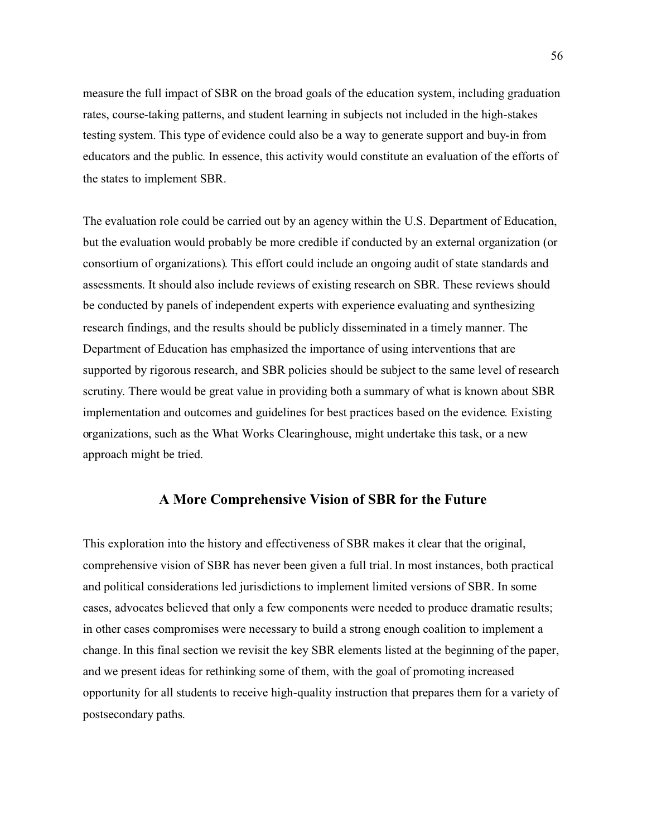measure the full impact of SBR on the broad goals of the education system, including graduation rates, course-taking patterns, and student learning in subjects not included in the high-stakes testing system. This type of evidence could also be a way to generate support and buy-in from educators and the public. In essence, this activity would constitute an evaluation of the efforts of the states to implement SBR.

The evaluation role could be carried out by an agency within the U.S. Department of Education, but the evaluation would probably be more credible if conducted by an external organization (or consortium of organizations). This effort could include an ongoing audit of state standards and assessments. It should also include reviews of existing research on SBR. These reviews should be conducted by panels of independent experts with experience evaluating and synthesizing research findings, and the results should be publicly disseminated in a timely manner. The Department of Education has emphasized the importance of using interventions that are supported by rigorous research, and SBR policies should be subject to the same level of research scrutiny. There would be great value in providing both a summary of what is known about SBR implementation and outcomes and guidelines for best practices based on the evidence. Existing organizations, such as the What Works Clearinghouse, might undertake this task, or a new approach might be tried.

# **A More Comprehensive Vision of SBR for the Future**

This exploration into the history and effectiveness of SBR makes it clear that the original, comprehensive vision of SBR has never been given a full trial. In most instances, both practical and political considerations led jurisdictions to implement limited versions of SBR. In some cases, advocates believed that only a few components were needed to produce dramatic results; in other cases compromises were necessary to build a strong enough coalition to implement a change. In this final section we revisit the key SBR elements listed at the beginning of the paper, and we present ideas for rethinking some of them, with the goal of promoting increased opportunity for all students to receive high-quality instruction that prepares them for a variety of postsecondary paths.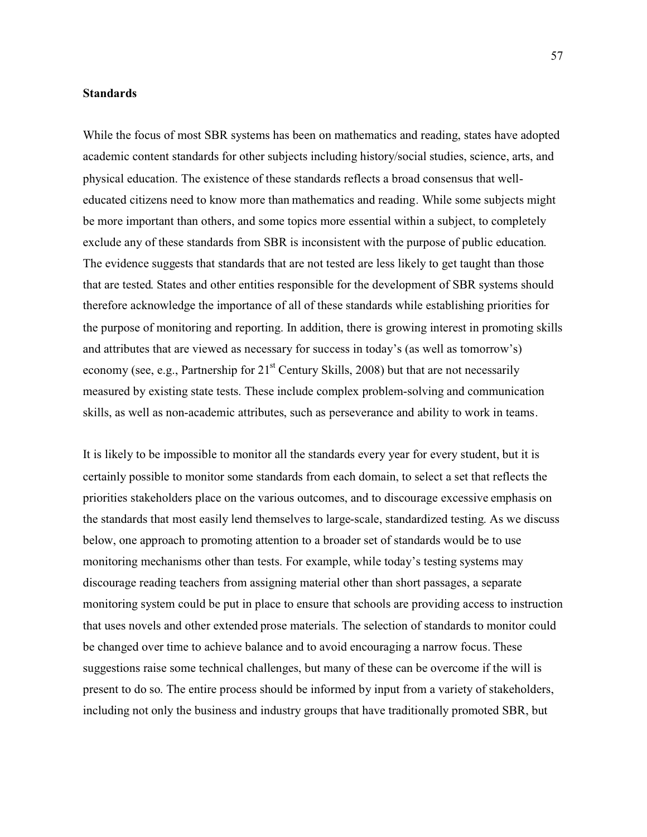# **Standards**

While the focus of most SBR systems has been on mathematics and reading, states have adopted academic content standards for other subjects including history/social studies, science, arts, and physical education. The existence of these standards reflects a broad consensus that welleducated citizens need to know more than mathematics and reading. While some subjects might be more important than others, and some topics more essential within a subject, to completely exclude any of these standards from SBR is inconsistent with the purpose of public education. The evidence suggests that standards that are not tested are less likely to get taught than those that are tested. States and other entities responsible for the development of SBR systems should therefore acknowledge the importance of all of these standards while establishing priorities for the purpose of monitoring and reporting. In addition, there is growing interest in promoting skills and attributes that are viewed as necessary for success in today's (as well as tomorrow's) economy (see, e.g., Partnership for  $21<sup>st</sup>$  Century Skills, 2008) but that are not necessarily measured by existing state tests. These include complex problem-solving and communication skills, as well as non-academic attributes, such as perseverance and ability to work in teams.

It is likely to be impossible to monitor all the standards every year for every student, but it is certainly possible to monitor some standards from each domain, to select a set that reflects the priorities stakeholders place on the various outcomes, and to discourage excessive emphasis on the standards that most easily lend themselves to large-scale, standardized testing. As we discuss below, one approach to promoting attention to a broader set of standards would be to use monitoring mechanisms other than tests. For example, while today's testing systems may discourage reading teachers from assigning material other than short passages, a separate monitoring system could be put in place to ensure that schools are providing access to instruction that uses novels and other extended prose materials. The selection of standards to monitor could be changed over time to achieve balance and to avoid encouraging a narrow focus. These suggestions raise some technical challenges, but many of these can be overcome if the will is present to do so. The entire process should be informed by input from a variety of stakeholders, including not only the business and industry groups that have traditionally promoted SBR, but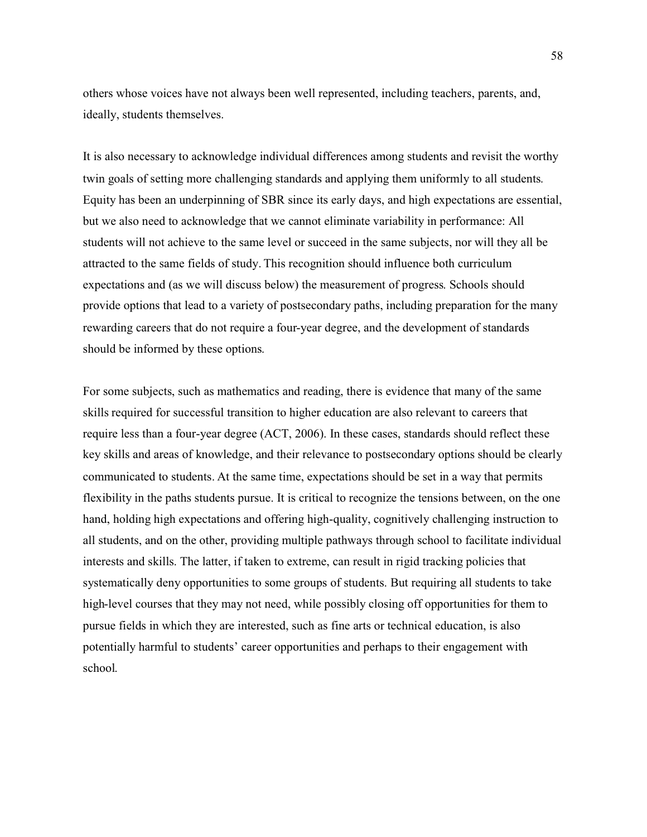others whose voices have not always been well represented, including teachers, parents, and, ideally, students themselves.

It is also necessary to acknowledge individual differences among students and revisit the worthy twin goals of setting more challenging standards and applying them uniformly to all students. Equity has been an underpinning of SBR since its early days, and high expectations are essential, but we also need to acknowledge that we cannot eliminate variability in performance: All students will not achieve to the same level or succeed in the same subjects, nor will they all be attracted to the same fields of study. This recognition should influence both curriculum expectations and (as we will discuss below) the measurement of progress. Schools should provide options that lead to a variety of postsecondary paths, including preparation for the many rewarding careers that do not require a four-year degree, and the development of standards should be informed by these options.

For some subjects, such as mathematics and reading, there is evidence that many of the same skills required for successful transition to higher education are also relevant to careers that require less than a four-year degree (ACT, 2006). In these cases, standards should reflect these key skills and areas of knowledge, and their relevance to postsecondary options should be clearly communicated to students. At the same time, expectations should be set in a way that permits flexibility in the paths students pursue. It is critical to recognize the tensions between, on the one hand, holding high expectations and offering high-quality, cognitively challenging instruction to all students, and on the other, providing multiple pathways through school to facilitate individual interests and skills. The latter, if taken to extreme, can result in rigid tracking policies that systematically deny opportunities to some groups of students. But requiring all students to take high-level courses that they may not need, while possibly closing off opportunities for them to pursue fields in which they are interested, such as fine arts or technical education, is also potentially harmful to students' career opportunities and perhaps to their engagement with school.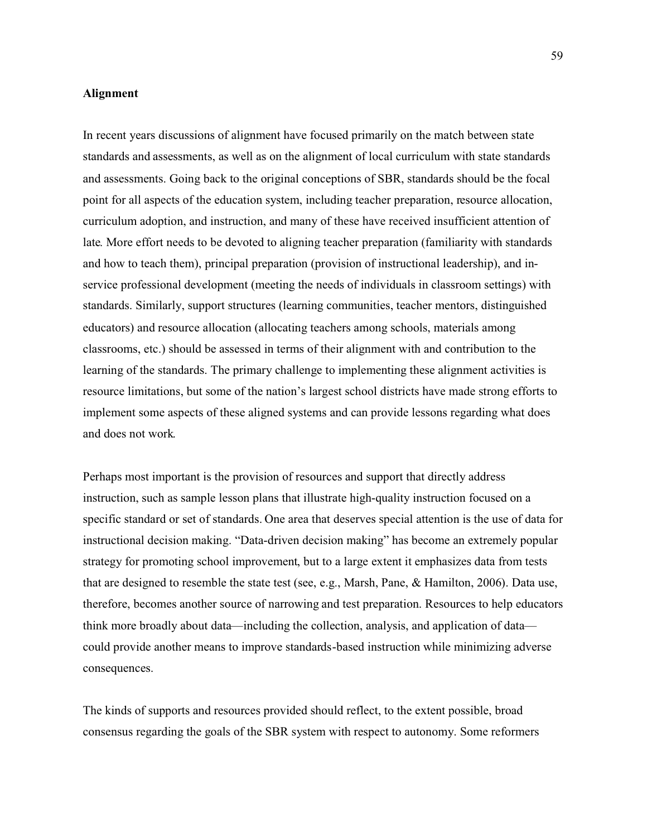## **Alignment**

In recent years discussions of alignment have focused primarily on the match between state standards and assessments, as well as on the alignment of local curriculum with state standards and assessments. Going back to the original conceptions of SBR, standards should be the focal point for all aspects of the education system, including teacher preparation, resource allocation, curriculum adoption, and instruction, and many of these have received insufficient attention of late. More effort needs to be devoted to aligning teacher preparation (familiarity with standards and how to teach them), principal preparation (provision of instructional leadership), and inservice professional development (meeting the needs of individuals in classroom settings) with standards. Similarly, support structures (learning communities, teacher mentors, distinguished educators) and resource allocation (allocating teachers among schools, materials among classrooms, etc.) should be assessed in terms of their alignment with and contribution to the learning of the standards. The primary challenge to implementing these alignment activities is resource limitations, but some of the nation's largest school districts have made strong efforts to implement some aspects of these aligned systems and can provide lessons regarding what does and does not work.

Perhaps most important is the provision of resources and support that directly address instruction, such as sample lesson plans that illustrate high-quality instruction focused on a specific standard or set of standards. One area that deserves special attention is the use of data for instructional decision making. "Data-driven decision making" has become an extremely popular strategy for promoting school improvement, but to a large extent it emphasizes data from tests that are designed to resemble the state test (see, e.g., Marsh, Pane, & Hamilton, 2006). Data use, therefore, becomes another source of narrowing and test preparation. Resources to help educators think more broadly about data—including the collection, analysis, and application of data could provide another means to improve standards-based instruction while minimizing adverse consequences.

The kinds of supports and resources provided should reflect, to the extent possible, broad consensus regarding the goals of the SBR system with respect to autonomy. Some reformers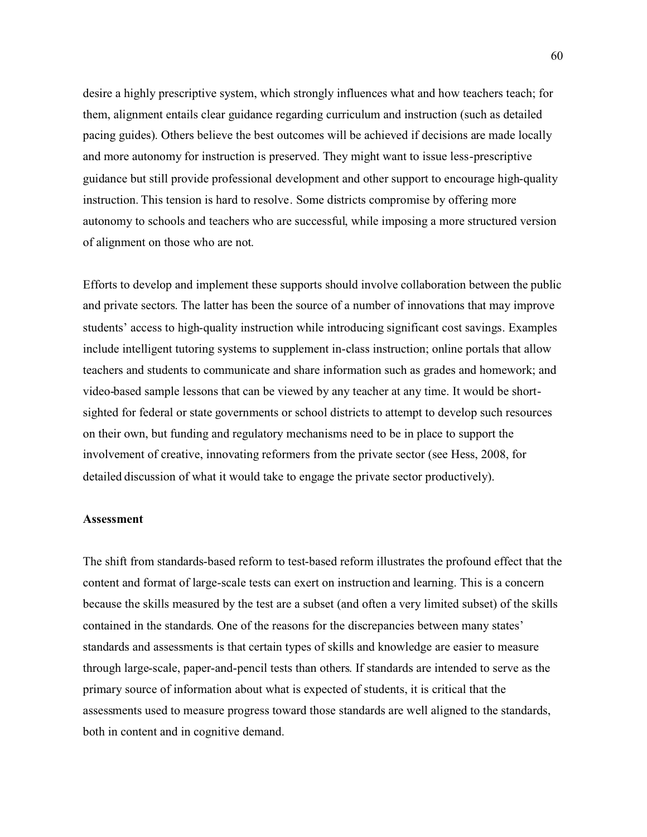desire a highly prescriptive system, which strongly influences what and how teachers teach; for them, alignment entails clear guidance regarding curriculum and instruction (such as detailed pacing guides). Others believe the best outcomes will be achieved if decisions are made locally and more autonomy for instruction is preserved. They might want to issue less-prescriptive guidance but still provide professional development and other support to encourage high-quality instruction. This tension is hard to resolve. Some districts compromise by offering more autonomy to schools and teachers who are successful, while imposing a more structured version of alignment on those who are not.

Efforts to develop and implement these supports should involve collaboration between the public and private sectors. The latter has been the source of a number of innovations that may improve students' access to high-quality instruction while introducing significant cost savings. Examples include intelligent tutoring systems to supplement in-class instruction; online portals that allow teachers and students to communicate and share information such as grades and homework; and video-based sample lessons that can be viewed by any teacher at any time. It would be shortsighted for federal or state governments or school districts to attempt to develop such resources on their own, but funding and regulatory mechanisms need to be in place to support the involvement of creative, innovating reformers from the private sector (see Hess, 2008, for detailed discussion of what it would take to engage the private sector productively).

### **Assessment**

The shift from standards-based reform to test-based reform illustrates the profound effect that the content and format of large-scale tests can exert on instruction and learning. This is a concern because the skills measured by the test are a subset (and often a very limited subset) of the skills contained in the standards. One of the reasons for the discrepancies between many states' standards and assessments is that certain types of skills and knowledge are easier to measure through large-scale, paper-and-pencil tests than others. If standards are intended to serve as the primary source of information about what is expected of students, it is critical that the assessments used to measure progress toward those standards are well aligned to the standards, both in content and in cognitive demand.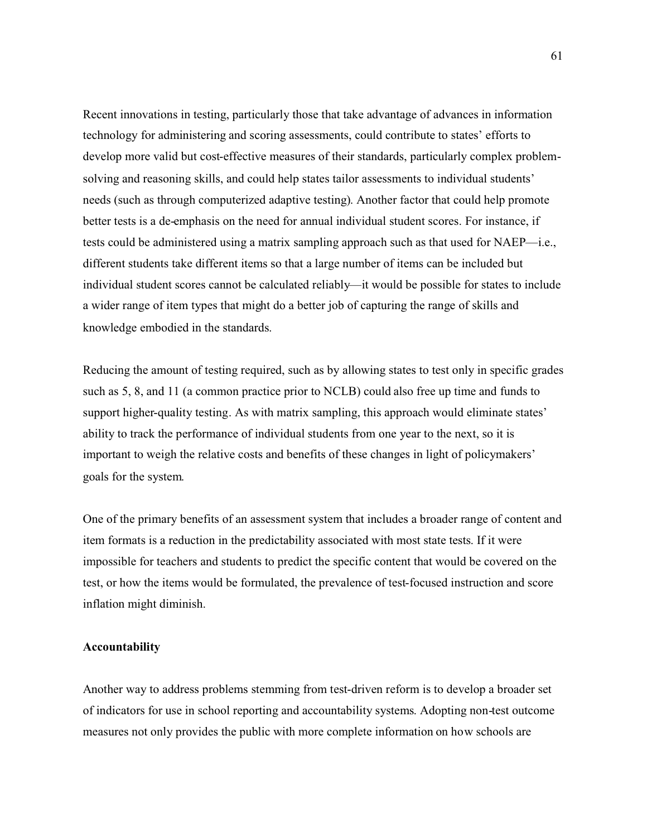Recent innovations in testing, particularly those that take advantage of advances in information technology for administering and scoring assessments, could contribute to states' efforts to develop more valid but cost-effective measures of their standards, particularly complex problemsolving and reasoning skills, and could help states tailor assessments to individual students' needs (such as through computerized adaptive testing). Another factor that could help promote better tests is a de-emphasis on the need for annual individual student scores. For instance, if tests could be administered using a matrix sampling approach such as that used for NAEP—i.e., different students take different items so that a large number of items can be included but individual student scores cannot be calculated reliably—it would be possible for states to include a wider range of item types that might do a better job of capturing the range of skills and knowledge embodied in the standards.

Reducing the amount of testing required, such as by allowing states to test only in specific grades such as 5, 8, and 11 (a common practice prior to NCLB) could also free up time and funds to support higher-quality testing. As with matrix sampling, this approach would eliminate states' ability to track the performance of individual students from one year to the next, so it is important to weigh the relative costs and benefits of these changes in light of policymakers' goals for the system.

One of the primary benefits of an assessment system that includes a broader range of content and item formats is a reduction in the predictability associated with most state tests. If it were impossible for teachers and students to predict the specific content that would be covered on the test, or how the items would be formulated, the prevalence of test-focused instruction and score inflation might diminish.

### **Accountability**

Another way to address problems stemming from test-driven reform is to develop a broader set of indicators for use in school reporting and accountability systems. Adopting non-test outcome measures not only provides the public with more complete information on how schools are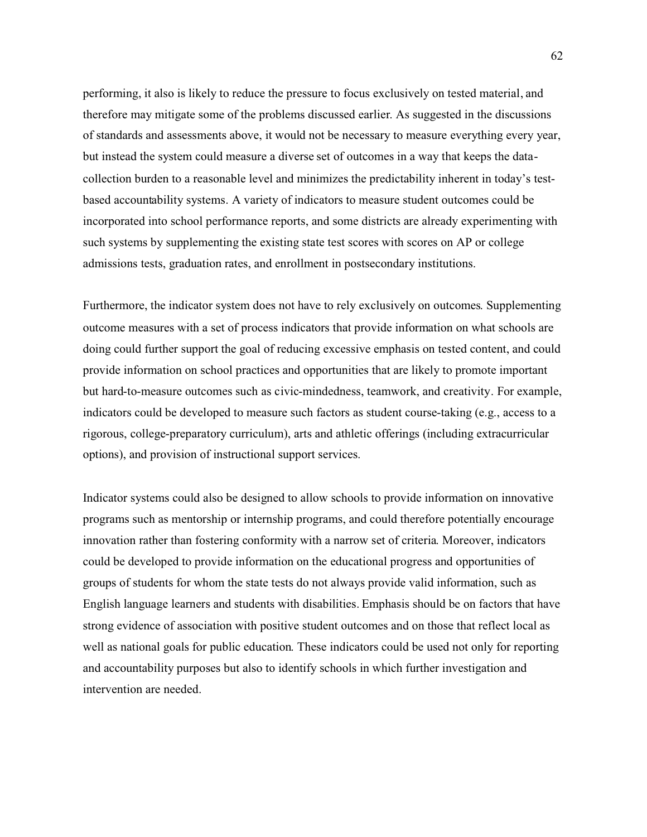performing, it also is likely to reduce the pressure to focus exclusively on tested material, and therefore may mitigate some of the problems discussed earlier. As suggested in the discussions of standards and assessments above, it would not be necessary to measure everything every year, but instead the system could measure a diverse set of outcomes in a way that keeps the datacollection burden to a reasonable level and minimizes the predictability inherent in today's testbased accountability systems. A variety of indicators to measure student outcomes could be incorporated into school performance reports, and some districts are already experimenting with such systems by supplementing the existing state test scores with scores on AP or college admissions tests, graduation rates, and enrollment in postsecondary institutions.

Furthermore, the indicator system does not have to rely exclusively on outcomes. Supplementing outcome measures with a set of process indicators that provide information on what schools are doing could further support the goal of reducing excessive emphasis on tested content, and could provide information on school practices and opportunities that are likely to promote important but hard-to-measure outcomes such as civic-mindedness, teamwork, and creativity. For example, indicators could be developed to measure such factors as student course-taking (e.g., access to a rigorous, college-preparatory curriculum), arts and athletic offerings (including extracurricular options), and provision of instructional support services.

Indicator systems could also be designed to allow schools to provide information on innovative programs such as mentorship or internship programs, and could therefore potentially encourage innovation rather than fostering conformity with a narrow set of criteria. Moreover, indicators could be developed to provide information on the educational progress and opportunities of groups of students for whom the state tests do not always provide valid information, such as English language learners and students with disabilities. Emphasis should be on factors that have strong evidence of association with positive student outcomes and on those that reflect local as well as national goals for public education. These indicators could be used not only for reporting and accountability purposes but also to identify schools in which further investigation and intervention are needed.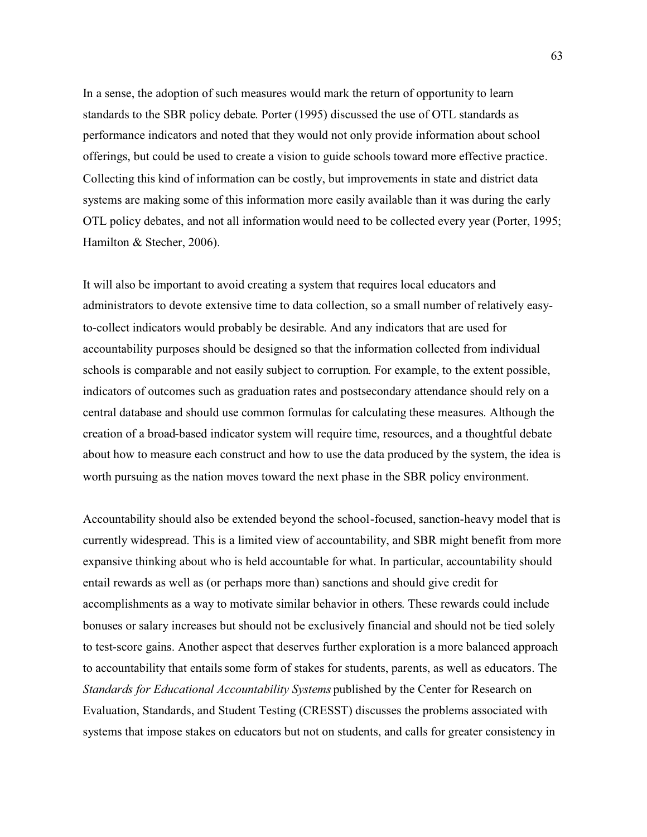In a sense, the adoption of such measures would mark the return of opportunity to learn standards to the SBR policy debate. Porter (1995) discussed the use of OTL standards as performance indicators and noted that they would not only provide information about school offerings, but could be used to create a vision to guide schools toward more effective practice. Collecting this kind of information can be costly, but improvements in state and district data systems are making some of this information more easily available than it was during the early OTL policy debates, and not all information would need to be collected every year (Porter, 1995; Hamilton & Stecher, 2006).

It will also be important to avoid creating a system that requires local educators and administrators to devote extensive time to data collection, so a small number of relatively easyto-collect indicators would probably be desirable. And any indicators that are used for accountability purposes should be designed so that the information collected from individual schools is comparable and not easily subject to corruption. For example, to the extent possible, indicators of outcomes such as graduation rates and postsecondary attendance should rely on a central database and should use common formulas for calculating these measures. Although the creation of a broad-based indicator system will require time, resources, and a thoughtful debate about how to measure each construct and how to use the data produced by the system, the idea is worth pursuing as the nation moves toward the next phase in the SBR policy environment.

Accountability should also be extended beyond the school-focused, sanction-heavy model that is currently widespread. This is a limited view of accountability, and SBR might benefit from more expansive thinking about who is held accountable for what. In particular, accountability should entail rewards as well as (or perhaps more than) sanctions and should give credit for accomplishments as a way to motivate similar behavior in others. These rewards could include bonuses or salary increases but should not be exclusively financial and should not be tied solely to test-score gains. Another aspect that deserves further exploration is a more balanced approach to accountability that entails some form of stakes for students, parents, as well as educators. The *Standards for Educational Accountability Systems* published by the Center for Research on Evaluation, Standards, and Student Testing (CRESST) discusses the problems associated with systems that impose stakes on educators but not on students, and calls for greater consistency in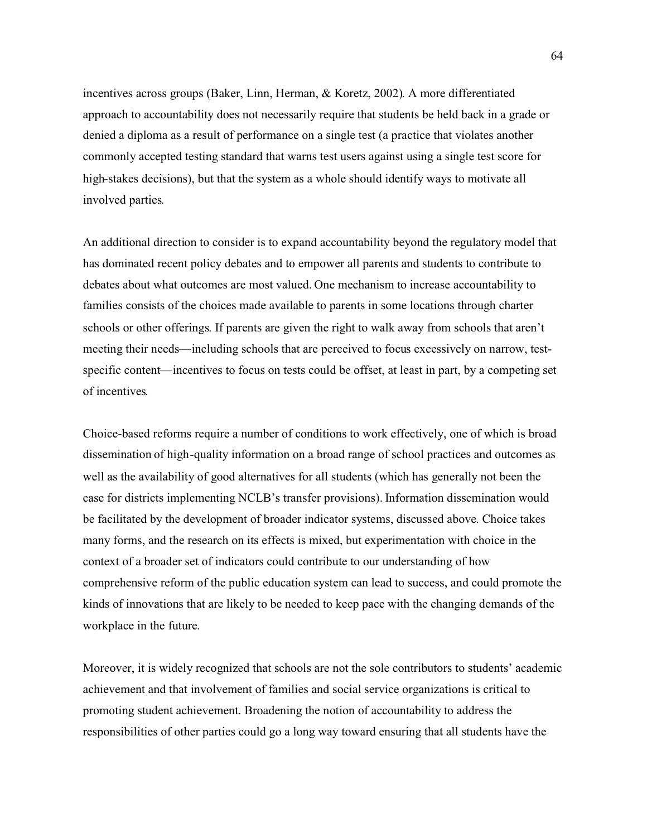incentives across groups (Baker, Linn, Herman, & Koretz, 2002). A more differentiated approach to accountability does not necessarily require that students be held back in a grade or denied a diploma as a result of performance on a single test (a practice that violates another commonly accepted testing standard that warns test users against using a single test score for high-stakes decisions), but that the system as a whole should identify ways to motivate all involved parties.

An additional direction to consider is to expand accountability beyond the regulatory model that has dominated recent policy debates and to empower all parents and students to contribute to debates about what outcomes are most valued. One mechanism to increase accountability to families consists of the choices made available to parents in some locations through charter schools or other offerings. If parents are given the right to walk away from schools that aren't meeting their needs—including schools that are perceived to focus excessively on narrow, testspecific content—incentives to focus on tests could be offset, at least in part, by a competing set of incentives.

Choice-based reforms require a number of conditions to work effectively, one of which is broad dissemination of high-quality information on a broad range of school practices and outcomes as well as the availability of good alternatives for all students (which has generally not been the case for districts implementing NCLB's transfer provisions). Information dissemination would be facilitated by the development of broader indicator systems, discussed above. Choice takes many forms, and the research on its effects is mixed, but experimentation with choice in the context of a broader set of indicators could contribute to our understanding of how comprehensive reform of the public education system can lead to success, and could promote the kinds of innovations that are likely to be needed to keep pace with the changing demands of the workplace in the future.

Moreover, it is widely recognized that schools are not the sole contributors to students' academic achievement and that involvement of families and social service organizations is critical to promoting student achievement. Broadening the notion of accountability to address the responsibilities of other parties could go a long way toward ensuring that all students have the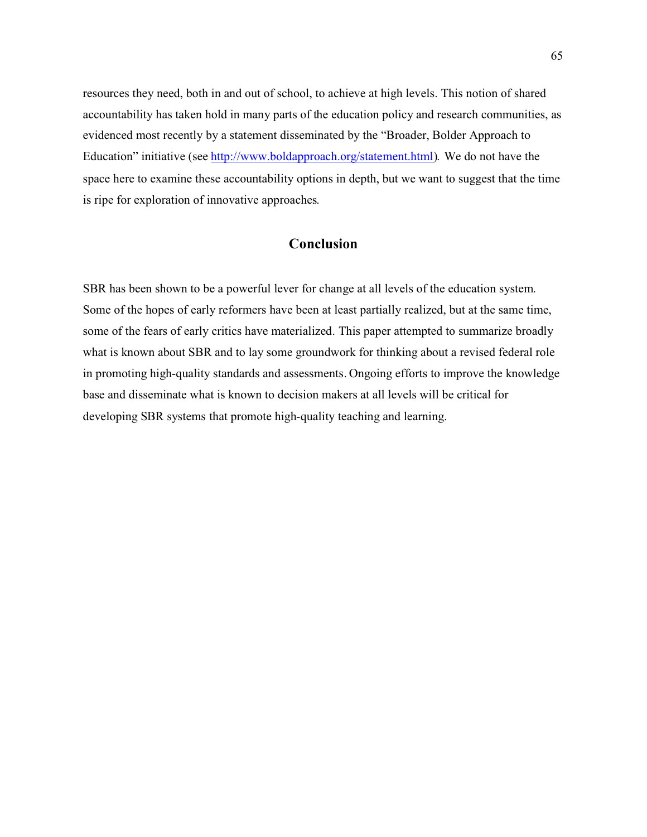resources they need, both in and out of school, to achieve at high levels. This notion of shared accountability has taken hold in many parts of the education policy and research communities, as evidenced most recently by a statement disseminated by the "Broader, Bolder Approach to Education" initiative (see [http://www.boldapproach.org/statement.html\).](http://www.boldapproach.org/statement.html) We do not have the space here to examine these accountability options in depth, but we want to suggest that the time is ripe for exploration of innovative approaches.

# **Conclusion**

SBR has been shown to be a powerful lever for change at all levels of the education system. Some of the hopes of early reformers have been at least partially realized, but at the same time, some of the fears of early critics have materialized. This paper attempted to summarize broadly what is known about SBR and to lay some groundwork for thinking about a revised federal role in promoting high-quality standards and assessments. Ongoing efforts to improve the knowledge base and disseminate what is known to decision makers at all levels will be critical for developing SBR systems that promote high-quality teaching and learning.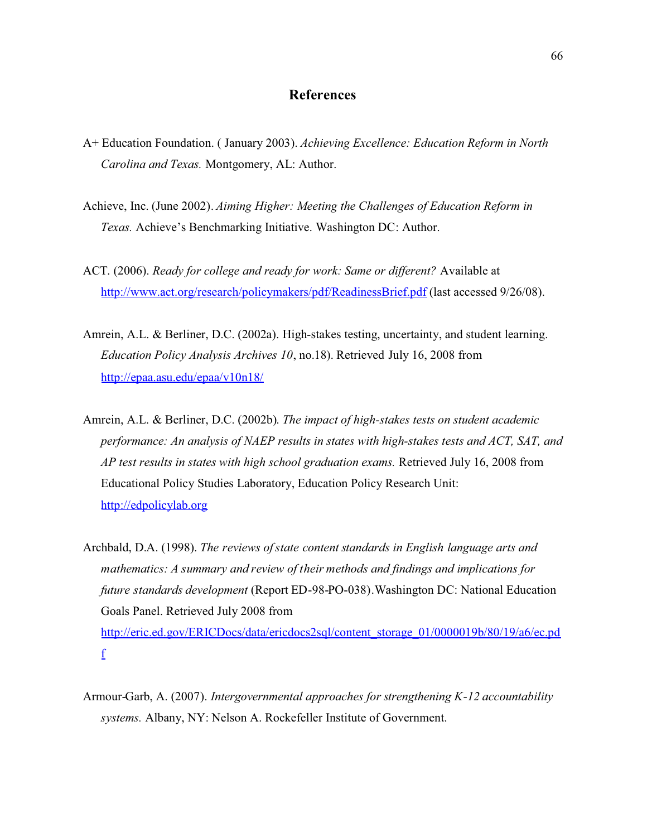# **References**

- A+ Education Foundation. ( January 2003). *Achieving Excellence: Education Reform in North Carolina and Texas.* Montgomery, AL: Author.
- Achieve, Inc. (June 2002). *Aiming Higher: Meeting the Challenges of Education Reform in Texas.* Achieve's Benchmarking Initiative. Washington DC: Author.
- ACT. (2006). *Ready for college and ready for work: Same or different?* Available at <http://www.act.org/research/policymakers/pdf/ReadinessBrief.pdf> (last accessed 9/26/08).
- Amrein, A.L. & Berliner, D.C. (2002a). High-stakes testing, uncertainty, and student learning. *Education Policy Analysis Archives 10*, no.18). Retrieved July 16, 2008 from <http://epaa.asu.edu/epaa/v10n18/>
- Amrein, A.L. & Berliner, D.C. (2002b). *The impact of high-stakes tests on student academic performance: An analysis of NAEP results in states with high-stakes tests and ACT, SAT, and AP test results in states with high school graduation exams.* Retrieved July 16, 2008 from Educational Policy Studies Laboratory, Education Policy Research Unit: <http://edpolicylab.org>
- Archbald, D.A. (1998). *The reviews of state content standards in English language arts and mathematics: A summary and review of their methods and findings and implications for future standards development* (Report ED-98-PO-038).Washington DC: National Education Goals Panel. Retrieved July 2008 from [http://eric.ed.gov/ERICDocs/data/ericdocs2sql/content\\_storage\\_01/0000019b/80/19/a6/ec.pd](http://eric.ed.gov/ERICDocs/data/ericdocs2sql/content_storage_01/0000019b/80/19/a6/ec.pdf) f
- Armour-Garb, A. (2007). *Intergovernmental approaches for strengthening K-12 accountability systems.* Albany, NY: Nelson A. Rockefeller Institute of Government.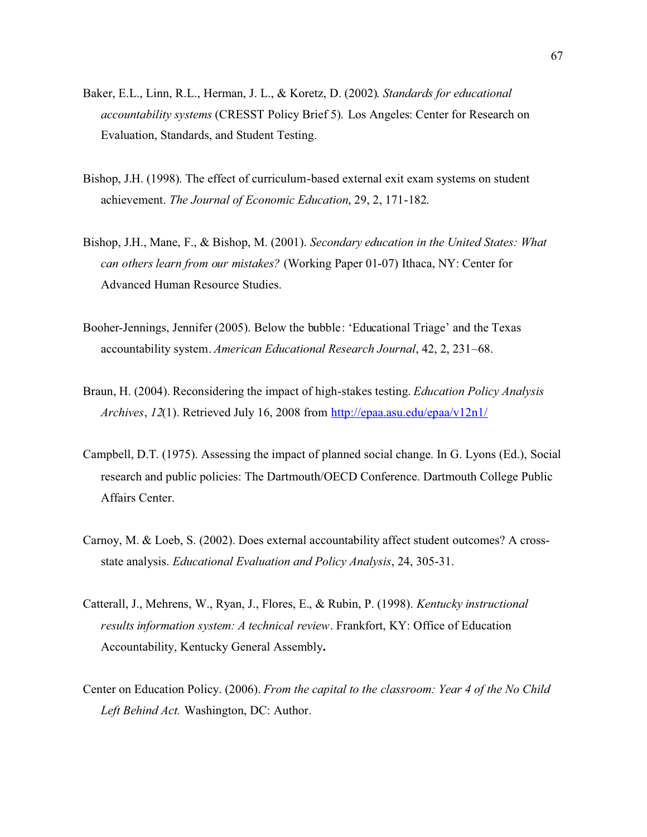- Baker, E.L., Linn, R.L., Herman, J. L., & Koretz, D. (2002). *Standards for educational accountability systems* (CRESST Policy Brief 5). Los Angeles: Center for Research on Evaluation, Standards, and Student Testing.
- Bishop, J.H. (1998). The effect of curriculum-based external exit exam systems on student achievement. *The Journal of Economic Education*, 29, 2, 171-182.
- Bishop, J.H., Mane, F., & Bishop, M. (2001). *Secondary education in the United States: What can others learn from our mistakes?* (Working Paper 01-07) Ithaca, NY: Center for Advanced Human Resource Studies.
- Booher-Jennings, Jennifer (2005). Below the bubble: 'Educational Triage' and the Texas accountability system. *American Educational Research Journal*, 42, 2, 231–68.
- Braun, H. (2004). Reconsidering the impact of high-stakes testing. *Education Policy Analysis Archives*, *12*(1). Retrieved July 16, 2008 from <http://epaa.asu.edu/epaa/v12n1/>
- Campbell, D.T. (1975). Assessing the impact of planned social change. In G. Lyons (Ed.), Social research and public policies: The Dartmouth/OECD Conference. Dartmouth College Public Affairs Center.
- Carnoy, M. & Loeb, S. (2002). Does external accountability affect student outcomes? A crossstate analysis. *Educational Evaluation and Policy Analysis*, 24, 305-31.
- Catterall, J., Mehrens, W., Ryan, J., Flores, E., & Rubin, P. (1998). *Kentucky instructional results information system: A technical review*. Frankfort, KY: Office of Education Accountability, Kentucky General Assembly**.**
- Center on Education Policy. (2006). *From the capital to the classroom: Year 4 of the No Child Left Behind Act.* Washington, DC: Author.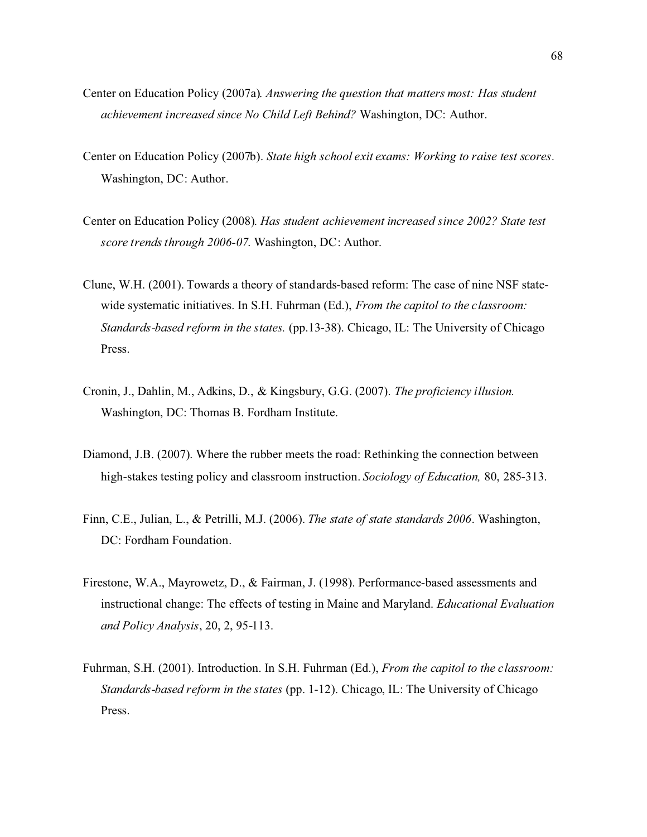- Center on Education Policy (2007a). *Answering the question that matters most: Has student achievement increased since No Child Left Behind?* Washington, DC: Author.
- Center on Education Policy (2007b). *State high school exit exams: Working to raise test scores.* Washington, DC: Author.
- Center on Education Policy (2008). *Has student achievement increased since 2002? State test score trends through 2006-07*. Washington, DC: Author.
- Clune, W.H. (2001). Towards a theory of standards-based reform: The case of nine NSF statewide systematic initiatives. In S.H. Fuhrman (Ed.), *From the capitol to the classroom: Standards-based reform in the states.* (pp.13-38). Chicago, IL: The University of Chicago Press.
- Cronin, J., Dahlin, M., Adkins, D., & Kingsbury, G.G. (2007). *The proficiency illusion.* Washington, DC: Thomas B. Fordham Institute.
- Diamond, J.B. (2007). Where the rubber meets the road: Rethinking the connection between high-stakes testing policy and classroom instruction. *Sociology of Education,* 80, 285-313.
- Finn, C.E., Julian, L., & Petrilli, M.J. (2006). *The state of state standards 2006*. Washington, DC: Fordham Foundation.
- Firestone, W.A., Mayrowetz, D., & Fairman, J. (1998). Performance-based assessments and instructional change: The effects of testing in Maine and Maryland. *Educational Evaluation and Policy Analysis*, 20, 2, 95-113.
- Fuhrman, S.H. (2001). Introduction. In S.H. Fuhrman (Ed.), *From the capitol to the classroom: Standards-based reform in the states* (pp. 1-12). Chicago, IL: The University of Chicago Press.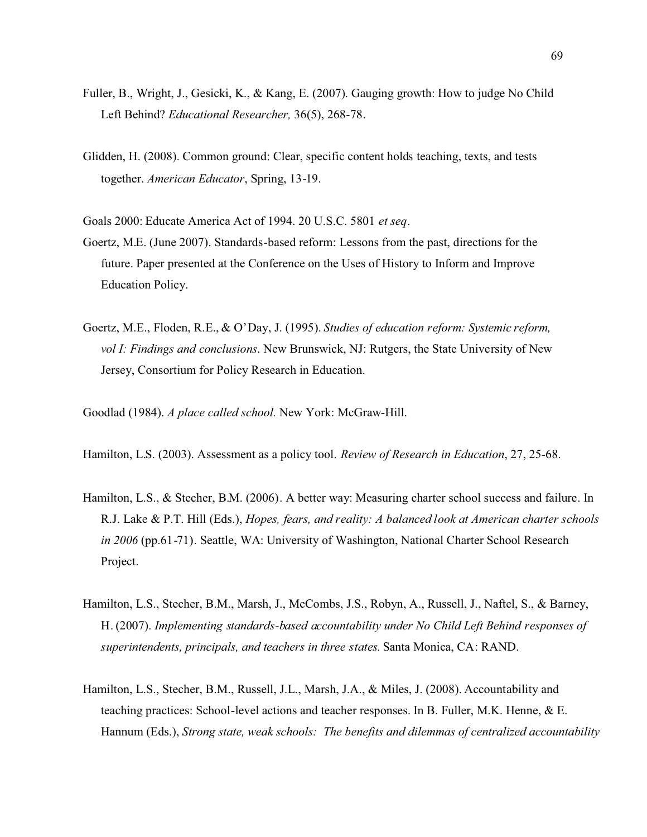- Fuller, B., Wright, J., Gesicki, K., & Kang, E. (2007). Gauging growth: How to judge No Child Left Behind? *Educational Researcher,* 36(5), 268-78.
- Glidden, H. (2008). Common ground: Clear, specific content holds teaching, texts, and tests together. *American Educator*, Spring, 13-19.

Goals 2000: Educate America Act of 1994. 20 U.S.C. 5801 *et seq*.

- Goertz, M.E. (June 2007). Standards-based reform: Lessons from the past, directions for the future. Paper presented at the Conference on the Uses of History to Inform and Improve Education Policy.
- Goertz, M.E., Floden, R.E., & O'Day, J. (1995). *Studies of education reform: Systemic reform, vol I: Findings and conclusions*. New Brunswick, NJ: Rutgers, the State University of New Jersey, Consortium for Policy Research in Education.
- Goodlad (1984). *A place called school.* New York: McGraw-Hill.
- Hamilton, L.S. (2003). Assessment as a policy tool. *Review of Research in Education*, 27, 25-68.
- Hamilton, L.S., & Stecher, B.M. (2006). A better way: Measuring charter school success and failure. In R.J. Lake & P.T. Hill (Eds.), *Hopes, fears, and reality: A balanced look at American charter schools in 2006* (pp.61-71). Seattle, WA: University of Washington, National Charter School Research Project.
- Hamilton, L.S., Stecher, B.M., Marsh, J., McCombs, J.S., Robyn, A., Russell, J., Naftel, S., & Barney, H. (2007). *Implementing standards-based accountability under No Child Left Behind responses of superintendents, principals, and teachers in three states.* Santa Monica, CA: RAND.
- Hamilton, L.S., Stecher, B.M., Russell, J.L., Marsh, J.A., & Miles, J. (2008). Accountability and teaching practices: School-level actions and teacher responses. In B. Fuller, M.K. Henne, & E. Hannum (Eds.), *Strong state, weak schools: The benefits and dilemmas of centralized accountability*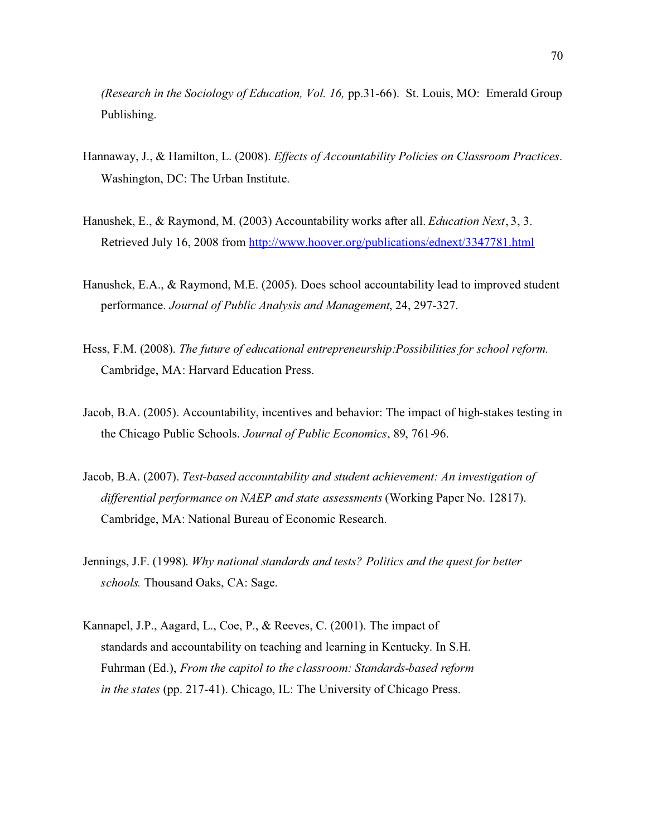*(Research in the Sociology of Education, Vol. 16,* pp.31-66). St. Louis, MO: Emerald Group Publishing.

- Hannaway, J., & Hamilton, L. (2008). *Effects of Accountability Policies on Classroom Practices*. Washington, DC: The Urban Institute.
- Hanushek, E., & Raymond, M. (2003) Accountability works after all. *Education Next*, 3, 3. Retrieved July 16, 2008 from <http://www.hoover.org/publications/ednext/3347781.html>
- Hanushek, E.A., & Raymond, M.E. (2005). Does school accountability lead to improved student performance. *Journal of Public Analysis and Management*, 24, 297-327.
- Hess, F.M. (2008). *The future of educational entrepreneurship:Possibilities for school reform.* Cambridge, MA: Harvard Education Press.
- Jacob, B.A. (2005). Accountability, incentives and behavior: The impact of high-stakes testing in the Chicago Public Schools. *Journal of Public Economics*, 89, 761-96.
- Jacob, B.A. (2007). *Test-based accountability and student achievement: An investigation of differential performance on NAEP and state assessments* (Working Paper No. 12817). Cambridge, MA: National Bureau of Economic Research.
- Jennings, J.F. (1998). *Why national standards and tests? Politics and the quest for better schools.* Thousand Oaks, CA: Sage.
- Kannapel, J.P., Aagard, L., Coe, P., & Reeves, C. (2001). The impact of standards and accountability on teaching and learning in Kentucky. In S.H. Fuhrman (Ed.), *From the capitol to the classroom: Standards-based reform in the states* (pp. 217-41). Chicago, IL: The University of Chicago Press.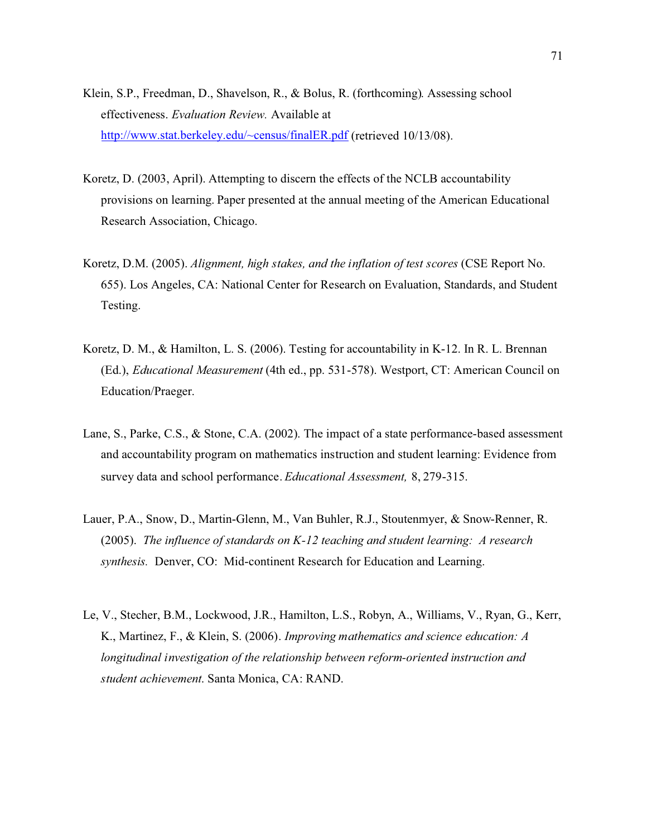- Klein, S.P., Freedman, D., Shavelson, R., & Bolus, R. (forthcoming). Assessing school effectiveness. *Evaluation Review.* Available at <http://www.stat.berkeley.edu/~census/finalER.pdf> (retrieved 10/13/08).
- Koretz, D. (2003, April). Attempting to discern the effects of the NCLB accountability provisions on learning. Paper presented at the annual meeting of the American Educational Research Association, Chicago.
- Koretz, D.M. (2005). *Alignment, high stakes, and the inflation of test scores* (CSE Report No. 655). Los Angeles, CA: National Center for Research on Evaluation, Standards, and Student Testing.
- Koretz, D. M., & Hamilton, L. S. (2006). Testing for accountability in K-12. In R. L. Brennan (Ed.), *Educational Measurement* (4th ed., pp. 531-578). Westport, CT: American Council on Education/Praeger.
- Lane, S., Parke, C.S., & Stone, C.A. (2002). The impact of a state performance-based assessment and accountability program on mathematics instruction and student learning: Evidence from survey data and school performance. *Educational Assessment,* 8, 279-315.
- Lauer, P.A., Snow, D., Martin-Glenn, M., Van Buhler, R.J., Stoutenmyer, & Snow-Renner, R. (2005). *The influence of standards on K-12 teaching and student learning: A research synthesis.* Denver, CO: Mid-continent Research for Education and Learning.
- Le, V., Stecher, B.M., Lockwood, J.R., Hamilton, L.S., Robyn, A., Williams, V., Ryan, G., Kerr, K., Martinez, F., & Klein, S. (2006). *Improving mathematics and science education: A longitudinal investigation of the relationship between reform-oriented instruction and student achievement*. Santa Monica, CA: RAND.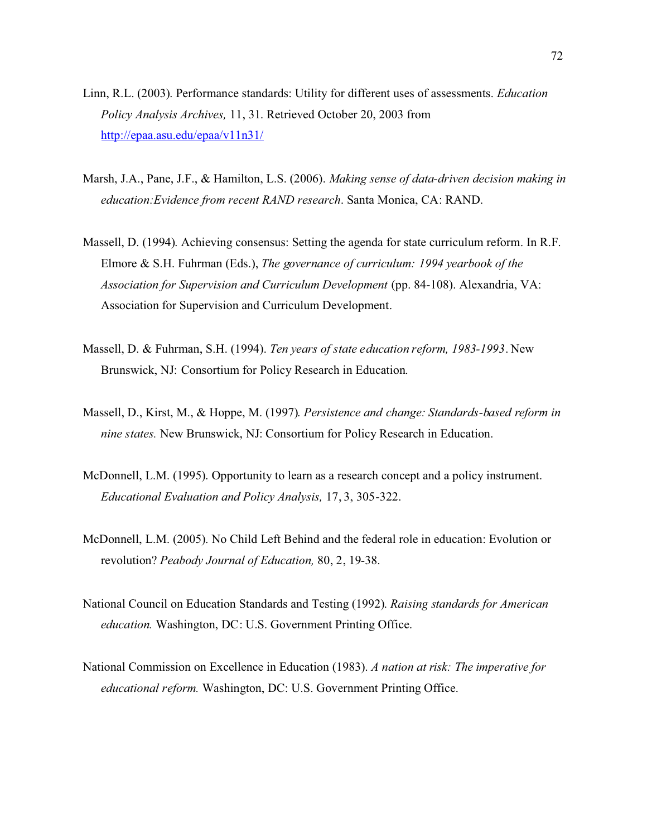- Linn, R.L. (2003). Performance standards: Utility for different uses of assessments. *Education Policy Analysis Archives,* 11, 31. Retrieved October 20, 2003 from <http://epaa.asu.edu/epaa/v11n31/>
- Marsh, J.A., Pane, J.F., & Hamilton, L.S. (2006). *Making sense of data-driven decision making in education:Evidence from recent RAND research*. Santa Monica, CA: RAND.
- Massell, D. (1994). Achieving consensus: Setting the agenda for state curriculum reform. In R.F. Elmore & S.H. Fuhrman (Eds.), *The governance of curriculum: 1994 yearbook of the Association for Supervision and Curriculum Development* (pp. 84-108). Alexandria, VA: Association for Supervision and Curriculum Development.
- Massell, D. & Fuhrman, S.H. (1994). *Ten years of state education reform, 1983-1993*. New Brunswick, NJ: Consortium for Policy Research in Education.
- Massell, D., Kirst, M., & Hoppe, M. (1997). *Persistence and change: Standards-based reform in nine states.* New Brunswick, NJ: Consortium for Policy Research in Education.
- McDonnell, L.M. (1995). Opportunity to learn as a research concept and a policy instrument. *Educational Evaluation and Policy Analysis,* 17, 3, 305-322.
- McDonnell, L.M. (2005). No Child Left Behind and the federal role in education: Evolution or revolution? *Peabody Journal of Education,* 80, 2, 19-38.
- National Council on Education Standards and Testing (1992). *Raising standards for American education.* Washington, DC: U.S. Government Printing Office.
- National Commission on Excellence in Education (1983). *A nation at risk: The imperative for educational reform.* Washington, DC: U.S. Government Printing Office.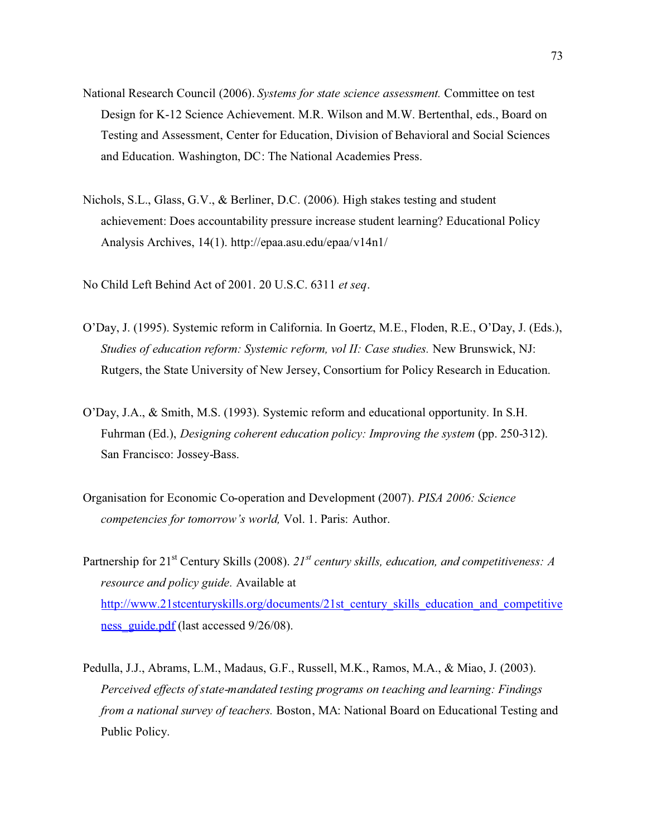- National Research Council (2006). *Systems for state science assessment.* Committee on test Design for K-12 Science Achievement. M.R. Wilson and M.W. Bertenthal, eds., Board on Testing and Assessment, Center for Education, Division of Behavioral and Social Sciences and Education. Washington, DC: The National Academies Press.
- Nichols, S.L., Glass, G.V., & Berliner, D.C. (2006). High stakes testing and student achievement: Does accountability pressure increase student learning? Educational Policy Analysis Archives, 14(1).<http://epaa.asu.edu/epaa/v14n1/>

No Child Left Behind Act of 2001. 20 U.S.C. 6311 *et seq*.

- O'Day, J. (1995). Systemic reform in California. In Goertz, M.E., Floden, R.E., O'Day, J. (Eds.), *Studies of education reform: Systemic reform, vol II: Case studies.* New Brunswick, NJ: Rutgers, the State University of New Jersey, Consortium for Policy Research in Education.
- O'Day, J.A., & Smith, M.S. (1993). Systemic reform and educational opportunity. In S.H. Fuhrman (Ed.), *Designing coherent education policy: Improving the system* (pp. 250-312). San Francisco: Jossey-Bass.
- Organisation for Economic Co-operation and Development (2007). *PISA 2006: Science competencies for tomorrow's world,* Vol. 1. Paris: Author.
- Partnership for 21<sup>st</sup> Century Skills (2008). 21<sup>st</sup> century skills, education, and competitiveness: A *resource and policy guide.* Available at [http://www.21stcenturyskills.org/documents/21st\\_century\\_skills\\_education\\_and\\_competitive](http://www.21stcenturyskills.org/documents/21st_century_skills_education_and_competitiveness_guide.pdf) ness\_guide.pdf (last accessed 9/26/08).
- Pedulla, J.J., Abrams, L.M., Madaus, G.F., Russell, M.K., Ramos, M.A., & Miao, J. (2003). *Perceived effects of state-mandated testing programs on teaching and learning: Findings from a national survey of teachers.* Boston, MA: National Board on Educational Testing and Public Policy.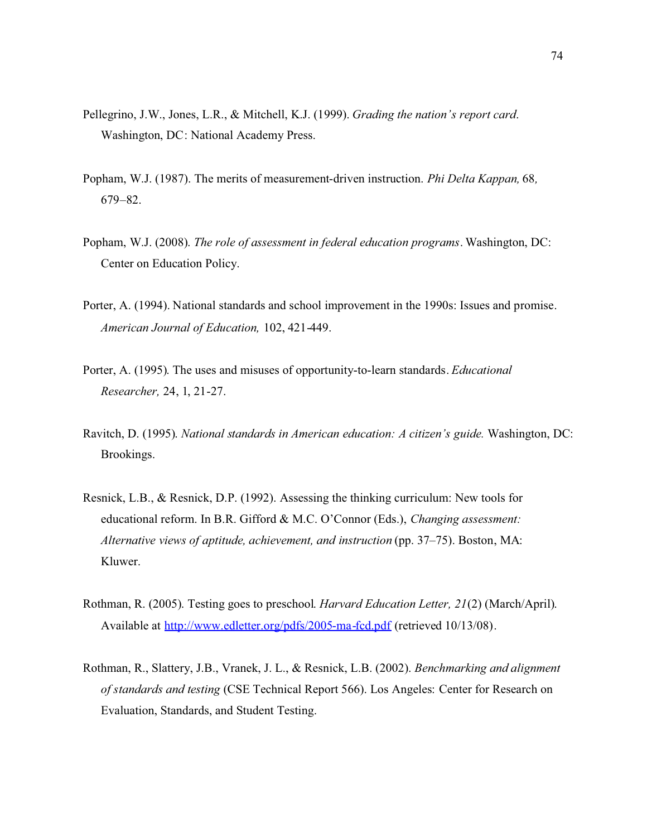- Pellegrino, J.W., Jones, L.R., & Mitchell, K.J. (1999). *Grading the nation's report card*. Washington, DC: National Academy Press.
- Popham, W.J. (1987). The merits of measurement-driven instruction. *Phi Delta Kappan,* 68*,* 679–82.
- Popham, W.J. (2008). *The role of assessment in federal education programs*. Washington, DC: Center on Education Policy.
- Porter, A. (1994). National standards and school improvement in the 1990s: Issues and promise. *American Journal of Education,* 102, 421-449.
- Porter, A. (1995). The uses and misuses of opportunity-to-learn standards. *Educational Researcher,* 24, 1, 21-27.
- Ravitch, D. (1995). *National standards in American education: A citizen's guide.* Washington, DC: Brookings.
- Resnick, L.B., & Resnick, D.P. (1992). Assessing the thinking curriculum: New tools for educational reform. In B.R. Gifford & M.C. O'Connor (Eds.), *Changing assessment: Alternative views of aptitude, achievement, and instruction* (pp. 37–75). Boston, MA: Kluwer.
- Rothman, R. (2005). Testing goes to preschool. *Harvard Education Letter, 21*(2) (March/April). Available at <http://www.edletter.org/pdfs/2005-ma-fcd.pdf> (retrieved 10/13/08).
- Rothman, R., Slattery, J.B., Vranek, J. L., & Resnick, L.B. (2002). *Benchmarking and alignment of standards and testing* (CSE Technical Report 566). Los Angeles: Center for Research on Evaluation, Standards, and Student Testing.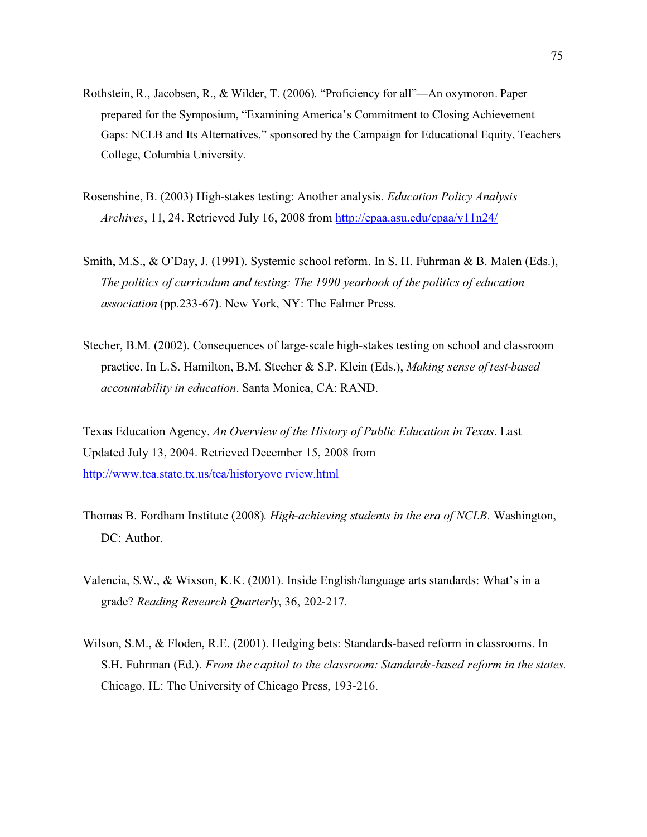- Rothstein, R., Jacobsen, R., & Wilder, T. (2006). "Proficiency for all"—An oxymoron. Paper prepared for the Symposium, "Examining America's Commitment to Closing Achievement Gaps: NCLB and Its Alternatives," sponsored by the Campaign for Educational Equity, Teachers College, Columbia University.
- Rosenshine, B. (2003) High-stakes testing: Another analysis. *Education Policy Analysis Archives*, 11, 24. Retrieved July 16, 2008 from <http://epaa.asu.edu/epaa/v11n24/>
- Smith, M.S., & O'Day, J. (1991). Systemic school reform. In S. H. Fuhrman & B. Malen (Eds.), *The politics of curriculum and testing: The 1990 yearbook of the politics of education association* (pp.233-67). New York, NY: The Falmer Press.
- Stecher, B.M. (2002). Consequences of large-scale high-stakes testing on school and classroom practice. In L.S. Hamilton, B.M. Stecher & S.P. Klein (Eds.), *Making sense of test-based accountability in education*. Santa Monica, CA: RAND.

Texas Education Agency. *An Overview of the History of Public Education in Texas*. Last Updated July 13, 2004. Retrieved December 15, 2008 from [http://www.tea.state.tx.us/tea/historyove rview.html](http://ritter.tea.state.tx.us/tea/historyoverview.html)

- Thomas B. Fordham Institute (2008). *High-achieving students in the era of NCLB.* Washington, DC: Author.
- Valencia, S.W., & Wixson, K.K. (2001). Inside English/language arts standards: What's in a grade? *Reading Research Quarterly*, 36, 202-217.
- Wilson, S.M., & Floden, R.E. (2001). Hedging bets: Standards-based reform in classrooms. In S.H. Fuhrman (Ed.). *From the capitol to the classroom: Standards-based reform in the states.* Chicago, IL: The University of Chicago Press, 193-216.